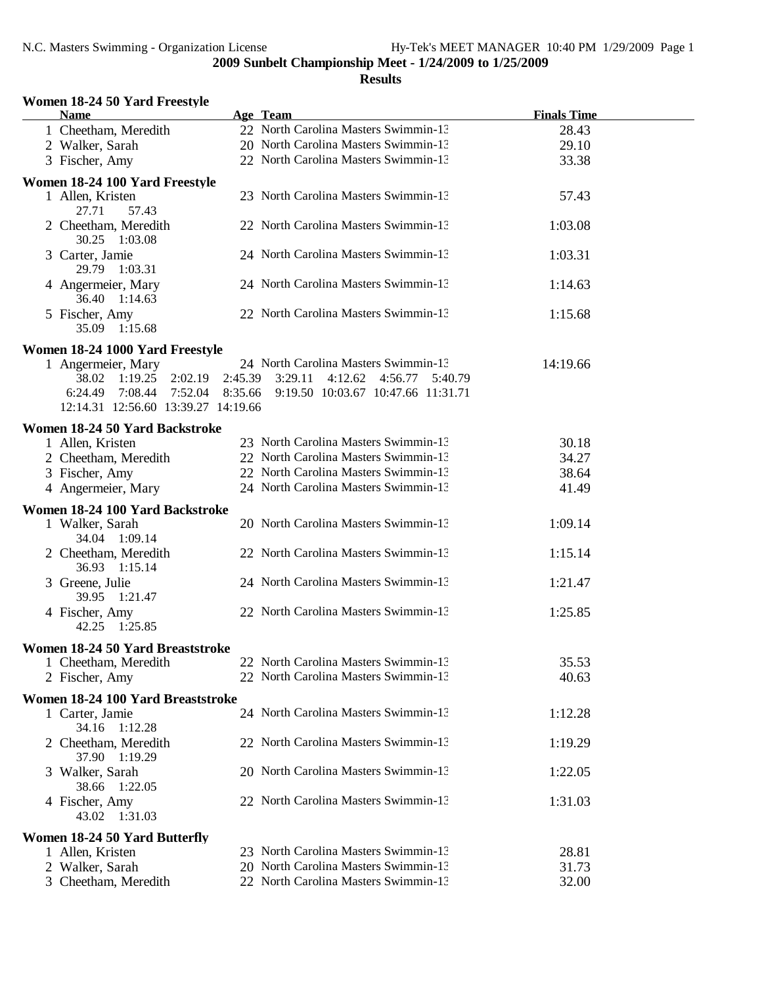| Women 18-24 50 Yard Freestyle<br><b>Name</b>                        | Age Team                                                           | <b>Finals Time</b> |
|---------------------------------------------------------------------|--------------------------------------------------------------------|--------------------|
| 1 Cheetham, Meredith                                                | 22 North Carolina Masters Swimmin-13                               | 28.43              |
| 2 Walker, Sarah                                                     | 20 North Carolina Masters Swimmin-13                               | 29.10              |
| 3 Fischer, Amy                                                      | 22 North Carolina Masters Swimmin-13                               | 33.38              |
|                                                                     |                                                                    |                    |
| Women 18-24 100 Yard Freestyle<br>1 Allen, Kristen                  | 23 North Carolina Masters Swimmin-13                               | 57.43              |
| 27.71<br>57.43<br>2 Cheetham, Meredith                              | 22 North Carolina Masters Swimmin-13                               | 1:03.08            |
| 30.25 1:03.08<br>3 Carter, Jamie                                    | 24 North Carolina Masters Swimmin-13                               | 1:03.31            |
| 29.79 1:03.31<br>4 Angermeier, Mary                                 | 24 North Carolina Masters Swimmin-13                               | 1:14.63            |
| 36.40 1:14.63                                                       |                                                                    |                    |
| 5 Fischer, Amy<br>35.09 1:15.68                                     | 22 North Carolina Masters Swimmin-13                               | 1:15.68            |
| Women 18-24 1000 Yard Freestyle                                     |                                                                    |                    |
| 1 Angermeier, Mary                                                  | 24 North Carolina Masters Swimmin-13                               | 14:19.66           |
| 38.02 1:19.25 2:02.19 2:45.39                                       | 3:29.11<br>4:12.62 4:56.77 5:40.79                                 |                    |
|                                                                     | 6:24.49 7:08.44 7:52.04 8:35.66 9:19.50 10:03.67 10:47.66 11:31.71 |                    |
| 12:14.31 12:56.60 13:39.27 14:19.66                                 |                                                                    |                    |
| Women 18-24 50 Yard Backstroke                                      |                                                                    |                    |
| 1 Allen, Kristen                                                    | 23 North Carolina Masters Swimmin-13                               | 30.18              |
| 2 Cheetham, Meredith                                                | 22 North Carolina Masters Swimmin-13                               | 34.27              |
| 3 Fischer, Amy                                                      | 22 North Carolina Masters Swimmin-13                               | 38.64              |
| 4 Angermeier, Mary                                                  | 24 North Carolina Masters Swimmin-13                               | 41.49              |
|                                                                     |                                                                    |                    |
| Women 18-24 100 Yard Backstroke<br>1 Walker, Sarah<br>34.04 1:09.14 | 20 North Carolina Masters Swimmin-13                               | 1:09.14            |
| 2 Cheetham, Meredith<br>36.93 1:15.14                               | 22 North Carolina Masters Swimmin-13                               | 1:15.14            |
| 3 Greene, Julie<br>39.95 1:21.47                                    | 24 North Carolina Masters Swimmin-13                               | 1:21.47            |
| 4 Fischer, Amy<br>42.25 1:25.85                                     | 22 North Carolina Masters Swimmin-13                               | 1:25.85            |
|                                                                     |                                                                    |                    |
| Women 18-24 50 Yard Breaststroke                                    | 22 North Carolina Masters Swimmin-13                               | 35.53              |
| 1 Cheetham, Meredith                                                | 22 North Carolina Masters Swimmin-13                               | 40.63              |
| 2 Fischer, Amy                                                      |                                                                    |                    |
| Women 18-24 100 Yard Breaststroke                                   |                                                                    |                    |
| 1 Carter, Jamie<br>34.16 1:12.28                                    | 24 North Carolina Masters Swimmin-13                               | 1:12.28            |
| 2 Cheetham, Meredith<br>37.90 1:19.29                               | 22 North Carolina Masters Swimmin-13                               | 1:19.29            |
| 3 Walker, Sarah<br>38.66 1:22.05                                    | 20 North Carolina Masters Swimmin-13                               | 1:22.05            |
| 4 Fischer, Amy<br>43.02 1:31.03                                     | 22 North Carolina Masters Swimmin-13                               | 1:31.03            |
| Women 18-24 50 Yard Butterfly                                       |                                                                    |                    |
| 1 Allen, Kristen                                                    | 23 North Carolina Masters Swimmin-13                               | 28.81              |
| 2 Walker, Sarah                                                     | 20 North Carolina Masters Swimmin-13                               | 31.73              |
| 3 Cheetham, Meredith                                                | 22 North Carolina Masters Swimmin-13                               | 32.00              |
|                                                                     |                                                                    |                    |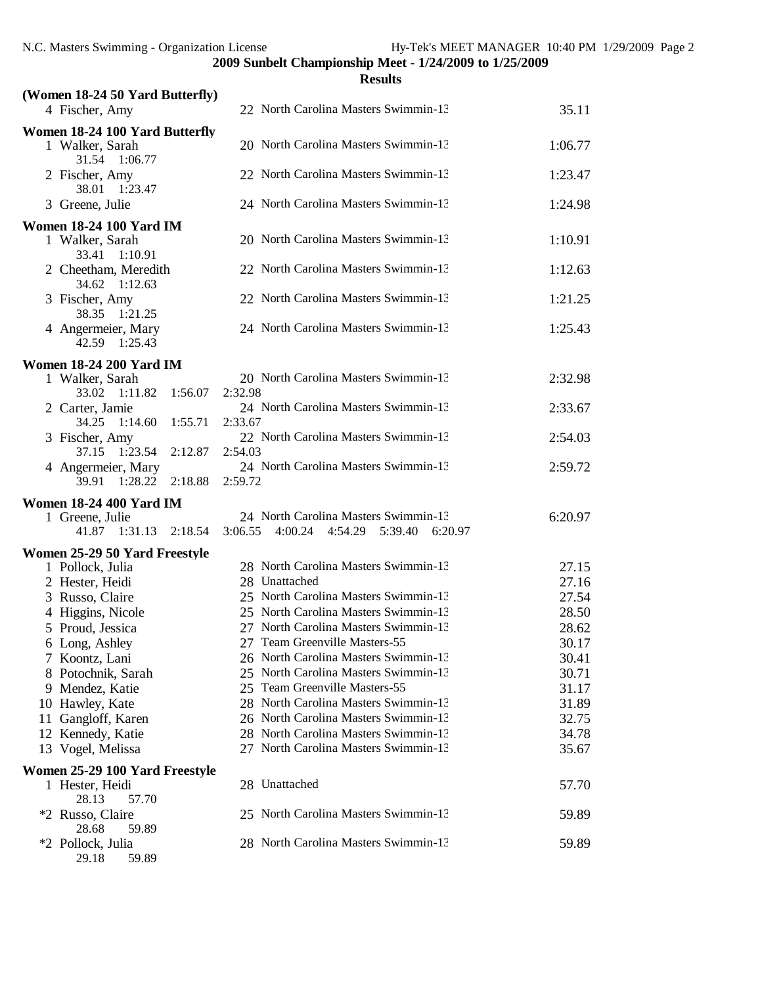|                                                   | <b>Results</b>                                  |         |
|---------------------------------------------------|-------------------------------------------------|---------|
| (Women 18-24 50 Yard Butterfly)<br>4 Fischer, Amy | 22 North Carolina Masters Swimmin-13            | 35.11   |
| Women 18-24 100 Yard Butterfly                    |                                                 |         |
| 1 Walker, Sarah<br>31.54 1:06.77                  | 20 North Carolina Masters Swimmin-13            | 1:06.77 |
| 2 Fischer, Amy<br>38.01 1:23.47                   | 22 North Carolina Masters Swimmin-13            | 1:23.47 |
| 3 Greene, Julie                                   | 24 North Carolina Masters Swimmin-13            | 1:24.98 |
| <b>Women 18-24 100 Yard IM</b>                    |                                                 |         |
| 1 Walker, Sarah<br>33.41 1:10.91                  | 20 North Carolina Masters Swimmin-13            | 1:10.91 |
| 2 Cheetham, Meredith<br>34.62 1:12.63             | 22 North Carolina Masters Swimmin-13            | 1:12.63 |
| 3 Fischer, Amy<br>38.35 1:21.25                   | 22 North Carolina Masters Swimmin-13            | 1:21.25 |
| 4 Angermeier, Mary<br>42.59 1:25.43               | 24 North Carolina Masters Swimmin-13            | 1:25.43 |
| <b>Women 18-24 200 Yard IM</b>                    |                                                 |         |
| 1 Walker, Sarah<br>33.02 1:11.82 1:56.07          | 20 North Carolina Masters Swimmin-13<br>2:32.98 | 2:32.98 |
| 2 Carter, Jamie<br>34.25 1:14.60 1:55.71          | 24 North Carolina Masters Swimmin-13<br>2:33.67 | 2:33.67 |
| 3 Fischer, Amy<br>37.15 1:23.54<br>2:12.87        | 22 North Carolina Masters Swimmin-13<br>2:54.03 | 2:54.03 |
| 4 Angermeier, Mary<br>39.91 1:28.22<br>2:18.88    | 24 North Carolina Masters Swimmin-13<br>2:59.72 | 2:59.72 |
| <b>Women 18-24 400 Yard IM</b>                    |                                                 |         |
| 1 Greene, Julie                                   | 24 North Carolina Masters Swimmin-13            | 6:20.97 |
| 41.87 1:31.13 2:18.54                             | 4:00.24 4:54.29 5:39.40 6:20.97<br>3:06.55      |         |
| Women 25-29 50 Yard Freestyle                     |                                                 |         |
| 1 Pollock, Julia                                  | 28 North Carolina Masters Swimmin-13            | 27.15   |
| 2 Hester, Heidi                                   | 28 Unattached                                   | 27.16   |
| 3 Russo, Claire                                   | 25 North Carolina Masters Swimmin-13            | 27.54   |
| 4 Higgins, Nicole                                 | 25 North Carolina Masters Swimmin-13            | 28.50   |
| 5 Proud, Jessica                                  | 27 North Carolina Masters Swimmin-13            | 28.62   |
| 6 Long, Ashley                                    | 27 Team Greenville Masters-55                   | 30.17   |
| 7 Koontz, Lani                                    | 26 North Carolina Masters Swimmin-13            | 30.41   |
| 8 Potochnik, Sarah                                | 25 North Carolina Masters Swimmin-13            | 30.71   |
| 9 Mendez, Katie                                   | 25 Team Greenville Masters-55                   | 31.17   |
| 10 Hawley, Kate                                   | 28 North Carolina Masters Swimmin-13            | 31.89   |
| 11 Gangloff, Karen                                | 26 North Carolina Masters Swimmin-13            | 32.75   |
| 12 Kennedy, Katie                                 | 28 North Carolina Masters Swimmin-13            | 34.78   |
| 13 Vogel, Melissa                                 | 27 North Carolina Masters Swimmin-13            | 35.67   |
| Women 25-29 100 Yard Freestyle                    |                                                 |         |
| 1 Hester, Heidi<br>28.13<br>57.70                 | 28 Unattached                                   | 57.70   |
| *2 Russo, Claire<br>28.68<br>59.89                | 25 North Carolina Masters Swimmin-13            | 59.89   |
| *2 Pollock, Julia<br>59.89<br>29.18               | 28 North Carolina Masters Swimmin-13            | 59.89   |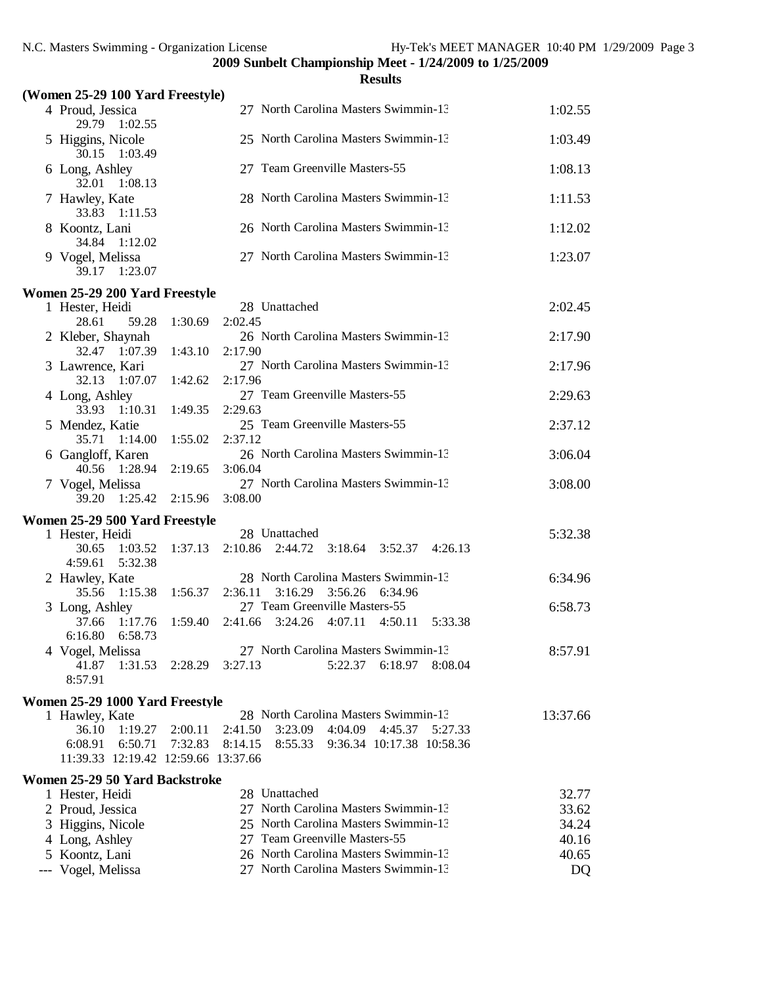|                                                           |         | <b>Results</b>                                                            |          |
|-----------------------------------------------------------|---------|---------------------------------------------------------------------------|----------|
| (Women 25-29 100 Yard Freestyle)                          |         |                                                                           |          |
| 4 Proud, Jessica<br>29.79 1:02.55                         |         | 27 North Carolina Masters Swimmin-13                                      | 1:02.55  |
| 5 Higgins, Nicole<br>30.15<br>1:03.49                     |         | 25 North Carolina Masters Swimmin-13                                      | 1:03.49  |
| 6 Long, Ashley<br>32.01<br>1:08.13                        |         | 27 Team Greenville Masters-55                                             | 1:08.13  |
| 7 Hawley, Kate<br>33.83<br>1:11.53                        |         | 28 North Carolina Masters Swimmin-13                                      | 1:11.53  |
| 8 Koontz, Lani<br>34.84<br>1:12.02                        |         | 26 North Carolina Masters Swimmin-13                                      | 1:12.02  |
| 9 Vogel, Melissa<br>39.17 1:23.07                         |         | 27 North Carolina Masters Swimmin-13                                      | 1:23.07  |
| Women 25-29 200 Yard Freestyle                            |         |                                                                           |          |
| 1 Hester, Heidi                                           |         | 28 Unattached                                                             | 2:02.45  |
| 28.61<br>59.28                                            | 1:30.69 | 2:02.45                                                                   |          |
| 2 Kleber, Shaynah<br>32.47 1:07.39                        |         | 26 North Carolina Masters Swimmin-13<br>2:17.90                           | 2:17.90  |
| 3 Lawrence, Kari                                          | 1:43.10 | 27 North Carolina Masters Swimmin-13                                      | 2:17.96  |
| 32.13 1:07.07                                             | 1:42.62 | 2:17.96                                                                   |          |
| 4 Long, Ashley<br>33.93 1:10.31                           | 1:49.35 | 27 Team Greenville Masters-55<br>2:29.63                                  | 2:29.63  |
| 5 Mendez, Katie<br>35.71 1:14.00                          | 1:55.02 | 25 Team Greenville Masters-55<br>2:37.12                                  | 2:37.12  |
| 6 Gangloff, Karen                                         |         | 26 North Carolina Masters Swimmin-13                                      | 3:06.04  |
| 40.56 1:28.94                                             | 2:19.65 | 3:06.04                                                                   |          |
| 7 Vogel, Melissa<br>39.20 1:25.42                         | 2:15.96 | 27 North Carolina Masters Swimmin-13<br>3:08.00                           | 3:08.00  |
| Women 25-29 500 Yard Freestyle                            |         |                                                                           |          |
| 1 Hester, Heidi                                           |         | 28 Unattached                                                             | 5:32.38  |
| 1:03.52<br>30.65<br>4:59.61<br>5:32.38                    | 1:37.13 | 2:10.86<br>2:44.72<br>3:18.64<br>3:52.37 4:26.13                          |          |
| 2 Hawley, Kate                                            |         | 28 North Carolina Masters Swimmin-13                                      | 6:34.96  |
| 35.56<br>1:15.38                                          | 1:56.37 | 2:36.11<br>3:16.29<br>3:56.26<br>6:34.96<br>27 Team Greenville Masters-55 |          |
| 3 Long, Ashley<br>1:17.76<br>37.66<br>6:16.80 6:58.73     | 1:59.40 | 2:41.66<br>3:24.26<br>4:07.11<br>4:50.11<br>5:33.38                       | 6:58.73  |
| 4 Vogel, Melissa                                          |         | 27 North Carolina Masters Swimmin-13                                      | 8:57.91  |
| 41.87<br>1:31.53<br>8:57.91                               | 2:28.29 | 3:27.13<br>5:22.37<br>6:18.97<br>8:08.04                                  |          |
| Women 25-29 1000 Yard Freestyle                           |         |                                                                           |          |
| 1 Hawley, Kate                                            |         | 28 North Carolina Masters Swimmin-13                                      | 13:37.66 |
| 36.10<br>1:19.27                                          | 2:00.11 | 2:41.50<br>3:23.09<br>4:04.09<br>4:45.37<br>5:27.33                       |          |
| 6:50.71<br>6:08.91<br>11:39.33 12:19.42 12:59.66 13:37.66 | 7:32.83 | 8:14.15<br>8:55.33<br>9:36.34 10:17.38 10:58.36                           |          |
|                                                           |         |                                                                           |          |
| Women 25-29 50 Yard Backstroke<br>1 Hester, Heidi         |         | 28 Unattached                                                             | 32.77    |
| 2 Proud, Jessica                                          |         | 27 North Carolina Masters Swimmin-13                                      | 33.62    |
| 3 Higgins, Nicole                                         |         | 25 North Carolina Masters Swimmin-13                                      | 34.24    |
| 4 Long, Ashley                                            |         | 27 Team Greenville Masters-55                                             | 40.16    |
| 5 Koontz, Lani                                            |         | 26 North Carolina Masters Swimmin-13                                      | 40.65    |
| --- Vogel, Melissa                                        |         | 27 North Carolina Masters Swimmin-13                                      | DQ       |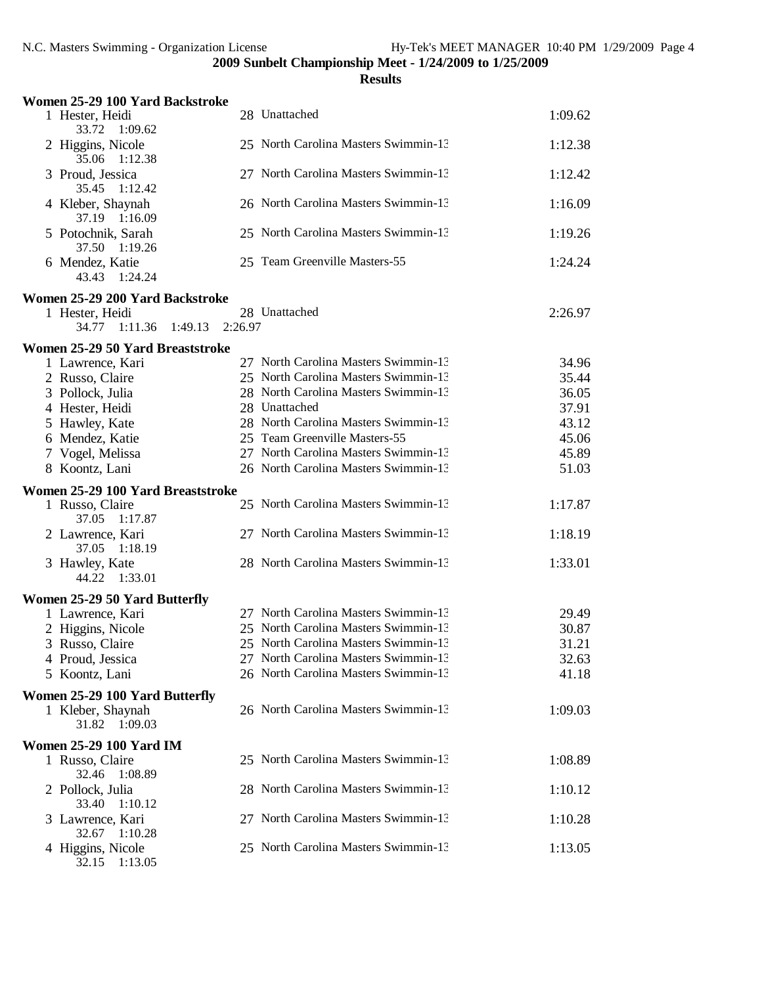| Women 25-29 100 Yard Backstroke                      |         |                                      |         |
|------------------------------------------------------|---------|--------------------------------------|---------|
| 1 Hester, Heidi<br>33.72<br>1:09.62                  |         | 28 Unattached                        | 1:09.62 |
| 2 Higgins, Nicole<br>35.06<br>1:12.38                |         | 25 North Carolina Masters Swimmin-13 | 1:12.38 |
| 3 Proud, Jessica<br>35.45<br>1:12.42                 |         | 27 North Carolina Masters Swimmin-13 | 1:12.42 |
| 4 Kleber, Shaynah<br>37.19 1:16.09                   |         | 26 North Carolina Masters Swimmin-13 | 1:16.09 |
| 5 Potochnik, Sarah<br>37.50<br>1:19.26               |         | 25 North Carolina Masters Swimmin-13 | 1:19.26 |
| 6 Mendez, Katie<br>43.43<br>1:24.24                  |         | 25 Team Greenville Masters-55        | 1:24.24 |
| Women 25-29 200 Yard Backstroke                      |         |                                      |         |
| 1 Hester, Heidi                                      |         | 28 Unattached                        | 2:26.97 |
| 34.77<br>1:11.36<br>1:49.13                          | 2:26.97 |                                      |         |
| Women 25-29 50 Yard Breaststroke                     |         |                                      |         |
| 1 Lawrence, Kari                                     |         | 27 North Carolina Masters Swimmin-13 | 34.96   |
| 2 Russo, Claire                                      |         | 25 North Carolina Masters Swimmin-13 | 35.44   |
| 3 Pollock, Julia                                     |         | 28 North Carolina Masters Swimmin-13 | 36.05   |
| 4 Hester, Heidi                                      |         | 28 Unattached                        | 37.91   |
| 5 Hawley, Kate                                       |         | 28 North Carolina Masters Swimmin-13 | 43.12   |
| 6 Mendez, Katie                                      |         | 25 Team Greenville Masters-55        | 45.06   |
| 7 Vogel, Melissa                                     |         | 27 North Carolina Masters Swimmin-13 | 45.89   |
| 8 Koontz, Lani                                       |         | 26 North Carolina Masters Swimmin-13 | 51.03   |
|                                                      |         |                                      |         |
| Women 25-29 100 Yard Breaststroke<br>1 Russo, Claire |         | 25 North Carolina Masters Swimmin-13 | 1:17.87 |
| 37.05<br>1:17.87                                     |         |                                      |         |
| 2 Lawrence, Kari<br>37.05 1:18.19                    |         | 27 North Carolina Masters Swimmin-13 | 1:18.19 |
| 3 Hawley, Kate<br>44.22 1:33.01                      |         | 28 North Carolina Masters Swimmin-13 | 1:33.01 |
| Women 25-29 50 Yard Butterfly                        |         |                                      |         |
| 1 Lawrence, Kari                                     |         | 27 North Carolina Masters Swimmin-13 | 29.49   |
| 2 Higgins, Nicole                                    |         | 25 North Carolina Masters Swimmin-13 | 30.87   |
| 3 Russo, Claire                                      |         | 25 North Carolina Masters Swimmin-13 | 31.21   |
| 4 Proud, Jessica                                     |         | 27 North Carolina Masters Swimmin-13 | 32.63   |
| 5 Koontz, Lani                                       |         | 26 North Carolina Masters Swimmin-13 | 41.18   |
| Women 25-29 100 Yard Butterfly                       |         |                                      |         |
| 1 Kleber, Shaynah<br>1:09.03<br>31.82                |         | 26 North Carolina Masters Swimmin-13 | 1:09.03 |
| <b>Women 25-29 100 Yard IM</b>                       |         |                                      |         |
| 1 Russo, Claire<br>32.46<br>1:08.89                  |         | 25 North Carolina Masters Swimmin-13 | 1:08.89 |
| 2 Pollock, Julia<br>33.40<br>1:10.12                 |         | 28 North Carolina Masters Swimmin-13 | 1:10.12 |
| 3 Lawrence, Kari<br>32.67 1:10.28                    |         | 27 North Carolina Masters Swimmin-13 | 1:10.28 |
| 4 Higgins, Nicole<br>32.15 1:13.05                   |         | 25 North Carolina Masters Swimmin-13 | 1:13.05 |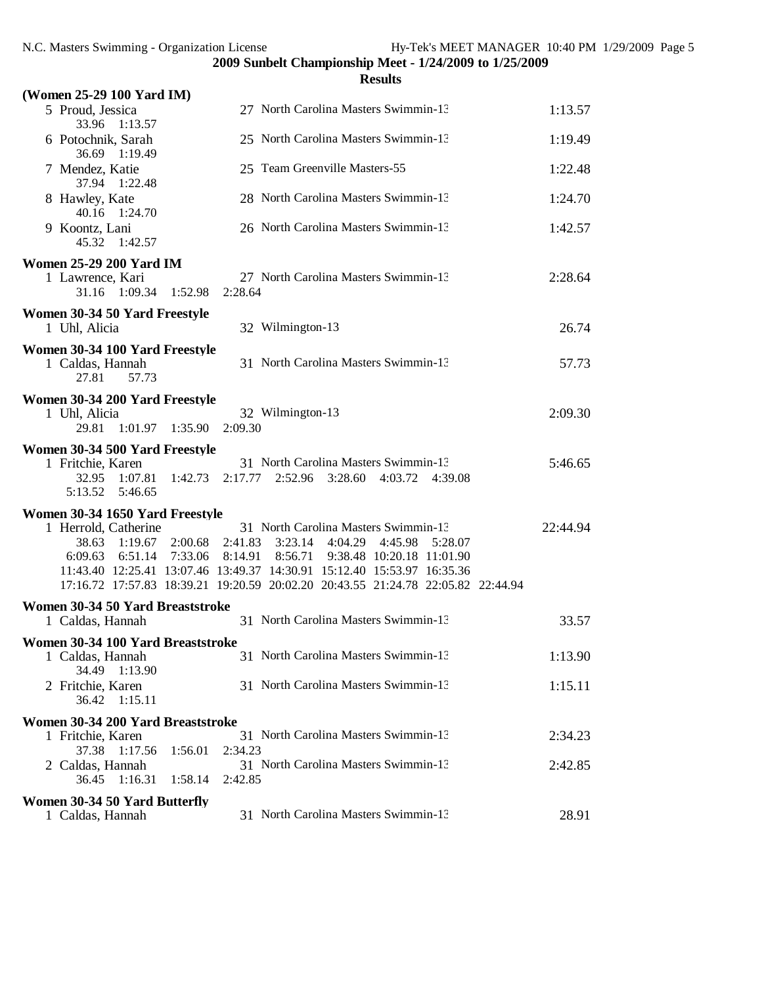|                                                                      | <b>Results</b>                                                                   |          |
|----------------------------------------------------------------------|----------------------------------------------------------------------------------|----------|
| (Women 25-29 100 Yard IM)                                            |                                                                                  |          |
| 5 Proud, Jessica<br>33.96<br>1:13.57                                 | 27 North Carolina Masters Swimmin-13                                             | 1:13.57  |
| 6 Potochnik, Sarah<br>36.69 1:19.49                                  | 25 North Carolina Masters Swimmin-13                                             | 1:19.49  |
| 7 Mendez, Katie<br>37.94 1:22.48                                     | 25 Team Greenville Masters-55                                                    | 1:22.48  |
| 8 Hawley, Kate<br>40.16<br>1:24.70                                   | 28 North Carolina Masters Swimmin-13                                             | 1:24.70  |
| 9 Koontz, Lani<br>45.32 1:42.57                                      | 26 North Carolina Masters Swimmin-13                                             | 1:42.57  |
| <b>Women 25-29 200 Yard IM</b>                                       |                                                                                  |          |
| 1 Lawrence, Kari<br>31.16 1:09.34<br>1:52.98                         | 27 North Carolina Masters Swimmin-13<br>2:28.64                                  | 2:28.64  |
| Women 30-34 50 Yard Freestyle                                        |                                                                                  |          |
| 1 Uhl, Alicia                                                        | 32 Wilmington-13                                                                 | 26.74    |
| Women 30-34 100 Yard Freestyle<br>1 Caldas, Hannah<br>27.81<br>57.73 | 31 North Carolina Masters Swimmin-13                                             | 57.73    |
| Women 30-34 200 Yard Freestyle                                       |                                                                                  |          |
| 1 Uhl, Alicia<br>1:01.97 1:35.90<br>29.81                            | 32 Wilmington-13<br>2:09.30                                                      | 2:09.30  |
| Women 30-34 500 Yard Freestyle                                       |                                                                                  |          |
| 1 Fritchie, Karen                                                    | 31 North Carolina Masters Swimmin-13                                             | 5:46.65  |
| 1:07.81<br>1:42.73<br>32.95<br>5:13.52    5:46.65                    | 2:17.77 2:52.96 3:28.60 4:03.72 4:39.08                                          |          |
| Women 30-34 1650 Yard Freestyle                                      |                                                                                  |          |
| 1 Herrold, Catherine                                                 | 31 North Carolina Masters Swimmin-13                                             | 22:44.94 |
| 38.63<br>1:19.67<br>2:00.68                                          | 3:23.14<br>4:04.29<br>2:41.83<br>4:45.98<br>5:28.07                              |          |
| 6:09.63<br>6:51.14<br>7:33.06                                        | 8:56.71<br>9:38.48 10:20.18 11:01.90<br>8:14.91                                  |          |
|                                                                      | 11:43.40 12:25.41 13:07.46 13:49.37 14:30.91 15:12.40 15:53.97 16:35.36          |          |
|                                                                      | 17:16.72 17:57.83 18:39.21 19:20.59 20:02.20 20:43.55 21:24.78 22:05.82 22:44.94 |          |
| Women 30-34 50 Yard Breaststroke                                     |                                                                                  |          |
| 1 Caldas, Hannah                                                     | 31 North Carolina Masters Swimmin-13                                             | 33.57    |
| Women 30-34 100 Yard Breaststroke                                    |                                                                                  |          |
| 1 Caldas, Hannah<br>34.49 1:13.90                                    | 31 North Carolina Masters Swimmin-13                                             | 1:13.90  |
| 2 Fritchie, Karen<br>36.42 1:15.11                                   | 31 North Carolina Masters Swimmin-13                                             | 1:15.11  |
| Women 30-34 200 Yard Breaststroke                                    |                                                                                  |          |
| 1 Fritchie, Karen<br>37.38<br>1:17.56<br>1:56.01                     | 31 North Carolina Masters Swimmin-13<br>2:34.23                                  | 2:34.23  |
| 2 Caldas, Hannah<br>36.45<br>1:16.31<br>1:58.14                      | 31 North Carolina Masters Swimmin-13<br>2:42.85                                  | 2:42.85  |
|                                                                      |                                                                                  |          |
| Women 30-34 50 Yard Butterfly<br>1 Caldas, Hannah                    | 31 North Carolina Masters Swimmin-13                                             | 28.91    |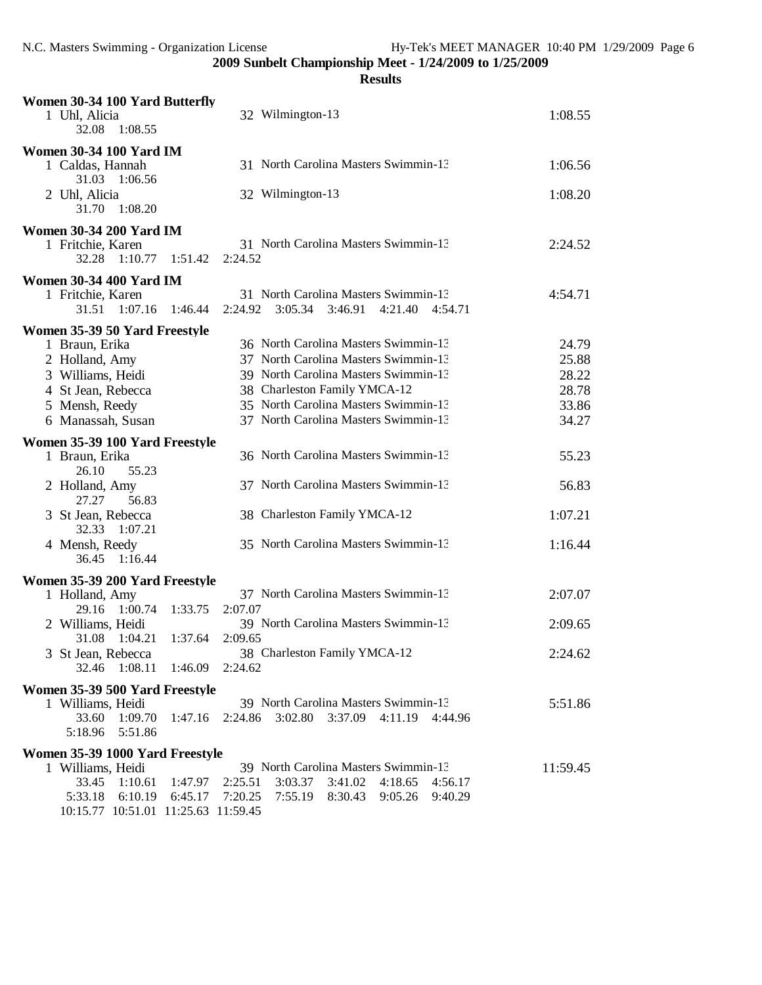| Women 30-34 100 Yard Butterfly<br>1 Uhl, Alicia<br>1:08.55<br>32.08 | 32 Wilmington-13                                    | 1:08.55  |
|---------------------------------------------------------------------|-----------------------------------------------------|----------|
| <b>Women 30-34 100 Yard IM</b>                                      |                                                     |          |
| 1 Caldas, Hannah<br>31.03 1:06.56                                   | 31 North Carolina Masters Swimmin-13                | 1:06.56  |
| 2 Uhl, Alicia<br>31.70<br>1:08.20                                   | 32 Wilmington-13                                    | 1:08.20  |
| <b>Women 30-34 200 Yard IM</b>                                      |                                                     |          |
| 1 Fritchie, Karen                                                   | 31 North Carolina Masters Swimmin-13                | 2:24.52  |
| 32.28<br>1:10.77<br>1:51.42                                         | 2:24.52                                             |          |
| <b>Women 30-34 400 Yard IM</b>                                      |                                                     |          |
| 1 Fritchie, Karen                                                   | 31 North Carolina Masters Swimmin-13                | 4:54.71  |
| 1:07.16<br>31.51<br>1:46.44                                         | 3:05.34<br>3:46.91<br>4:21.40<br>2:24.92<br>4:54.71 |          |
| Women 35-39 50 Yard Freestyle                                       |                                                     |          |
| 1 Braun, Erika                                                      | 36 North Carolina Masters Swimmin-13                | 24.79    |
| 2 Holland, Amy                                                      | 37 North Carolina Masters Swimmin-13                | 25.88    |
| 3 Williams, Heidi                                                   | 39 North Carolina Masters Swimmin-13                | 28.22    |
| 4 St Jean, Rebecca                                                  | 38 Charleston Family YMCA-12                        | 28.78    |
| 5 Mensh, Reedy                                                      | 35 North Carolina Masters Swimmin-13                | 33.86    |
| 6 Manassah, Susan                                                   | 37 North Carolina Masters Swimmin-13                | 34.27    |
|                                                                     |                                                     |          |
| Women 35-39 100 Yard Freestyle<br>1 Braun, Erika                    | 36 North Carolina Masters Swimmin-13                | 55.23    |
| 26.10<br>55.23<br>2 Holland, Amy                                    | 37 North Carolina Masters Swimmin-13                | 56.83    |
| 27.27<br>56.83                                                      |                                                     |          |
| 3 St Jean, Rebecca<br>32.33<br>1:07.21                              | 38 Charleston Family YMCA-12                        | 1:07.21  |
| 4 Mensh, Reedy<br>1:16.44<br>36.45                                  | 35 North Carolina Masters Swimmin-13                | 1:16.44  |
| Women 35-39 200 Yard Freestyle                                      |                                                     |          |
| 1 Holland, Amy                                                      | 37 North Carolina Masters Swimmin-13                | 2:07.07  |
| 1:00.74<br>29.16<br>1:33.75                                         | 2:07.07                                             |          |
| 2 Williams, Heidi                                                   | 39 North Carolina Masters Swimmin-13                | 2:09.65  |
| 31.08 1:04.21<br>1:37.64                                            | 2:09.65                                             |          |
| 3 St Jean, Rebecca                                                  | 38 Charleston Family YMCA-12                        | 2:24.62  |
| 32.46 1:08.11 1:46.09 2:24.62                                       |                                                     |          |
| Women 35-39 500 Yard Freestyle                                      |                                                     |          |
| 1 Williams, Heidi                                                   | 39 North Carolina Masters Swimmin-13                | 5:51.86  |
| 33.60<br>1:09.70<br>1:47.16                                         | 3:37.09<br>2:24.86<br>3:02.80<br>4:11.19<br>4:44.96 |          |
| 5:51.86<br>5:18.96                                                  |                                                     |          |
| Women 35-39 1000 Yard Freestyle                                     |                                                     |          |
| 1 Williams, Heidi                                                   | 39 North Carolina Masters Swimmin-13                | 11:59.45 |
| 33.45<br>1:10.61<br>1:47.97                                         | $3:03.37$ $3:41.02$ $4:18.65$<br>2:25.51<br>4:56.17 |          |
| 6:10.19 6:45.17<br>5:33.18                                          | 7:20.25<br>7:55.19 8:30.43 9:05.26 9:40.29          |          |
| 10:15.77 10:51.01 11:25.63 11:59.45                                 |                                                     |          |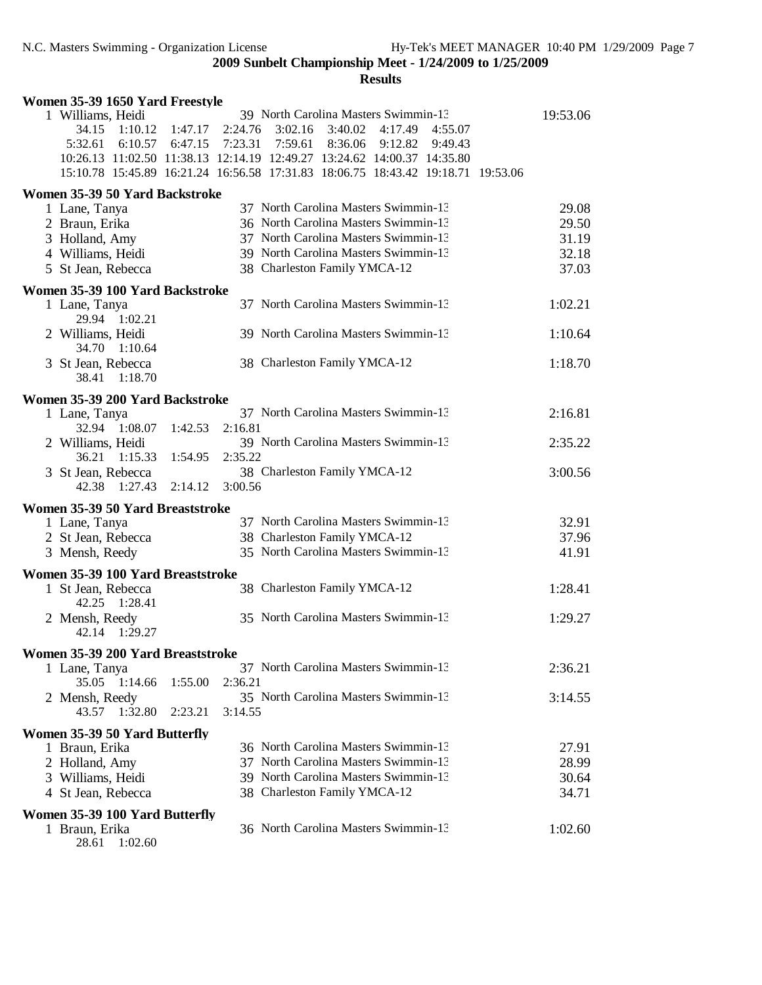| Women 35-39 1650 Yard Freestyle                                                              |                            |                                                                                                                                                                                                                                                                                                       |                                           |
|----------------------------------------------------------------------------------------------|----------------------------|-------------------------------------------------------------------------------------------------------------------------------------------------------------------------------------------------------------------------------------------------------------------------------------------------------|-------------------------------------------|
| 1 Williams, Heidi<br>34.15<br>1:10.12<br>5:32.61                                             | 1:47.17<br>6:10.57 6:47.15 | 39 North Carolina Masters Swimmin-13<br>2:24.76<br>3:02.16<br>3:40.02 4:17.49 4:55.07<br>7:23.31 7:59.61<br>8:36.06 9:12.82<br>9:49.43<br>10:26.13 11:02.50 11:38.13 12:14.19 12:49.27 13:24.62 14:00.37 14:35.80<br>15:10.78 15:45.89 16:21.24 16:56.58 17:31.83 18:06.75 18:43.42 19:18.71 19:53.06 | 19:53.06                                  |
| Women 35-39 50 Yard Backstroke                                                               |                            |                                                                                                                                                                                                                                                                                                       |                                           |
| 1 Lane, Tanya<br>2 Braun, Erika<br>3 Holland, Amy<br>4 Williams, Heidi<br>5 St Jean, Rebecca |                            | 37 North Carolina Masters Swimmin-13<br>36 North Carolina Masters Swimmin-13<br>37 North Carolina Masters Swimmin-13<br>39 North Carolina Masters Swimmin-13<br>38 Charleston Family YMCA-12                                                                                                          | 29.08<br>29.50<br>31.19<br>32.18<br>37.03 |
| Women 35-39 100 Yard Backstroke                                                              |                            |                                                                                                                                                                                                                                                                                                       |                                           |
| 1 Lane, Tanya<br>29.94 1:02.21<br>2 Williams, Heidi                                          |                            | 37 North Carolina Masters Swimmin-13<br>39 North Carolina Masters Swimmin-13                                                                                                                                                                                                                          | 1:02.21<br>1:10.64                        |
| 34.70<br>1:10.64<br>3 St Jean, Rebecca                                                       |                            | 38 Charleston Family YMCA-12                                                                                                                                                                                                                                                                          | 1:18.70                                   |
| 38.41<br>1:18.70                                                                             |                            |                                                                                                                                                                                                                                                                                                       |                                           |
| Women 35-39 200 Yard Backstroke                                                              |                            |                                                                                                                                                                                                                                                                                                       |                                           |
| 1 Lane, Tanya<br>32.94 1:08.07                                                               | 1:42.53                    | 37 North Carolina Masters Swimmin-13<br>2:16.81                                                                                                                                                                                                                                                       | 2:16.81                                   |
| 2 Williams, Heidi<br>36.21 1:15.33                                                           | 1:54.95                    | 39 North Carolina Masters Swimmin-13<br>2:35.22                                                                                                                                                                                                                                                       | 2:35.22                                   |
| 3 St Jean, Rebecca<br>42.38 1:27.43                                                          | 2:14.12                    | 38 Charleston Family YMCA-12<br>3:00.56                                                                                                                                                                                                                                                               | 3:00.56                                   |
| Women 35-39 50 Yard Breaststroke                                                             |                            |                                                                                                                                                                                                                                                                                                       |                                           |
| 1 Lane, Tanya                                                                                |                            | 37 North Carolina Masters Swimmin-13                                                                                                                                                                                                                                                                  | 32.91                                     |
| 2 St Jean, Rebecca<br>3 Mensh, Reedy                                                         |                            | 38 Charleston Family YMCA-12<br>35 North Carolina Masters Swimmin-13                                                                                                                                                                                                                                  | 37.96<br>41.91                            |
| Women 35-39 100 Yard Breaststroke                                                            |                            |                                                                                                                                                                                                                                                                                                       |                                           |
| 1 St Jean, Rebecca<br>42.25 1:28.41                                                          |                            | 38 Charleston Family YMCA-12                                                                                                                                                                                                                                                                          | 1:28.41                                   |
| 2 Mensh, Reedy<br>1:29.27<br>42.14                                                           |                            | 35 North Carolina Masters Swimmin-13                                                                                                                                                                                                                                                                  | 1:29.27                                   |
| Women 35-39 200 Yard Breaststroke                                                            |                            |                                                                                                                                                                                                                                                                                                       |                                           |
| 1 Lane, Tanya<br>1:14.66<br>35.05                                                            | 1:55.00                    | 37 North Carolina Masters Swimmin-13<br>2:36.21                                                                                                                                                                                                                                                       | 2:36.21                                   |
| 2 Mensh, Reedy<br>43.57 1:32.80                                                              | 2:23.21                    | 35 North Carolina Masters Swimmin-13<br>3:14.55                                                                                                                                                                                                                                                       | 3:14.55                                   |
| Women 35-39 50 Yard Butterfly                                                                |                            |                                                                                                                                                                                                                                                                                                       |                                           |
| 1 Braun, Erika                                                                               |                            | 36 North Carolina Masters Swimmin-13                                                                                                                                                                                                                                                                  | 27.91                                     |
| 2 Holland, Amy                                                                               |                            | 37 North Carolina Masters Swimmin-13                                                                                                                                                                                                                                                                  | 28.99                                     |
| 3 Williams, Heidi                                                                            |                            | 39 North Carolina Masters Swimmin-13                                                                                                                                                                                                                                                                  | 30.64                                     |
| 4 St Jean, Rebecca                                                                           |                            | 38 Charleston Family YMCA-12                                                                                                                                                                                                                                                                          | 34.71                                     |
| Women 35-39 100 Yard Butterfly                                                               |                            |                                                                                                                                                                                                                                                                                                       |                                           |
| 1 Braun, Erika<br>28.61 1:02.60                                                              |                            | 36 North Carolina Masters Swimmin-13                                                                                                                                                                                                                                                                  | 1:02.60                                   |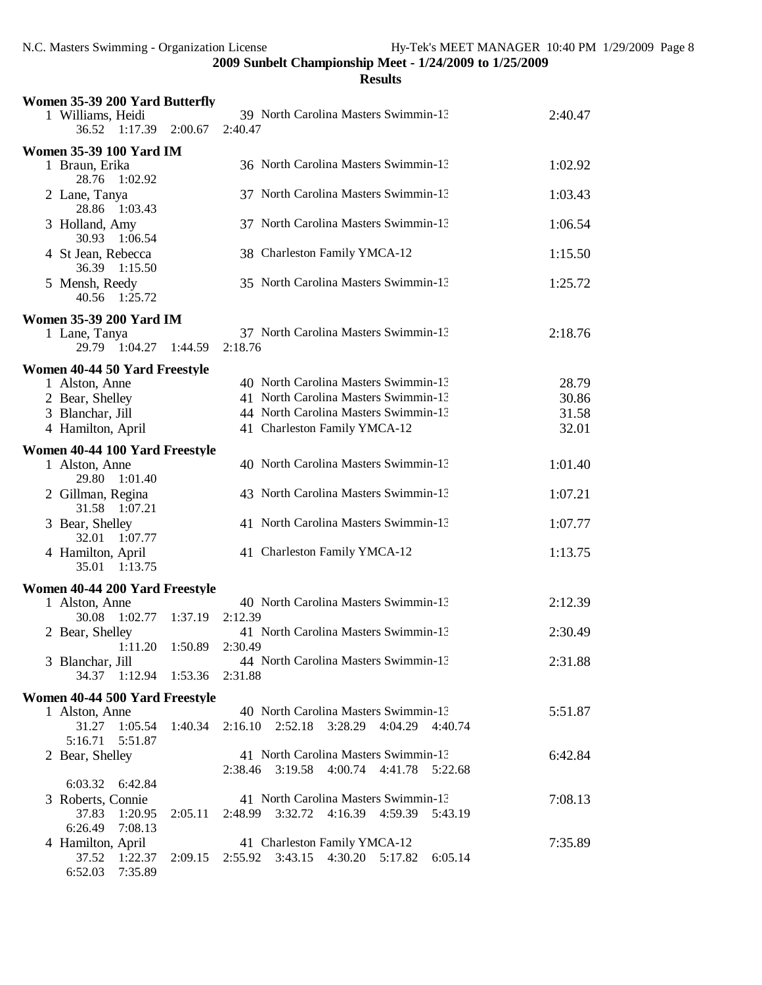| Women 35-39 200 Yard Butterfly                                    |                 |                                                    |         |
|-------------------------------------------------------------------|-----------------|----------------------------------------------------|---------|
| 1 Williams, Heidi<br>36.52 1:17.39                                | 2:00.67         | 39 North Carolina Masters Swimmin-13<br>2:40.47    | 2:40.47 |
|                                                                   |                 |                                                    |         |
| <b>Women 35-39 100 Yard IM</b><br>1 Braun, Erika<br>28.76 1:02.92 |                 | 36 North Carolina Masters Swimmin-13               | 1:02.92 |
| 2 Lane, Tanya<br>28.86 1:03.43                                    |                 | 37 North Carolina Masters Swimmin-13               | 1:03.43 |
| 3 Holland, Amy<br>30.93 1:06.54                                   |                 | 37 North Carolina Masters Swimmin-13               | 1:06.54 |
| 4 St Jean, Rebecca<br>36.39 1:15.50                               |                 | 38 Charleston Family YMCA-12                       | 1:15.50 |
| 5 Mensh, Reedy<br>40.56 1:25.72                                   |                 | 35 North Carolina Masters Swimmin-13               | 1:25.72 |
| <b>Women 35-39 200 Yard IM</b>                                    |                 |                                                    |         |
|                                                                   |                 | 37 North Carolina Masters Swimmin-13               | 2:18.76 |
| 1 Lane, Tanya<br>29.79 1:04.27                                    | 1:44.59         | 2:18.76                                            |         |
| Women 40-44 50 Yard Freestyle                                     |                 |                                                    |         |
| 1 Alston, Anne                                                    |                 | 40 North Carolina Masters Swimmin-13               | 28.79   |
| 2 Bear, Shelley                                                   |                 | 41 North Carolina Masters Swimmin-13               | 30.86   |
| 3 Blanchar, Jill                                                  |                 | 44 North Carolina Masters Swimmin-13               | 31.58   |
| 4 Hamilton, April                                                 |                 | 41 Charleston Family YMCA-12                       | 32.01   |
|                                                                   |                 |                                                    |         |
| Women 40-44 100 Yard Freestyle                                    |                 |                                                    |         |
| 1 Alston, Anne<br>29.80 1:01.40                                   |                 | 40 North Carolina Masters Swimmin-13               | 1:01.40 |
| 2 Gillman, Regina<br>31.58 1:07.21                                |                 | 43 North Carolina Masters Swimmin-13               | 1:07.21 |
| 3 Bear, Shelley<br>32.01 1:07.77                                  |                 | 41 North Carolina Masters Swimmin-13               | 1:07.77 |
| 4 Hamilton, April<br>35.01 1:13.75                                |                 | 41 Charleston Family YMCA-12                       | 1:13.75 |
| Women 40-44 200 Yard Freestyle                                    |                 |                                                    |         |
| 1 Alston, Anne                                                    |                 | 40 North Carolina Masters Swimmin-13               | 2:12.39 |
| 1:02.77<br>30.08                                                  | 1:37.19         | 2:12.39                                            |         |
| 2 Bear, Shelley                                                   |                 | 41 North Carolina Masters Swimmin-13               | 2:30.49 |
|                                                                   | 1:11.20 1:50.89 | 2:30.49                                            |         |
| 3 Blanchar, Jill                                                  |                 | 44 North Carolina Masters Swimmin-13               | 2:31.88 |
| 34.37 1:12.94 1:53.36 2:31.88                                     |                 |                                                    |         |
| Women 40-44 500 Yard Freestyle                                    |                 |                                                    |         |
| 1 Alston, Anne                                                    |                 | 40 North Carolina Masters Swimmin-13               | 5:51.87 |
| 31.27 1:05.54 1:40.34                                             |                 | 2:16.10 2:52.18 3:28.29 4:04.29 4:40.74            |         |
| 5:51.87<br>5:16.71                                                |                 |                                                    |         |
| 2 Bear, Shelley                                                   |                 | 41 North Carolina Masters Swimmin-13               | 6:42.84 |
|                                                                   |                 | 2:38.46 3:19.58 4:00.74 4:41.78 5:22.68            |         |
| 6:03.32 6:42.84                                                   |                 |                                                    |         |
| 3 Roberts, Connie                                                 |                 | 41 North Carolina Masters Swimmin-13               | 7:08.13 |
| 37.83<br>1:20.95                                                  | 2:05.11         | 2:48.99 3:32.72 4:16.39 4:59.39 5:43.19            |         |
| 6:26.49 7:08.13                                                   |                 |                                                    |         |
| 4 Hamilton, April                                                 |                 | 41 Charleston Family YMCA-12                       | 7:35.89 |
| 37.52 1:22.37                                                     |                 | 2:09.15 2:55.92 3:43.15 4:30.20 5:17.82<br>6:05.14 |         |
| 6:52.03 7:35.89                                                   |                 |                                                    |         |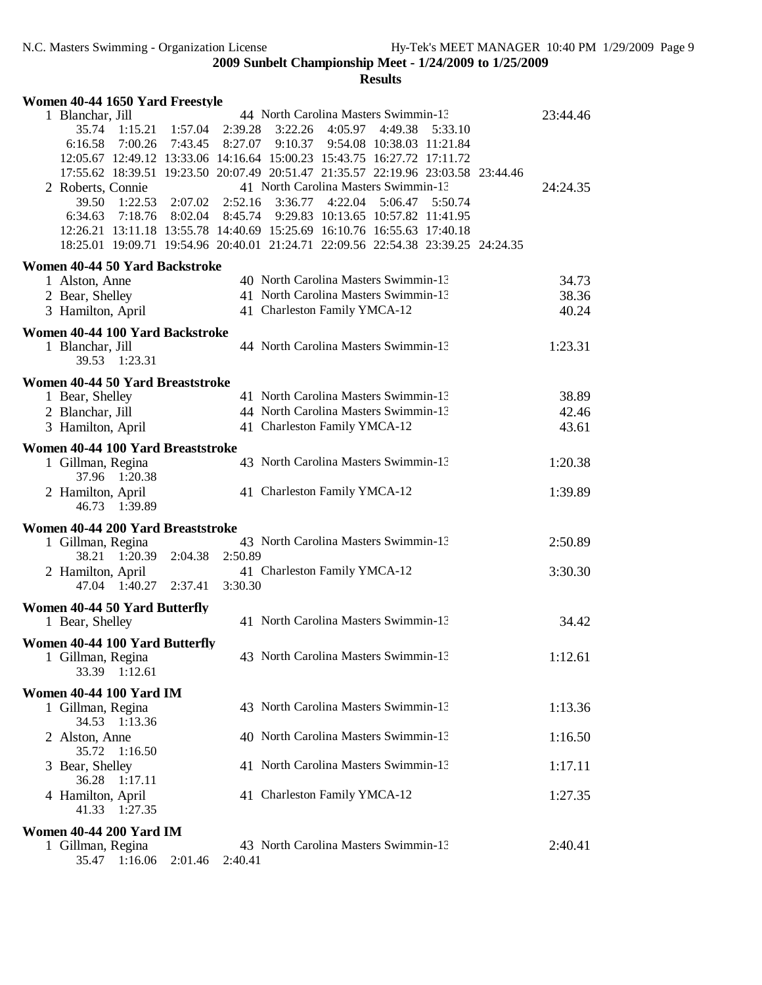|  | Women 40-44 1650 Yard Freestyle                                                  |         |         |         |                               |                                                            |         |         |          |
|--|----------------------------------------------------------------------------------|---------|---------|---------|-------------------------------|------------------------------------------------------------|---------|---------|----------|
|  | 1 Blanchar, Jill                                                                 |         |         |         |                               | 44 North Carolina Masters Swimmin-13                       |         |         | 23:44.46 |
|  | 35.74 1:15.21                                                                    |         | 1:57.04 | 2:39.28 | 3:22.26                       | 4:05.97                                                    | 4:49.38 | 5:33.10 |          |
|  | 6:16.58 7:00.26 7:43.45 8:27.07 9:10.37 9:54.08 10:38.03 11:21.84                |         |         |         |                               |                                                            |         |         |          |
|  | 12:05.67 12:49.12 13:33.06 14:16.64 15:00.23 15:43.75 16:27.72 17:11.72          |         |         |         |                               |                                                            |         |         |          |
|  | 17:55.62 18:39.51 19:23.50 20:07.49 20:51.47 21:35.57 22:19.96 23:03.58 23:44.46 |         |         |         |                               |                                                            |         |         |          |
|  | 2 Roberts, Connie                                                                |         |         |         |                               | 41 North Carolina Masters Swimmin-13                       |         |         | 24:24.35 |
|  | 39.50                                                                            | 1:22.53 |         |         | $2:07.02$ $2:52.16$ $3:36.77$ | 4:22.04                                                    | 5:06.47 | 5:50.74 |          |
|  | 6:34.63                                                                          |         |         |         |                               | 7:18.76 8:02.04 8:45.74 9:29.83 10:13.65 10:57.82 11:41.95 |         |         |          |
|  | 12:26.21 13:11.18 13:55.78 14:40.69 15:25.69 16:10.76 16:55.63 17:40.18          |         |         |         |                               |                                                            |         |         |          |
|  | 18:25.01 19:09.71 19:54.96 20:40.01 21:24.71 22:09.56 22:54.38 23:39.25 24:24.35 |         |         |         |                               |                                                            |         |         |          |
|  | Women 40-44 50 Yard Backstroke                                                   |         |         |         |                               |                                                            |         |         |          |
|  | 1 Alston, Anne                                                                   |         |         |         |                               | 40 North Carolina Masters Swimmin-13                       |         |         | 34.73    |
|  |                                                                                  |         |         |         |                               | 41 North Carolina Masters Swimmin-13                       |         |         | 38.36    |
|  | 2 Bear, Shelley                                                                  |         |         |         |                               | 41 Charleston Family YMCA-12                               |         |         | 40.24    |
|  | 3 Hamilton, April                                                                |         |         |         |                               |                                                            |         |         |          |
|  | Women 40-44 100 Yard Backstroke                                                  |         |         |         |                               |                                                            |         |         |          |
|  | 1 Blanchar, Jill                                                                 |         |         |         |                               | 44 North Carolina Masters Swimmin-13                       |         |         | 1:23.31  |
|  | 39.53 1:23.31                                                                    |         |         |         |                               |                                                            |         |         |          |
|  | Women 40-44 50 Yard Breaststroke                                                 |         |         |         |                               |                                                            |         |         |          |
|  | 1 Bear, Shelley                                                                  |         |         |         |                               | 41 North Carolina Masters Swimmin-13                       |         |         | 38.89    |
|  | 2 Blanchar, Jill                                                                 |         |         |         |                               | 44 North Carolina Masters Swimmin-13                       |         |         | 42.46    |
|  | 3 Hamilton, April                                                                |         |         |         |                               | 41 Charleston Family YMCA-12                               |         |         | 43.61    |
|  |                                                                                  |         |         |         |                               |                                                            |         |         |          |
|  | Women 40-44 100 Yard Breaststroke                                                |         |         |         |                               |                                                            |         |         |          |
|  | 1 Gillman, Regina                                                                |         |         |         |                               | 43 North Carolina Masters Swimmin-13                       |         |         | 1:20.38  |
|  | 37.96 1:20.38                                                                    |         |         |         |                               |                                                            |         |         |          |
|  | 2 Hamilton, April                                                                |         |         |         |                               | 41 Charleston Family YMCA-12                               |         |         | 1:39.89  |
|  |                                                                                  |         |         |         |                               |                                                            |         |         |          |
|  | 46.73 1:39.89                                                                    |         |         |         |                               |                                                            |         |         |          |
|  |                                                                                  |         |         |         |                               |                                                            |         |         |          |
|  | Women 40-44 200 Yard Breaststroke                                                |         |         |         |                               | 43 North Carolina Masters Swimmin-13                       |         |         | 2:50.89  |
|  | 1 Gillman, Regina<br>38.21 1:20.39                                               |         | 2:04.38 | 2:50.89 |                               |                                                            |         |         |          |
|  |                                                                                  |         |         |         |                               |                                                            |         |         |          |
|  | 2 Hamilton, April<br>47.04 1:40.27                                               |         | 2:37.41 | 3:30.30 |                               | 41 Charleston Family YMCA-12                               |         |         | 3:30.30  |
|  |                                                                                  |         |         |         |                               |                                                            |         |         |          |
|  | Women 40-44 50 Yard Butterfly                                                    |         |         |         |                               |                                                            |         |         |          |
|  | 1 Bear, Shelley                                                                  |         |         |         |                               | 41 North Carolina Masters Swimmin-13                       |         |         | 34.42    |
|  | Women 40-44 100 Yard Butterfly                                                   |         |         |         |                               |                                                            |         |         |          |
|  | 1 Gillman, Regina                                                                |         |         |         |                               | 43 North Carolina Masters Swimmin-13                       |         |         | 1:12.61  |
|  | 33.39                                                                            | 1:12.61 |         |         |                               |                                                            |         |         |          |
|  |                                                                                  |         |         |         |                               |                                                            |         |         |          |
|  | <b>Women 40-44 100 Yard IM</b>                                                   |         |         |         |                               |                                                            |         |         |          |
|  | 1 Gillman, Regina                                                                |         |         |         |                               | 43 North Carolina Masters Swimmin-13                       |         |         | 1:13.36  |
|  | 34.53                                                                            | 1:13.36 |         |         |                               |                                                            |         |         |          |
|  | 2 Alston, Anne                                                                   |         |         |         |                               | 40 North Carolina Masters Swimmin-13                       |         |         | 1:16.50  |
|  | 35.72                                                                            | 1:16.50 |         |         |                               |                                                            |         |         |          |
|  | 3 Bear, Shelley                                                                  |         |         |         |                               | 41 North Carolina Masters Swimmin-13                       |         |         | 1:17.11  |
|  | 36.28                                                                            | 1:17.11 |         |         |                               |                                                            |         |         |          |
|  | 4 Hamilton, April                                                                |         |         |         |                               | 41 Charleston Family YMCA-12                               |         |         | 1:27.35  |
|  | 41.33 1:27.35                                                                    |         |         |         |                               |                                                            |         |         |          |
|  | <b>Women 40-44 200 Yard IM</b>                                                   |         |         |         |                               |                                                            |         |         |          |
|  | 1 Gillman, Regina<br>35.47                                                       | 1:16.06 | 2:01.46 | 2:40.41 |                               | 43 North Carolina Masters Swimmin-13                       |         |         | 2:40.41  |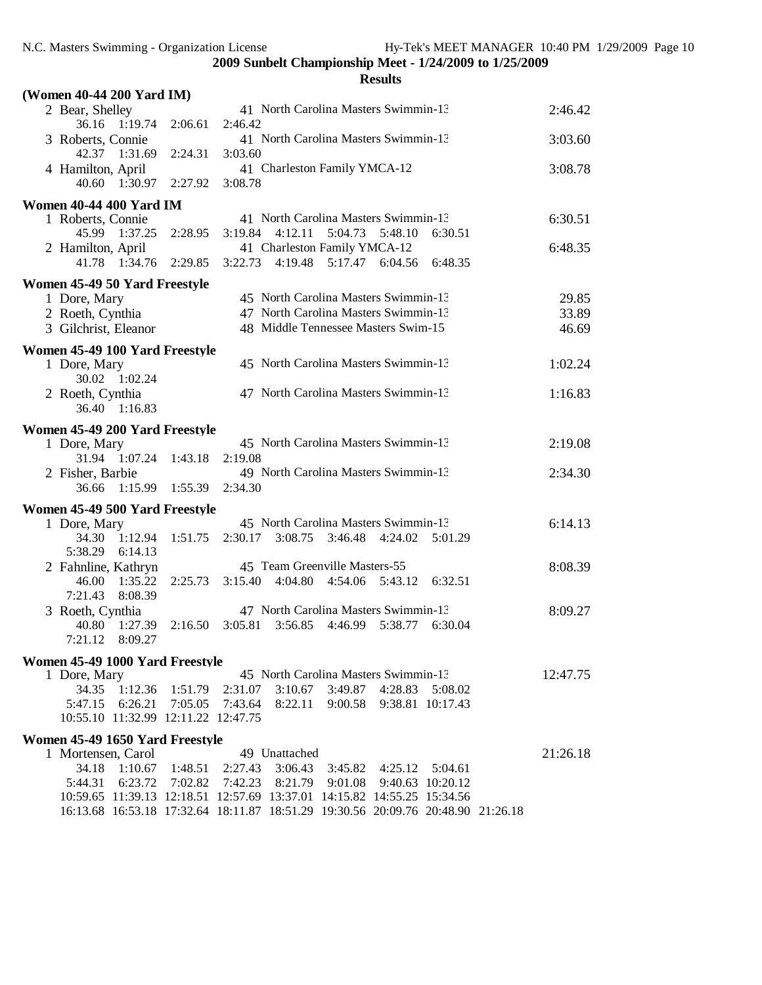| (Women 40-44 200 Yard IM)                   |                     |                                                                                  |          |
|---------------------------------------------|---------------------|----------------------------------------------------------------------------------|----------|
| 2 Bear, Shelley<br>36.16 1:19.74            | 2:06.61             | 41 North Carolina Masters Swimmin-13<br>2:46.42                                  | 2:46.42  |
| 3 Roberts, Connie                           |                     | 41 North Carolina Masters Swimmin-13                                             | 3:03.60  |
| 42.37 1:31.69<br>4 Hamilton, April          | 2:24.31             | 3:03.60<br>41 Charleston Family YMCA-12                                          | 3:08.78  |
| 40.60 1:30.97                               | 2:27.92             | 3:08.78                                                                          |          |
| Women 40-44 400 Yard IM                     |                     |                                                                                  |          |
| 1 Roberts, Connie                           |                     | 41 North Carolina Masters Swimmin-13                                             | 6:30.51  |
| 45.99 1:37.25                               | 2:28.95             | $3:19.84$ $4:12.11$<br>5:04.73<br>5:48.10<br>6:30.51                             |          |
| 2 Hamilton, April                           |                     | 41 Charleston Family YMCA-12                                                     | 6:48.35  |
| 41.78 1:34.76                               | 2:29.85             | 3:22.73 4:19.48 5:17.47 6:04.56<br>6:48.35                                       |          |
| Women 45-49 50 Yard Freestyle               |                     |                                                                                  |          |
| 1 Dore, Mary                                |                     | 45 North Carolina Masters Swimmin-13                                             | 29.85    |
| 2 Roeth, Cynthia                            |                     | 47 North Carolina Masters Swimmin-13                                             | 33.89    |
| 3 Gilchrist, Eleanor                        |                     | 48 Middle Tennessee Masters Swim-15                                              | 46.69    |
| Women 45-49 100 Yard Freestyle              |                     |                                                                                  |          |
| 1 Dore, Mary<br>30.02 1:02.24               |                     | 45 North Carolina Masters Swimmin-13                                             | 1:02.24  |
| 2 Roeth, Cynthia                            |                     | 47 North Carolina Masters Swimmin-13                                             | 1:16.83  |
| 36.40 1:16.83                               |                     |                                                                                  |          |
| Women 45-49 200 Yard Freestyle              |                     |                                                                                  |          |
| 1 Dore, Mary                                |                     | 45 North Carolina Masters Swimmin-13                                             | 2:19.08  |
| 31.94 1:07.24                               | 1:43.18             | 2:19.08                                                                          |          |
| 2 Fisher, Barbie                            |                     | 49 North Carolina Masters Swimmin-13                                             | 2:34.30  |
| 36.66 1:15.99                               | 1:55.39             | 2:34.30                                                                          |          |
| Women 45-49 500 Yard Freestyle              |                     |                                                                                  |          |
| 1 Dore, Mary                                |                     | 45 North Carolina Masters Swimmin-13                                             | 6:14.13  |
| 34.30 1:12.94 1:51.75<br>5:38.29<br>6:14.13 |                     | 2:30.17<br>$3:08.75$ $3:46.48$ $4:24.02$<br>5:01.29                              |          |
| 2 Fahnline, Kathryn                         |                     | 45 Team Greenville Masters-55                                                    | 8:08.39  |
| 46.00<br>1:35.22                            | 2:25.73             | 3:15.40 4:04.80 4:54.06<br>5:43.12<br>6:32.51                                    |          |
| 7:21.43<br>8:08.39                          |                     |                                                                                  |          |
| 3 Roeth, Cynthia                            |                     | 47 North Carolina Masters Swimmin-13                                             | 8:09.27  |
| 40.80 1:27.39<br>7:21.12<br>8:09.27         | 2:16.50             | 3:05.81<br>3:56.85<br>4:46.99<br>5:38.77<br>6:30.04                              |          |
|                                             |                     |                                                                                  |          |
| Women 45-49 1000 Yard Freestyle             |                     | 45 North Carolina Masters Swimmin-13                                             | 12:47.75 |
| 1 Dore, Mary<br>34.35<br>1:12.36            | 1:51.79             | 2:31.07<br>3:10.67<br>3:49.87<br>4:28.83<br>5:08.02                              |          |
| 6:26.21<br>5:47.15                          | 7:05.05             | 7:43.64<br>8:22.11<br>9:00.58<br>9:38.81 10:17.43                                |          |
| 10:55.10 11:32.99 12:11.22 12:47.75         |                     |                                                                                  |          |
| Women 45-49 1650 Yard Freestyle             |                     |                                                                                  |          |
| 1 Mortensen, Carol                          |                     | 49 Unattached                                                                    | 21:26.18 |
| 34.18                                       | $1:10.67$ $1:48.51$ | 2:27.43<br>3:06.43<br>3:45.82 4:25.12<br>5:04.61                                 |          |
| 5:44.31                                     |                     | 6:23.72 7:02.82 7:42.23 8:21.79 9:01.08<br>9:40.63 10:20.12                      |          |
|                                             |                     | 10:59.65 11:39.13 12:18.51 12:57.69 13:37.01 14:15.82 14:55.25 15:34.56          |          |
|                                             |                     | 16:13.68 16:53.18 17:32.64 18:11.87 18:51.29 19:30.56 20:09.76 20:48.90 21:26.18 |          |
|                                             |                     |                                                                                  |          |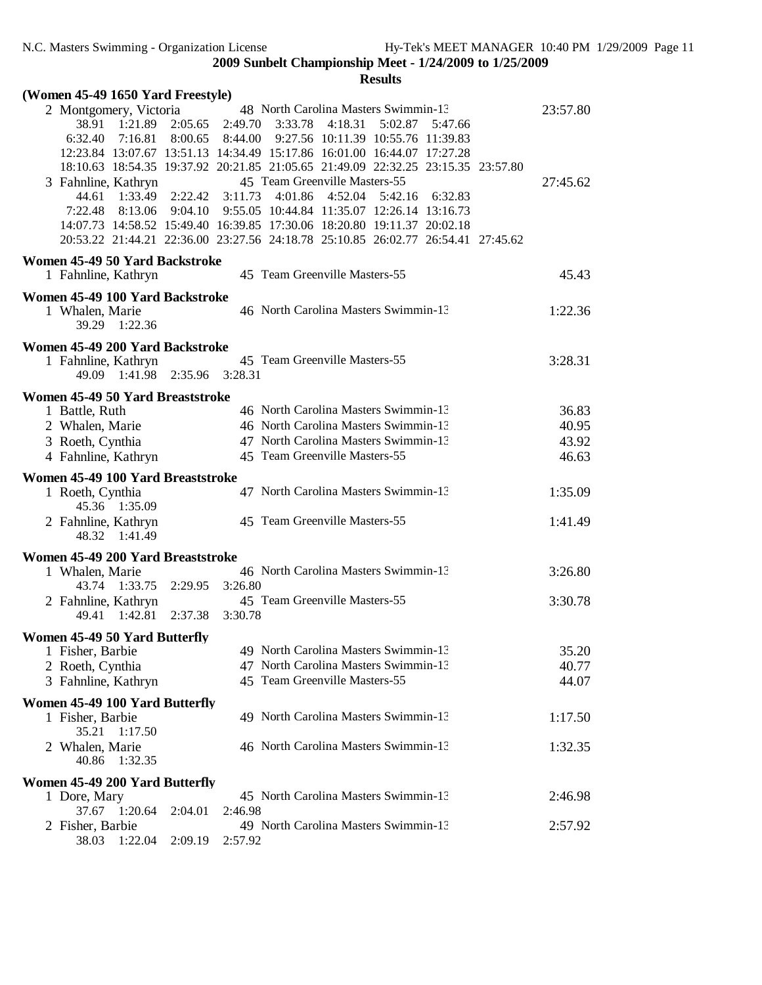| (Women 45-49 1650 Yard Freestyle)                     |                 |                                                                                                                                                                                                                   |          |
|-------------------------------------------------------|-----------------|-------------------------------------------------------------------------------------------------------------------------------------------------------------------------------------------------------------------|----------|
| 2 Montgomery, Victoria<br>38.91 1:21.89               |                 | 48 North Carolina Masters Swimmin-13<br>2:05.65 2:49.70 3:33.78<br>4:18.31<br>5:02.87<br>5:47.66                                                                                                                  | 23:57.80 |
| 6:32.40<br>7:16.81                                    |                 | 8:00.65 8:44.00 9:27.56 10:11.39 10:55.76 11:39.83<br>12:23.84 13:07.67 13:51.13 14:34.49 15:17.86 16:01.00 16:44.07 17:27.28<br>18:10.63 18:54.35 19:37.92 20:21.85 21:05.65 21:49.09 22:32.25 23:15.35 23:57.80 |          |
| 3 Fahnline, Kathryn                                   |                 | 45 Team Greenville Masters-55                                                                                                                                                                                     | 27:45.62 |
| 1:33.49<br>44.61<br>7:22.48                           | 8:13.06 9:04.10 | 2:22.42 3:11.73 4:01.86<br>4:52.04<br>5:42.16<br>6:32.83<br>9:55.05 10:44.84 11:35.07 12:26.14 13:16.73<br>14:07.73 14:58.52 15:49.40 16:39.85 17:30.06 18:20.80 19:11.37 20:02.18                                |          |
|                                                       |                 | 20:53.22 21:44.21 22:36.00 23:27.56 24:18.78 25:10.85 26:02.77 26:54.41 27:45.62                                                                                                                                  |          |
| Women 45-49 50 Yard Backstroke<br>1 Fahnline, Kathryn |                 | 45 Team Greenville Masters-55                                                                                                                                                                                     | 45.43    |
| Women 45-49 100 Yard Backstroke                       |                 |                                                                                                                                                                                                                   |          |
| 1 Whalen, Marie<br>39.29 1:22.36                      |                 | 46 North Carolina Masters Swimmin-13                                                                                                                                                                              | 1:22.36  |
| Women 45-49 200 Yard Backstroke                       |                 |                                                                                                                                                                                                                   |          |
| 1 Fahnline, Kathryn<br>49.09 1:41.98 2:35.96 3:28.31  |                 | 45 Team Greenville Masters-55                                                                                                                                                                                     | 3:28.31  |
| Women 45-49 50 Yard Breaststroke                      |                 |                                                                                                                                                                                                                   |          |
| 1 Battle, Ruth                                        |                 | 46 North Carolina Masters Swimmin-13                                                                                                                                                                              | 36.83    |
| 2 Whalen, Marie                                       |                 | 46 North Carolina Masters Swimmin-13                                                                                                                                                                              | 40.95    |
| 3 Roeth, Cynthia                                      |                 | 47 North Carolina Masters Swimmin-13                                                                                                                                                                              | 43.92    |
| 4 Fahnline, Kathryn                                   |                 | 45 Team Greenville Masters-55                                                                                                                                                                                     | 46.63    |
| Women 45-49 100 Yard Breaststroke                     |                 |                                                                                                                                                                                                                   |          |
|                                                       |                 | 47 North Carolina Masters Swimmin-13                                                                                                                                                                              |          |
| 1 Roeth, Cynthia<br>45.36 1:35.09                     |                 |                                                                                                                                                                                                                   | 1:35.09  |
| 2 Fahnline, Kathryn<br>48.32 1:41.49                  |                 | 45 Team Greenville Masters-55                                                                                                                                                                                     | 1:41.49  |
| Women 45-49 200 Yard Breaststroke                     |                 |                                                                                                                                                                                                                   |          |
| 1 Whalen, Marie<br>43.74 1:33.75 2:29.95 3:26.80      |                 | 46 North Carolina Masters Swimmin-13                                                                                                                                                                              | 3:26.80  |
| 2 Fahnline, Kathryn<br>49.41 1:42.81 2:37.38 3:30.78  |                 | 45 Team Greenville Masters-55                                                                                                                                                                                     | 3:30.78  |
| Women 45-49 50 Yard Butterfly                         |                 |                                                                                                                                                                                                                   |          |
| 1 Fisher, Barbie                                      |                 | 49 North Carolina Masters Swimmin-13                                                                                                                                                                              | 35.20    |
| 2 Roeth, Cynthia                                      |                 | 47 North Carolina Masters Swimmin-13                                                                                                                                                                              | 40.77    |
| 3 Fahnline, Kathryn                                   |                 | 45 Team Greenville Masters-55                                                                                                                                                                                     | 44.07    |
| Women 45-49 100 Yard Butterfly                        |                 |                                                                                                                                                                                                                   |          |
| 1 Fisher, Barbie<br>35.21<br>1:17.50                  |                 | 49 North Carolina Masters Swimmin-13                                                                                                                                                                              | 1:17.50  |
| 2 Whalen, Marie<br>40.86<br>1:32.35                   |                 | 46 North Carolina Masters Swimmin-13                                                                                                                                                                              | 1:32.35  |
| Women 45-49 200 Yard Butterfly                        |                 |                                                                                                                                                                                                                   |          |
| 1 Dore, Mary<br>37.67                                 |                 | 45 North Carolina Masters Swimmin-13<br>2:46.98                                                                                                                                                                   | 2:46.98  |
| 1:20.64<br>2 Fisher, Barbie                           | 2:04.01         | 49 North Carolina Masters Swimmin-13                                                                                                                                                                              | 2:57.92  |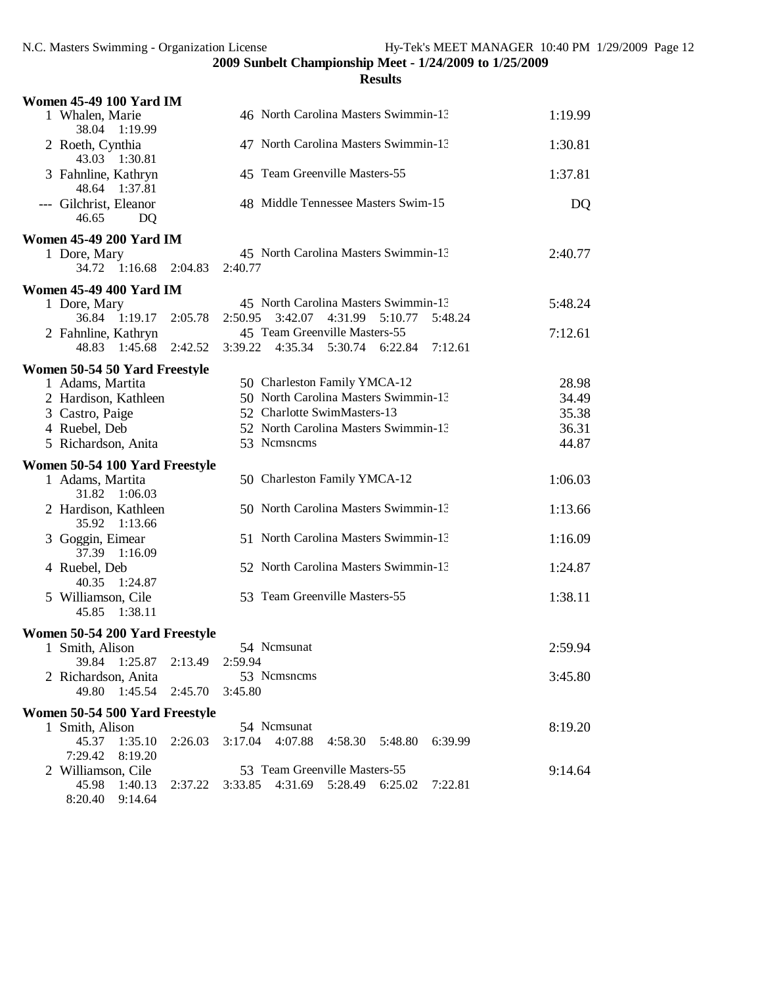| <b>Women 45-49 100 Yard IM</b>                    |                                                             |         |
|---------------------------------------------------|-------------------------------------------------------------|---------|
| 1 Whalen, Marie<br>38.04 1:19.99                  | 46 North Carolina Masters Swimmin-13                        | 1:19.99 |
| 2 Roeth, Cynthia<br>43.03<br>1:30.81              | 47 North Carolina Masters Swimmin-13                        | 1:30.81 |
| 3 Fahnline, Kathryn<br>48.64 1:37.81              | 45 Team Greenville Masters-55                               | 1:37.81 |
| --- Gilchrist, Eleanor<br>DQ<br>46.65             | 48 Middle Tennessee Masters Swim-15                         | DQ      |
| <b>Women 45-49 200 Yard IM</b>                    |                                                             |         |
| 1 Dore, Mary<br>34.72 1:16.68                     | 45 North Carolina Masters Swimmin-13<br>2:40.77<br>2:04.83  | 2:40.77 |
| <b>Women 45-49 400 Yard IM</b>                    |                                                             |         |
| 1 Dore, Mary                                      | 45 North Carolina Masters Swimmin-13                        | 5:48.24 |
| 36.84 1:19.17                                     | 3:42.07<br>4:31.99 5:10.77<br>2:05.78<br>2:50.95<br>5:48.24 |         |
| 2 Fahnline, Kathryn                               | 45 Team Greenville Masters-55                               | 7:12.61 |
| 48.83<br>1:45.68                                  | 2:42.52<br>3:39.22 4:35.34 5:30.74 6:22.84<br>7:12.61       |         |
| Women 50-54 50 Yard Freestyle                     |                                                             |         |
| 1 Adams, Martita                                  | 50 Charleston Family YMCA-12                                | 28.98   |
| 2 Hardison, Kathleen                              | 50 North Carolina Masters Swimmin-13                        | 34.49   |
| 3 Castro, Paige                                   | 52 Charlotte SwimMasters-13                                 | 35.38   |
| 4 Ruebel, Deb                                     | 52 North Carolina Masters Swimmin-13                        | 36.31   |
| 5 Richardson, Anita                               | 53 Nemsnems                                                 | 44.87   |
| Women 50-54 100 Yard Freestyle                    |                                                             |         |
|                                                   | 50 Charleston Family YMCA-12                                |         |
| 1 Adams, Martita<br>31.82 1:06.03                 |                                                             | 1:06.03 |
| 2 Hardison, Kathleen<br>35.92 1:13.66             | 50 North Carolina Masters Swimmin-13                        | 1:13.66 |
| 3 Goggin, Eimear                                  | 51 North Carolina Masters Swimmin-13                        | 1:16.09 |
| 37.39 1:16.09<br>4 Ruebel, Deb<br>40.35 1:24.87   | 52 North Carolina Masters Swimmin-13                        | 1:24.87 |
| 5 Williamson, Cile<br>45.85 1:38.11               | 53 Team Greenville Masters-55                               | 1:38.11 |
|                                                   |                                                             |         |
| Women 50-54 200 Yard Freestyle<br>1 Smith, Alison | 54 Ncmsunat                                                 | 2:59.94 |
| 39.84 1:25.87                                     | 2:59.94<br>2:13.49                                          |         |
| 2 Richardson, Anita                               | 53 Nemsnems                                                 | 3:45.80 |
| 49.80<br>1:45.54                                  | 2:45.70<br>3:45.80                                          |         |
| Women 50-54 500 Yard Freestyle                    |                                                             |         |
| 1 Smith, Alison                                   | 54 Nemsunat                                                 | 8:19.20 |
| 45.37<br>1:35.10<br>7:29.42<br>8:19.20            | 3:17.04 4:07.88<br>2:26.03<br>4:58.30<br>6:39.99<br>5:48.80 |         |
| 2 Williamson, Cile                                | 53 Team Greenville Masters-55<br>4:31.69<br>5:28.49         | 9:14.64 |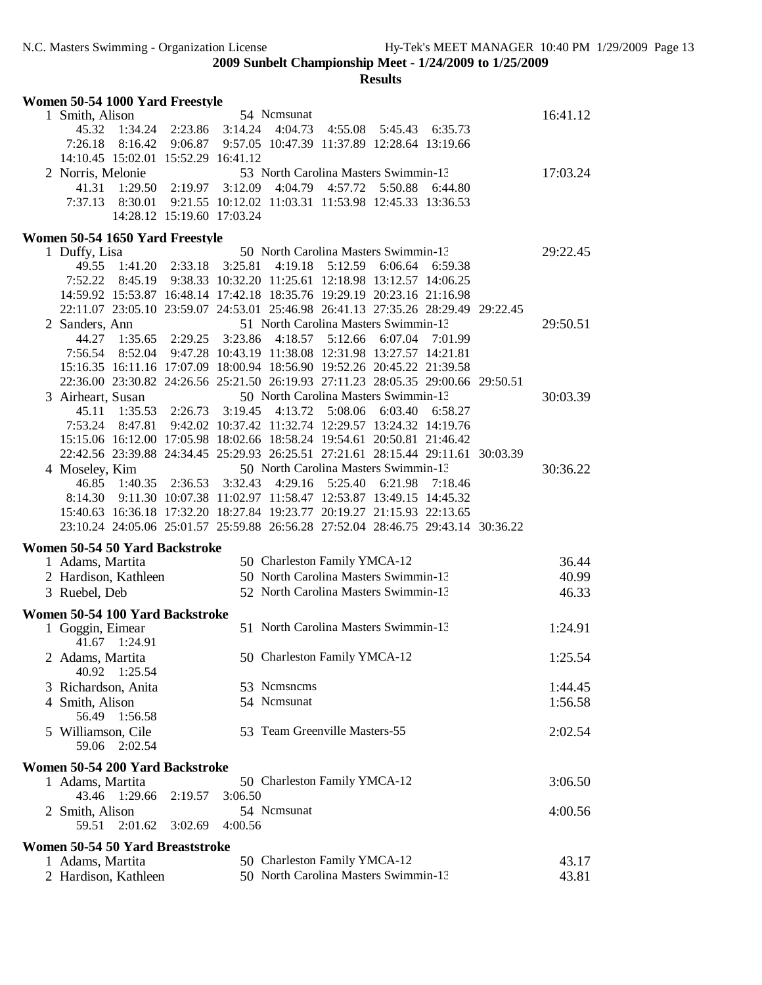| Women 50-54 1000 Yard Freestyle                                                  |                                                               |                 |                                                      |         |         |         |          |
|----------------------------------------------------------------------------------|---------------------------------------------------------------|-----------------|------------------------------------------------------|---------|---------|---------|----------|
| 1 Smith, Alison                                                                  |                                                               |                 | 54 Nemsunat                                          |         |         |         | 16:41.12 |
| 45.32                                                                            | 1:34.24 2:23.86 3:14.24                                       |                 | 4:04.73                                              | 4:55.08 | 5:45.43 | 6:35.73 |          |
| 7:26.18                                                                          | 8:16.42 9:06.87                                               |                 | 9:57.05 10:47.39 11:37.89 12:28.64 13:19.66          |         |         |         |          |
| 14:10.45 15:02.01 15:52.29 16:41.12                                              |                                                               |                 |                                                      |         |         |         |          |
| 2 Norris, Melonie                                                                |                                                               |                 | 53 North Carolina Masters Swimmin-13                 |         |         |         | 17:03.24 |
| 41.31<br>1:29.50                                                                 |                                                               | 2:19.97 3:12.09 | 4:04.79                                              | 4:57.72 | 5:50.88 | 6:44.80 |          |
| 7:37.13<br>8:30.01                                                               |                                                               |                 | 9:21.55 10:12.02 11:03.31 11:53.98 12:45.33 13:36.53 |         |         |         |          |
|                                                                                  | 14:28.12 15:19.60 17:03.24                                    |                 |                                                      |         |         |         |          |
| Women 50-54 1650 Yard Freestyle                                                  |                                                               |                 |                                                      |         |         |         |          |
| 1 Duffy, Lisa                                                                    |                                                               |                 | 50 North Carolina Masters Swimmin-13                 |         |         |         | 29:22.45 |
| 49.55                                                                            | 1:41.20 2:33.18                                               | 3:25.81         | 4:19.18                                              | 5:12.59 | 6:06.64 | 6:59.38 |          |
| 7:52.22                                                                          | 8:45.19 9:38.33 10:32.20 11:25.61 12:18.98 13:12.57 14:06.25  |                 |                                                      |         |         |         |          |
| 14:59.92 15:53.87 16:48.14 17:42.18 18:35.76 19:29.19 20:23.16 21:16.98          |                                                               |                 |                                                      |         |         |         |          |
| 22:11.07 23:05.10 23:59.07 24:53.01 25:46.98 26:41.13 27:35.26 28:29.49 29:22.45 |                                                               |                 |                                                      |         |         |         |          |
| 2 Sanders, Ann                                                                   |                                                               |                 | 51 North Carolina Masters Swimmin-13                 |         |         |         | 29:50.51 |
| 44.27<br>1:35.65                                                                 | 2:29.25                                                       | 3:23.86         | 4:18.57                                              | 5:12.66 | 6:07.04 | 7:01.99 |          |
| 7:56.54<br>8:52.04                                                               |                                                               |                 | 9:47.28 10:43.19 11:38.08 12:31.98 13:27.57 14:21.81 |         |         |         |          |
| 15:16.35 16:11.16 17:07.09 18:00.94 18:56.90 19:52.26 20:45.22 21:39.58          |                                                               |                 |                                                      |         |         |         |          |
| 22:36.00 23:30.82 24:26.56 25:21.50 26:19.93 27:11.23 28:05.35 29:00.66 29:50.51 |                                                               |                 |                                                      |         |         |         |          |
| 3 Airheart, Susan                                                                |                                                               |                 | 50 North Carolina Masters Swimmin-13                 |         |         |         | 30:03.39 |
| 45.11<br>1:35.53                                                                 | 2:26.73                                                       | 3:19.45         | 4:13.72                                              | 5:08.06 | 6:03.40 | 6:58.27 |          |
| 7:53.24 8:47.81 9:42.02 10:37.42 11:32.74 12:29.57 13:24.32 14:19.76             |                                                               |                 |                                                      |         |         |         |          |
| 15:15.06 16:12.00 17:05.98 18:02.66 18:58.24 19:54.61 20:50.81 21:46.42          |                                                               |                 |                                                      |         |         |         |          |
| 22:42.56 23:39.88 24:34.45 25:29.93 26:25.51 27:21.61 28:15.44 29:11.61 30:03.39 |                                                               |                 |                                                      |         |         |         |          |
| 4 Moseley, Kim                                                                   |                                                               |                 | 50 North Carolina Masters Swimmin-13                 |         |         |         | 30:36.22 |
| 1:40.35<br>46.85                                                                 |                                                               | 2:36.53 3:32.43 | 4:29.16                                              | 5:25.40 | 6:21.98 | 7:18.46 |          |
| 8:14.30                                                                          | 9:11.30 10:07.38 11:02.97 11:58.47 12:53.87 13:49.15 14:45.32 |                 |                                                      |         |         |         |          |
| 15:40.63 16:36.18 17:32.20 18:27.84 19:23.77 20:19.27 21:15.93 22:13.65          |                                                               |                 |                                                      |         |         |         |          |
| 23:10.24 24:05.06 25:01.57 25:59.88 26:56.28 27:52.04 28:46.75 29:43.14 30:36.22 |                                                               |                 |                                                      |         |         |         |          |
| Women 50-54 50 Yard Backstroke                                                   |                                                               |                 |                                                      |         |         |         |          |
| 1 Adams, Martita                                                                 |                                                               |                 | 50 Charleston Family YMCA-12                         |         |         |         | 36.44    |
| 2 Hardison, Kathleen                                                             |                                                               |                 | 50 North Carolina Masters Swimmin-13                 |         |         |         | 40.99    |
| 3 Ruebel, Deb                                                                    |                                                               |                 | 52 North Carolina Masters Swimmin-13                 |         |         |         | 46.33    |
|                                                                                  |                                                               |                 |                                                      |         |         |         |          |
| Women 50-54 100 Yard Backstroke                                                  |                                                               |                 |                                                      |         |         |         |          |
| 1 Goggin, Eimear                                                                 |                                                               |                 | 51 North Carolina Masters Swimmin-13                 |         |         |         | 1:24.91  |
| 1:24.91<br>41.67                                                                 |                                                               |                 |                                                      |         |         |         |          |
| 2 Adams, Martita                                                                 |                                                               |                 | 50 Charleston Family YMCA-12                         |         |         |         | 1:25.54  |
| 1:25.54<br>40.92                                                                 |                                                               |                 |                                                      |         |         |         |          |
| 3 Richardson, Anita                                                              |                                                               |                 | 53 Nemsnems                                          |         |         |         | 1:44.45  |
| 4 Smith, Alison                                                                  |                                                               |                 | 54 Ncmsunat                                          |         |         |         | 1:56.58  |
| 56.49<br>1:56.58                                                                 |                                                               |                 |                                                      |         |         |         |          |
| 5 Williamson, Cile                                                               |                                                               |                 | 53 Team Greenville Masters-55                        |         |         |         | 2:02.54  |
| 59.06 2:02.54                                                                    |                                                               |                 |                                                      |         |         |         |          |
| Women 50-54 200 Yard Backstroke                                                  |                                                               |                 |                                                      |         |         |         |          |
| 1 Adams, Martita                                                                 |                                                               |                 | 50 Charleston Family YMCA-12                         |         |         |         | 3:06.50  |
| 43.46 1:29.66                                                                    | 2:19.57                                                       | 3:06.50         |                                                      |         |         |         |          |
| 2 Smith, Alison                                                                  |                                                               |                 | 54 Ncmsunat                                          |         |         |         | 4:00.56  |
| 59.51<br>2:01.62                                                                 | 3:02.69                                                       | 4:00.56         |                                                      |         |         |         |          |
|                                                                                  |                                                               |                 |                                                      |         |         |         |          |
| Women 50-54 50 Yard Breaststroke                                                 |                                                               |                 |                                                      |         |         |         |          |
| 1 Adams, Martita                                                                 |                                                               |                 | 50 Charleston Family YMCA-12                         |         |         |         | 43.17    |
| 2 Hardison, Kathleen                                                             |                                                               |                 | 50 North Carolina Masters Swimmin-13                 |         |         |         | 43.81    |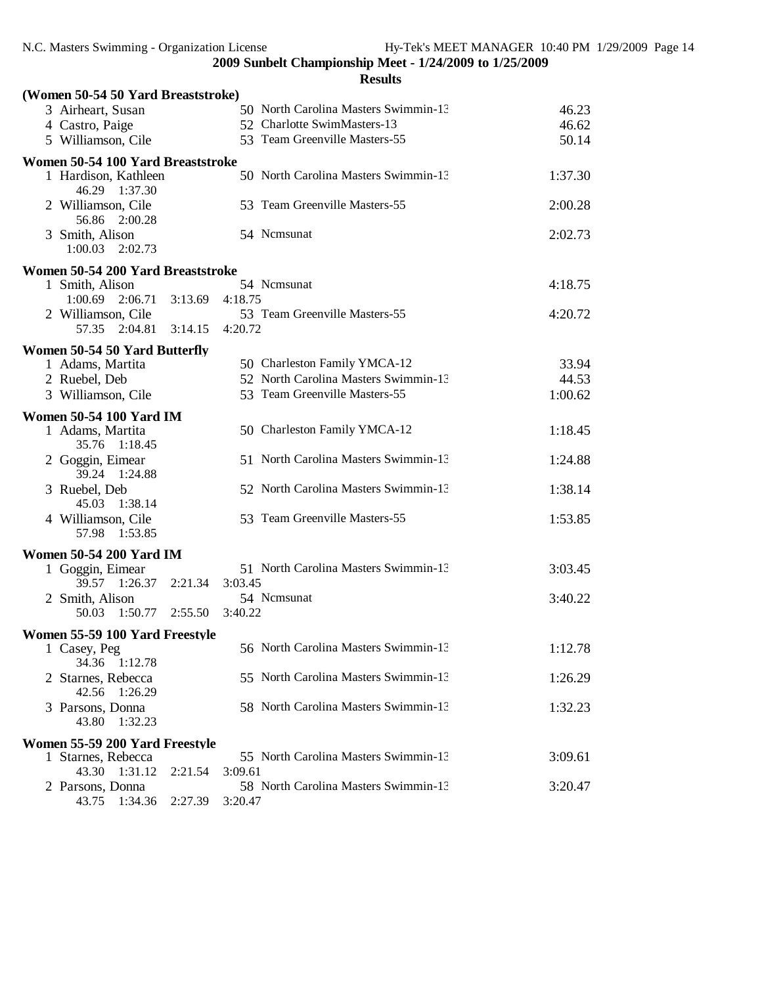| (Women 50-54 50 Yard Breaststroke)     |                                      |         |
|----------------------------------------|--------------------------------------|---------|
| 3 Airheart, Susan                      | 50 North Carolina Masters Swimmin-13 | 46.23   |
| 4 Castro, Paige                        | 52 Charlotte SwimMasters-13          | 46.62   |
| 5 Williamson, Cile                     | 53 Team Greenville Masters-55        | 50.14   |
| Women 50-54 100 Yard Breaststroke      |                                      |         |
| 1 Hardison, Kathleen<br>46.29 1:37.30  | 50 North Carolina Masters Swimmin-13 | 1:37.30 |
| 2 Williamson, Cile<br>56.86 2:00.28    | 53 Team Greenville Masters-55        | 2:00.28 |
| 3 Smith, Alison<br>1:00.03<br>2:02.73  | 54 Ncmsunat                          | 2:02.73 |
| Women 50-54 200 Yard Breaststroke      |                                      |         |
| 1 Smith, Alison                        | 54 Nemsunat                          | 4:18.75 |
| $1:00.69$ $2:06.71$ $3:13.69$          | 4:18.75                              |         |
| 2 Williamson, Cile                     | 53 Team Greenville Masters-55        | 4:20.72 |
| 57.35 2:04.81 3:14.15                  | 4:20.72                              |         |
| Women 50-54 50 Yard Butterfly          |                                      |         |
| 1 Adams, Martita                       | 50 Charleston Family YMCA-12         | 33.94   |
| 2 Ruebel, Deb                          | 52 North Carolina Masters Swimmin-13 | 44.53   |
| 3 Williamson, Cile                     | 53 Team Greenville Masters-55        | 1:00.62 |
| <b>Women 50-54 100 Yard IM</b>         |                                      |         |
| 1 Adams, Martita                       | 50 Charleston Family YMCA-12         | 1:18.45 |
| 35.76 1:18.45                          |                                      |         |
| 2 Goggin, Eimear<br>39.24 1:24.88      | 51 North Carolina Masters Swimmin-13 | 1:24.88 |
| 3 Ruebel, Deb<br>45.03 1:38.14         | 52 North Carolina Masters Swimmin-13 | 1:38.14 |
| 4 Williamson, Cile<br>57.98 1:53.85    | 53 Team Greenville Masters-55        | 1:53.85 |
| <b>Women 50-54 200 Yard IM</b>         |                                      |         |
| 1 Goggin, Eimear                       | 51 North Carolina Masters Swimmin-13 | 3:03.45 |
| 39.57 1:26.37<br>2:21.34               | 3:03.45                              |         |
| 2 Smith, Alison                        | 54 Ncmsunat                          | 3:40.22 |
| 50.03 1:50.77 2:55.50                  | 3:40.22                              |         |
| Women 55-59 100 Yard Freestyle         |                                      |         |
| 1 Casey, Peg<br>34.36<br>1:12.78       | 56 North Carolina Masters Swimmin-13 | 1:12.78 |
| 2 Starnes, Rebecca<br>42.56<br>1:26.29 | 55 North Carolina Masters Swimmin-13 | 1:26.29 |
| 3 Parsons, Donna<br>43.80<br>1:32.23   | 58 North Carolina Masters Swimmin-13 | 1:32.23 |
| Women 55-59 200 Yard Freestyle         |                                      |         |
| 1 Starnes, Rebecca                     | 55 North Carolina Masters Swimmin-13 | 3:09.61 |
| 43.30<br>1:31.12<br>2:21.54            | 3:09.61                              |         |
| 2 Parsons, Donna                       | 58 North Carolina Masters Swimmin-13 | 3:20.47 |
| 43.75<br>1:34.36<br>2:27.39            | 3:20.47                              |         |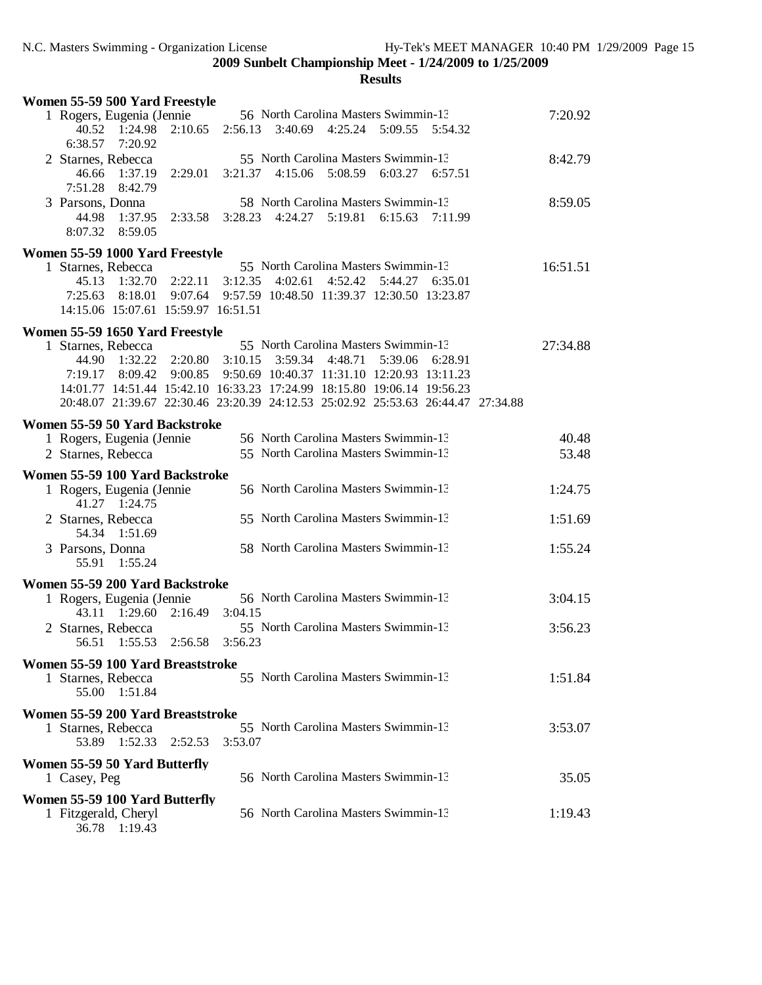| Women 55-59 500 Yard Freestyle                                                                                                                                                                                                                              |                    |                                                                                 |                                      |         |                                                                                                |         |                |
|-------------------------------------------------------------------------------------------------------------------------------------------------------------------------------------------------------------------------------------------------------------|--------------------|---------------------------------------------------------------------------------|--------------------------------------|---------|------------------------------------------------------------------------------------------------|---------|----------------|
| 1 Rogers, Eugenia (Jennie<br>40.52<br>1:24.98<br>6:38.57 7:20.92                                                                                                                                                                                            | 2:10.65            | 2:56.13                                                                         | 3:40.69                              | 4:25.24 | 56 North Carolina Masters Swimmin-13<br>5:09.55                                                | 5:54.32 | 7:20.92        |
| 2 Starnes, Rebecca<br>46.66<br>1:37.19<br>7:51.28<br>8:42.79                                                                                                                                                                                                | 2:29.01            |                                                                                 |                                      |         | 55 North Carolina Masters Swimmin-13<br>3:21.37 4:15.06 5:08.59 6:03.27 6:57.51                |         | 8:42.79        |
| 3 Parsons, Donna<br>44.98<br>1:37.95<br>8:07.32<br>8:59.05                                                                                                                                                                                                  | 2:33.58            |                                                                                 |                                      |         | 58 North Carolina Masters Swimmin-13<br>3:28.23 4:24.27 5:19.81 6:15.63                        | 7:11.99 | 8:59.05        |
| Women 55-59 1000 Yard Freestyle                                                                                                                                                                                                                             |                    |                                                                                 |                                      |         |                                                                                                |         |                |
| 1 Starnes, Rebecca<br>45.13<br>1:32.70<br>7:25.63<br>8:18.01<br>14:15.06 15:07.61 15:59.97 16:51.51                                                                                                                                                         | 2:22.11<br>9:07.64 | 3:12.35                                                                         | 4:02.61                              | 4:52.42 | 55 North Carolina Masters Swimmin-13<br>5:44.27<br>9:57.59 10:48.50 11:39.37 12:30.50 13:23.87 | 6:35.01 | 16:51.51       |
|                                                                                                                                                                                                                                                             |                    |                                                                                 |                                      |         |                                                                                                |         |                |
| Women 55-59 1650 Yard Freestyle<br>1 Starnes, Rebecca<br>44.90 1:32.22<br>7:19.17<br>8:09.42<br>14:01.77 14:51.44 15:42.10 16:33.23 17:24.99 18:15.80 19:06.14 19:56.23<br>20:48.07 21:39.67 22:30.46 23:20.39 24:12.53 25:02.92 25:53.63 26:44.47 27:34.88 |                    | $2:20.80$ $3:10.15$<br>9:00.85  9:50.69  10:40.37  11:31.10  12:20.93  13:11.23 | 3:59.34                              | 4:48.71 | 55 North Carolina Masters Swimmin-13<br>5:39.06                                                | 6:28.91 | 27:34.88       |
| Women 55-59 50 Yard Backstroke                                                                                                                                                                                                                              |                    |                                                                                 |                                      |         |                                                                                                |         |                |
| 1 Rogers, Eugenia (Jennie<br>2 Starnes, Rebecca                                                                                                                                                                                                             |                    |                                                                                 |                                      |         | 56 North Carolina Masters Swimmin-13<br>55 North Carolina Masters Swimmin-13                   |         | 40.48<br>53.48 |
| Women 55-59 100 Yard Backstroke                                                                                                                                                                                                                             |                    |                                                                                 |                                      |         |                                                                                                |         | 1:24.75        |
| 1 Rogers, Eugenia (Jennie<br>41.27 1:24.75                                                                                                                                                                                                                  |                    |                                                                                 | 56 North Carolina Masters Swimmin-13 |         |                                                                                                |         |                |
| 2 Starnes, Rebecca<br>54.34 1:51.69                                                                                                                                                                                                                         |                    |                                                                                 |                                      |         | 55 North Carolina Masters Swimmin-13                                                           |         | 1:51.69        |
| 3 Parsons, Donna<br>55.91<br>1:55.24                                                                                                                                                                                                                        |                    |                                                                                 |                                      |         | 58 North Carolina Masters Swimmin-13                                                           |         | 1:55.24        |
| Women 55-59 200 Yard Backstroke<br>1 Rogers, Eugenia (Jennie                                                                                                                                                                                                |                    |                                                                                 |                                      |         | 56 North Carolina Masters Swimmin-13                                                           |         | 3:04.15        |
| 43.11 1:29.60<br>2 Starnes, Rebecca<br>56.51<br>1:55.53                                                                                                                                                                                                     | 2:56.58            | 2:16.49 3:04.15<br>3:56.23                                                      |                                      |         | 55 North Carolina Masters Swimmin-13                                                           |         | 3:56.23        |
| Women 55-59 100 Yard Breaststroke<br>1 Starnes, Rebecca<br>55.00 1:51.84                                                                                                                                                                                    |                    |                                                                                 |                                      |         | 55 North Carolina Masters Swimmin-13                                                           |         | 1:51.84        |
| Women 55-59 200 Yard Breaststroke<br>1 Starnes, Rebecca<br>53.89<br>1:52.33                                                                                                                                                                                 | 2:52.53            | 3:53.07                                                                         |                                      |         | 55 North Carolina Masters Swimmin-13                                                           |         | 3:53.07        |
| Women 55-59 50 Yard Butterfly<br>1 Casey, Peg                                                                                                                                                                                                               |                    |                                                                                 |                                      |         | 56 North Carolina Masters Swimmin-13                                                           |         | 35.05          |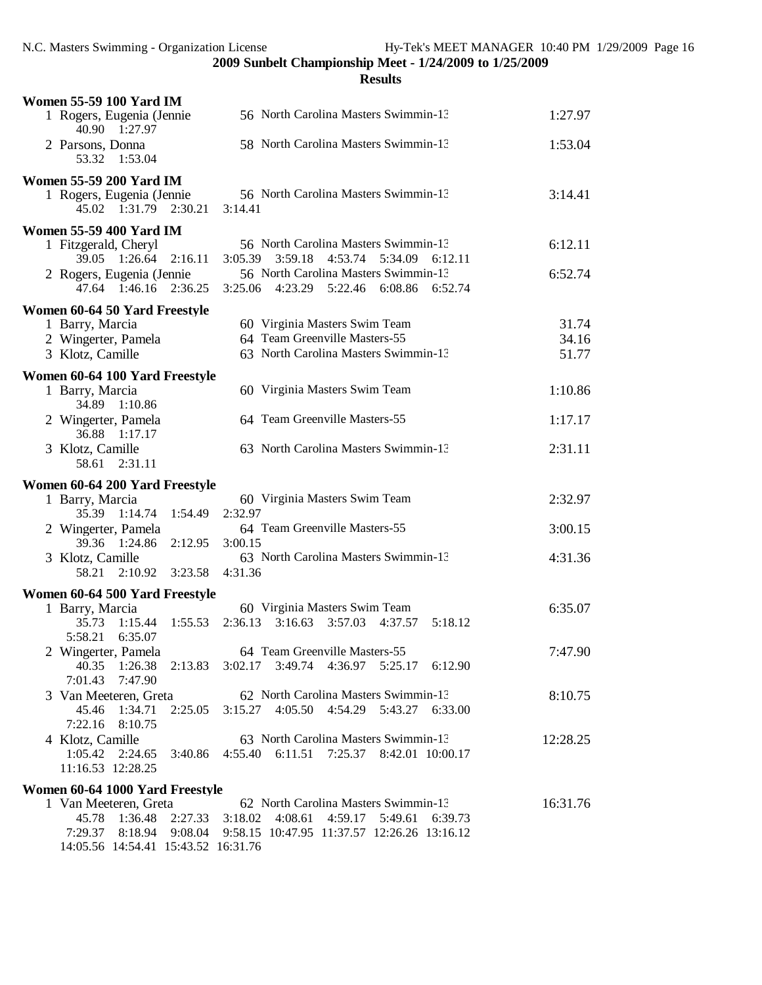14:05.56 14:54.41 15:43.52 16:31.76

| <b>Women 55-59 100 Yard IM</b>                     |                                                     |          |
|----------------------------------------------------|-----------------------------------------------------|----------|
| 1 Rogers, Eugenia (Jennie<br>40.90 1:27.97         | 56 North Carolina Masters Swimmin-13                | 1:27.97  |
| 2 Parsons, Donna<br>53.32 1:53.04                  | 58 North Carolina Masters Swimmin-13                | 1:53.04  |
| <b>Women 55-59 200 Yard IM</b>                     |                                                     |          |
| 1 Rogers, Eugenia (Jennie<br>45.02 1:31.79 2:30.21 | 56 North Carolina Masters Swimmin-13<br>3:14.41     | 3:14.41  |
| <b>Women 55-59 400 Yard IM</b>                     |                                                     |          |
| 1 Fitzgerald, Cheryl                               | 56 North Carolina Masters Swimmin-13                | 6:12.11  |
| 39.05 1:26.64 2:16.11                              | 3:59.18<br>4:53.74<br>5:34.09<br>3:05.39<br>6:12.11 |          |
| 2 Rogers, Eugenia (Jennie                          | 56 North Carolina Masters Swimmin-13                | 6:52.74  |
| 47.64 1:46.16 2:36.25                              | 4:23.29 5:22.46<br>3:25.06<br>6:08.86<br>6:52.74    |          |
| Women 60-64 50 Yard Freestyle                      |                                                     |          |
| 1 Barry, Marcia                                    | 60 Virginia Masters Swim Team                       | 31.74    |
| 2 Wingerter, Pamela                                | 64 Team Greenville Masters-55                       | 34.16    |
| 3 Klotz, Camille                                   | 63 North Carolina Masters Swimmin-13                | 51.77    |
| Women 60-64 100 Yard Freestyle                     |                                                     |          |
| 1 Barry, Marcia                                    | 60 Virginia Masters Swim Team                       | 1:10.86  |
| 34.89 1:10.86                                      |                                                     |          |
| 2 Wingerter, Pamela                                | 64 Team Greenville Masters-55                       | 1:17.17  |
| 36.88 1:17.17                                      |                                                     |          |
| 3 Klotz, Camille<br>58.61<br>2:31.11               | 63 North Carolina Masters Swimmin-13                | 2:31.11  |
| Women 60-64 200 Yard Freestyle                     |                                                     |          |
| 1 Barry, Marcia                                    | 60 Virginia Masters Swim Team                       | 2:32.97  |
| 35.39 1:14.74<br>1:54.49                           | 2:32.97                                             |          |
| 2 Wingerter, Pamela                                | 64 Team Greenville Masters-55                       | 3:00.15  |
| 39.36 1:24.86<br>2:12.95                           | 3:00.15                                             |          |
| 3 Klotz, Camille                                   | 63 North Carolina Masters Swimmin-13                | 4:31.36  |
| 2:10.92 3:23.58<br>58.21                           | 4:31.36                                             |          |
| Women 60-64 500 Yard Freestyle                     |                                                     |          |
| 1 Barry, Marcia                                    | 60 Virginia Masters Swim Team                       | 6:35.07  |
| 35.73<br>1:15.44<br>1:55.53                        | 2:36.13 3:16.63 3:57.03 4:37.57<br>5:18.12          |          |
| 5:58.21<br>6:35.07                                 |                                                     |          |
| 2 Wingerter, Pamela                                | 64 Team Greenville Masters-55                       | 7:47.90  |
| 40.35<br>1:26.38<br>2:13.83                        | $3:02.17$ $3:49.74$ $4:36.97$<br>5:25.17 6:12.90    |          |
| 7:01.43<br>7:47.90                                 |                                                     |          |
| 3 Van Meeteren, Greta                              | 62 North Carolina Masters Swimmin-13                | 8:10.75  |
| 45.46 1:34.71<br>2:25.05                           | 3:15.27 4:05.50 4:54.29 5:43.27 6:33.00             |          |
| 7:22.16 8:10.75                                    |                                                     |          |
| 4 Klotz, Camille                                   | 63 North Carolina Masters Swimmin-13                | 12:28.25 |
| 1:05.42<br>2:24.65<br>3:40.86                      | 4:55.40 6:11.51 7:25.37 8:42.01 10:00.17            |          |
| 11:16.53 12:28.25                                  |                                                     |          |
| Women 60-64 1000 Yard Freestyle                    |                                                     |          |
| 1 Van Meeteren, Greta                              | 62 North Carolina Masters Swimmin-13                | 16:31.76 |
| 45.78<br>1:36.48<br>2:27.33                        | 3:18.02<br>4:08.61<br>4:59.17<br>5:49.61<br>6:39.73 |          |
| 9:08.04<br>7:29.37<br>8:18.94                      | 9:58.15 10:47.95 11:37.57 12:26.26 13:16.12         |          |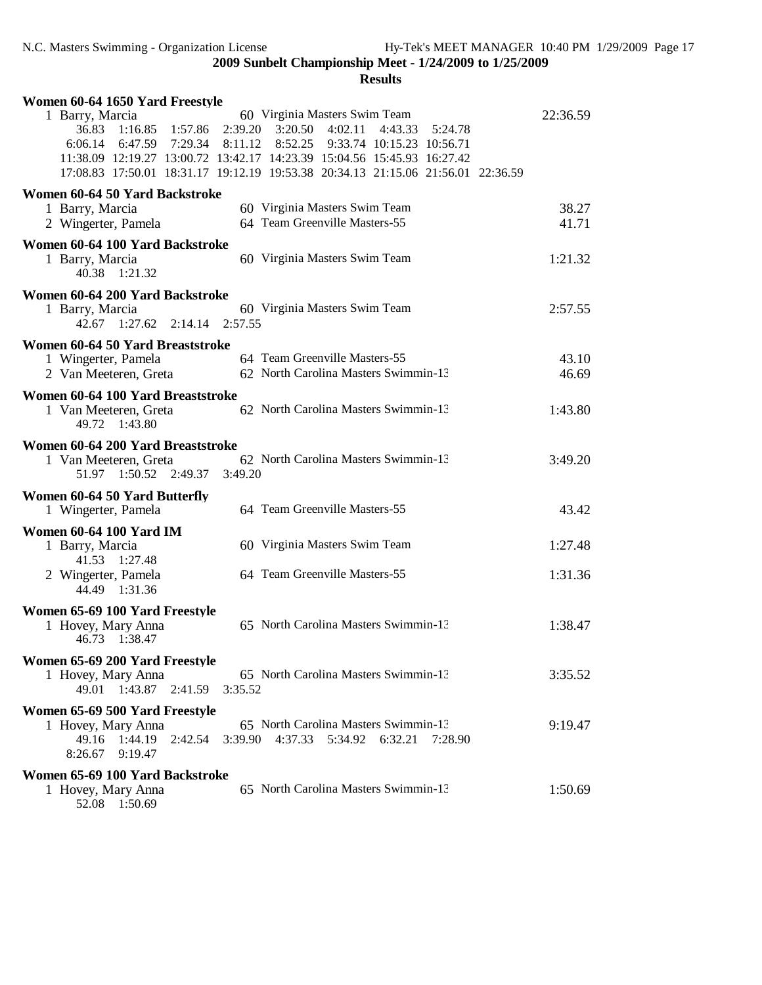| Women 60-64 1650 Yard Freestyle                                                                                                                                                                                                                                                                                                                                                              |                |
|----------------------------------------------------------------------------------------------------------------------------------------------------------------------------------------------------------------------------------------------------------------------------------------------------------------------------------------------------------------------------------------------|----------------|
| 60 Virginia Masters Swim Team<br>1 Barry, Marcia<br>36.83 1:16.85<br>1:57.86<br>$2:39.20 \quad 3:20.50 \quad 4:02.11$<br>4:43.33<br>5:24.78<br>6:47.59 7:29.34<br>$8:11.12$ $8:52.25$<br>6:06.14<br>9:33.74 10:15.23 10:56.71<br>11:38.09 12:19.27 13:00.72 13:42.17 14:23.39 15:04.56 15:45.93 16:27.42<br>17:08.83 17:50.01 18:31.17 19:12.19 19:53.38 20:34.13 21:15.06 21:56.01 22:36.59 | 22:36.59       |
| Women 60-64 50 Yard Backstroke<br>60 Virginia Masters Swim Team<br>1 Barry, Marcia<br>64 Team Greenville Masters-55<br>2 Wingerter, Pamela                                                                                                                                                                                                                                                   | 38.27<br>41.71 |
| Women 60-64 100 Yard Backstroke<br>1 Barry, Marcia<br>60 Virginia Masters Swim Team<br>40.38 1:21.32                                                                                                                                                                                                                                                                                         | 1:21.32        |
| Women 60-64 200 Yard Backstroke<br>60 Virginia Masters Swim Team<br>1 Barry, Marcia<br>42.67 1:27.62 2:14.14<br>2:57.55                                                                                                                                                                                                                                                                      | 2:57.55        |
| Women 60-64 50 Yard Breaststroke<br>64 Team Greenville Masters-55<br>1 Wingerter, Pamela<br>62 North Carolina Masters Swimmin-13<br>2 Van Meeteren, Greta                                                                                                                                                                                                                                    | 43.10<br>46.69 |
| Women 60-64 100 Yard Breaststroke<br>62 North Carolina Masters Swimmin-13<br>1 Van Meeteren, Greta<br>49.72 1:43.80                                                                                                                                                                                                                                                                          | 1:43.80        |
| Women 60-64 200 Yard Breaststroke<br>62 North Carolina Masters Swimmin-13<br>1 Van Meeteren, Greta<br>51.97 1:50.52 2:49.37<br>3:49.20                                                                                                                                                                                                                                                       | 3:49.20        |
| Women 60-64 50 Yard Butterfly<br>1 Wingerter, Pamela<br>64 Team Greenville Masters-55                                                                                                                                                                                                                                                                                                        | 43.42          |
| <b>Women 60-64 100 Yard IM</b><br>60 Virginia Masters Swim Team<br>1 Barry, Marcia<br>41.53 1:27.48                                                                                                                                                                                                                                                                                          | 1:27.48        |
| 64 Team Greenville Masters-55<br>2 Wingerter, Pamela<br>44.49 1:31.36                                                                                                                                                                                                                                                                                                                        | 1:31.36        |
| Women 65-69 100 Yard Freestyle<br>65 North Carolina Masters Swimmin-13<br>1 Hovey, Mary Anna<br>46.73 1:38.47                                                                                                                                                                                                                                                                                | 1:38.47        |
| Women 65-69 200 Yard Freestyle<br>65 North Carolina Masters Swimmin-13<br>1 Hovey, Mary Anna<br>1:43.87 2:41.59<br>49.01<br>3:35.52                                                                                                                                                                                                                                                          | 3:35.52        |
| Women 65-69 500 Yard Freestyle<br>65 North Carolina Masters Swimmin-13<br>1 Hovey, Mary Anna<br>4:37.33<br>1:44.19<br>3:39.90<br>5:34.92<br>6:32.21<br>49.16<br>2:42.54<br>7:28.90<br>8:26.67<br>9:19.47                                                                                                                                                                                     | 9:19.47        |
| Women 65-69 100 Yard Backstroke<br>65 North Carolina Masters Swimmin-13<br>1 Hovey, Mary Anna<br>52.08 1:50.69                                                                                                                                                                                                                                                                               | 1:50.69        |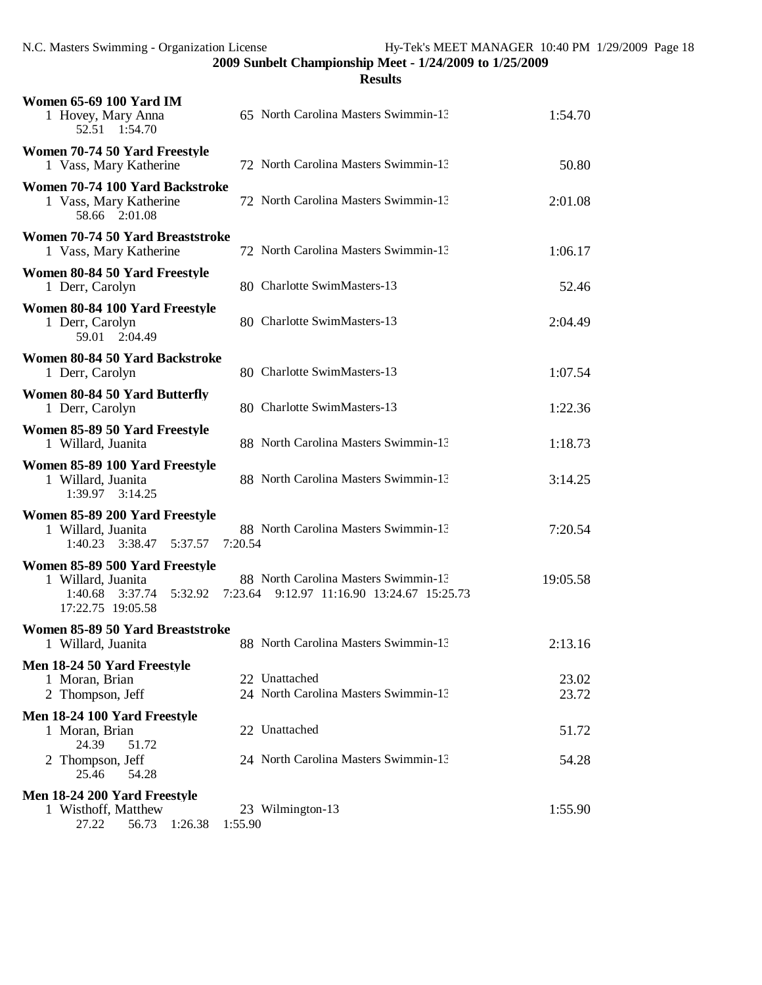| <b>Women 65-69 100 Yard IM</b><br>1 Hovey, Mary Anna<br>52.51 1:54.70                                      | 65 North Carolina Masters Swimmin-13                                                  | 1:54.70        |
|------------------------------------------------------------------------------------------------------------|---------------------------------------------------------------------------------------|----------------|
| Women 70-74 50 Yard Freestyle<br>1 Vass, Mary Katherine                                                    | 72 North Carolina Masters Swimmin-13                                                  | 50.80          |
| Women 70-74 100 Yard Backstroke<br>1 Vass, Mary Katherine<br>58.66 2:01.08                                 | 72 North Carolina Masters Swimmin-13                                                  | 2:01.08        |
| Women 70-74 50 Yard Breaststroke<br>1 Vass, Mary Katherine                                                 | 72 North Carolina Masters Swimmin-13                                                  | 1:06.17        |
| Women 80-84 50 Yard Freestyle<br>1 Derr, Carolyn                                                           | 80 Charlotte SwimMasters-13                                                           | 52.46          |
| Women 80-84 100 Yard Freestyle<br>1 Derr, Carolyn<br>59.01 2:04.49                                         | 80 Charlotte SwimMasters-13                                                           | 2:04.49        |
| Women 80-84 50 Yard Backstroke<br>1 Derr, Carolyn                                                          | 80 Charlotte SwimMasters-13                                                           | 1:07.54        |
| Women 80-84 50 Yard Butterfly<br>1 Derr, Carolyn                                                           | 80 Charlotte SwimMasters-13                                                           | 1:22.36        |
| Women 85-89 50 Yard Freestyle<br>1 Willard, Juanita                                                        | 88 North Carolina Masters Swimmin-13                                                  | 1:18.73        |
| Women 85-89 100 Yard Freestyle<br>1 Willard, Juanita<br>1:39.97 3:14.25                                    | 88 North Carolina Masters Swimmin-13                                                  | 3:14.25        |
| Women 85-89 200 Yard Freestyle<br>1 Willard, Juanita<br>3:38.47<br>1:40.23<br>5:37.57                      | 88 North Carolina Masters Swimmin-13<br>7:20.54                                       | 7:20.54        |
| Women 85-89 500 Yard Freestyle<br>1 Willard, Juanita<br>1:40.68<br>3:37.74<br>5:32.92<br>17:22.75 19:05.58 | 88 North Carolina Masters Swimmin-13<br>7:23.64<br>9:12.97 11:16.90 13:24.67 15:25.73 | 19:05.58       |
| Women 85-89 50 Yard Breaststroke<br>1 Willard, Juanita                                                     | 88 North Carolina Masters Swimmin-13                                                  | 2:13.16        |
| Men 18-24 50 Yard Freestyle<br>1 Moran, Brian<br>2 Thompson, Jeff                                          | 22 Unattached<br>24 North Carolina Masters Swimmin-13                                 | 23.02<br>23.72 |
| Men 18-24 100 Yard Freestyle<br>1 Moran, Brian<br>24.39<br>51.72                                           | 22 Unattached                                                                         | 51.72          |
| 2 Thompson, Jeff<br>25.46<br>54.28                                                                         | 24 North Carolina Masters Swimmin-13                                                  | 54.28          |
| Men 18-24 200 Yard Freestyle<br>1 Wisthoff, Matthew<br>27.22<br>56.73<br>1:26.38                           | 23 Wilmington-13<br>1:55.90                                                           | 1:55.90        |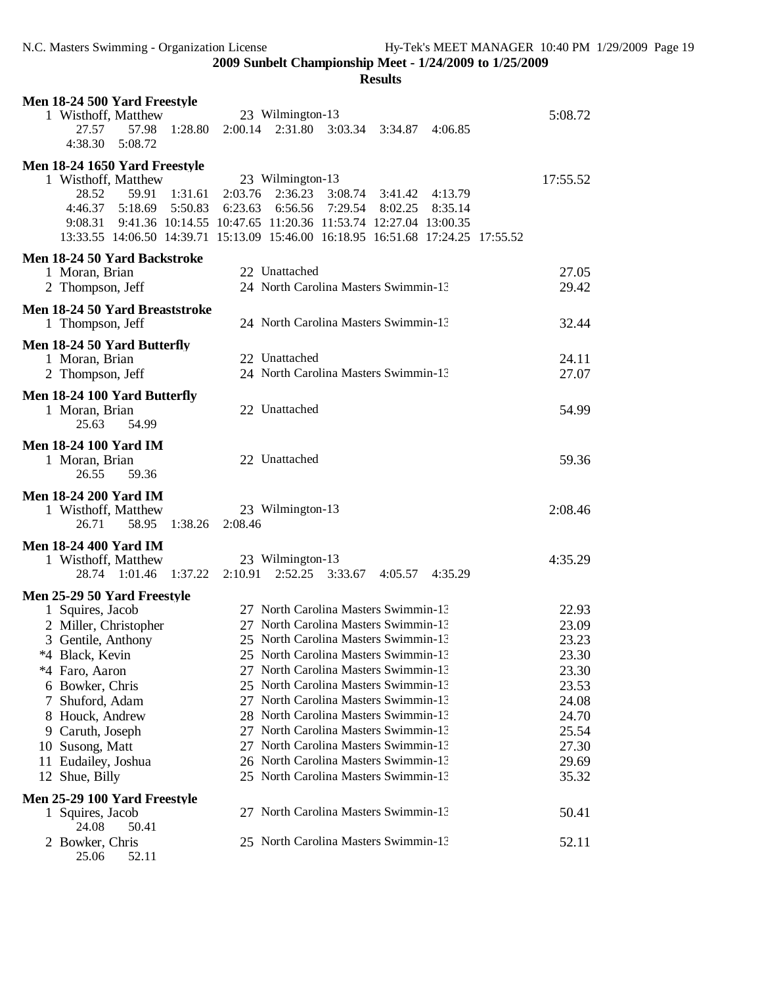| Men 18-24 500 Yard Freestyle          |                                                                                  |          |
|---------------------------------------|----------------------------------------------------------------------------------|----------|
| 1 Wisthoff, Matthew                   | 23 Wilmington-13                                                                 | 5:08.72  |
| 27.57<br>57.98<br>1:28.80             | 2:31.80<br>2:00.14<br>3:03.34 3:34.87<br>4:06.85                                 |          |
| 4:38.30<br>5:08.72                    |                                                                                  |          |
| Men 18-24 1650 Yard Freestyle         |                                                                                  |          |
| 1 Wisthoff, Matthew                   | 23 Wilmington-13                                                                 | 17:55.52 |
| 28.52<br>59.91<br>1:31.61             | 2:03.76<br>2:36.23<br>3:08.74<br>4:13.79<br>3:41.42                              |          |
| 5:18.69<br>5:50.83<br>4:46.37         | 6:23.63<br>6:56.56<br>7:29.54<br>8:02.25<br>8:35.14                              |          |
| 9:08.31                               | 9:41.36 10:14.55 10:47.65 11:20.36 11:53.74 12:27.04 13:00.35                    |          |
|                                       | 13:33.55 14:06.50 14:39.71 15:13.09 15:46.00 16:18.95 16:51.68 17:24.25 17:55.52 |          |
| Men 18-24 50 Yard Backstroke          |                                                                                  |          |
| 1 Moran, Brian                        | 22 Unattached                                                                    | 27.05    |
| 2 Thompson, Jeff                      | 24 North Carolina Masters Swimmin-13                                             | 29.42    |
|                                       |                                                                                  |          |
| Men 18-24 50 Yard Breaststroke        | 24 North Carolina Masters Swimmin-13                                             |          |
| 1 Thompson, Jeff                      |                                                                                  | 32.44    |
| Men 18-24 50 Yard Butterfly           |                                                                                  |          |
| 1 Moran, Brian                        | 22 Unattached                                                                    | 24.11    |
| 2 Thompson, Jeff                      | 24 North Carolina Masters Swimmin-13                                             | 27.07    |
| Men 18-24 100 Yard Butterfly          |                                                                                  |          |
| 1 Moran, Brian                        | 22 Unattached                                                                    | 54.99    |
| 25.63<br>54.99                        |                                                                                  |          |
|                                       |                                                                                  |          |
| <b>Men 18-24 100 Yard IM</b>          | 22 Unattached                                                                    |          |
| 1 Moran, Brian<br>26.55<br>59.36      |                                                                                  | 59.36    |
|                                       |                                                                                  |          |
| <b>Men 18-24 200 Yard IM</b>          |                                                                                  |          |
| 1 Wisthoff, Matthew                   | 23 Wilmington-13                                                                 | 2:08.46  |
| 26.71<br>58.95<br>1:38.26             | 2:08.46                                                                          |          |
| <b>Men 18-24 400 Yard IM</b>          |                                                                                  |          |
| 1 Wisthoff, Matthew                   | 23 Wilmington-13                                                                 | 4:35.29  |
| 1:01.46<br>1:37.22<br>28.74           | 2:10.91<br>$2:52.25$ $3:33.67$<br>4:35.29<br>4:05.57                             |          |
| Men 25-29 50 Yard Freestyle           |                                                                                  |          |
| 1 Squires, Jacob                      | 27 North Carolina Masters Swimmin-13                                             | 22.93    |
| 2 Miller, Christopher                 | 27 North Carolina Masters Swimmin-13                                             | 23.09    |
| 3 Gentile, Anthony                    | 25 North Carolina Masters Swimmin-13                                             | 23.23    |
| *4 Black, Kevin                       | 25 North Carolina Masters Swimmin-13                                             | 23.30    |
| *4 Faro, Aaron                        | 27 North Carolina Masters Swimmin-13                                             | 23.30    |
| 6 Bowker, Chris                       | 25 North Carolina Masters Swimmin-13                                             | 23.53    |
| Shuford, Adam<br>7                    | 27 North Carolina Masters Swimmin-13                                             | 24.08    |
| 8 Houck, Andrew                       | 28 North Carolina Masters Swimmin-13                                             | 24.70    |
| Caruth, Joseph<br>9                   | 27 North Carolina Masters Swimmin-13                                             | 25.54    |
|                                       | 27 North Carolina Masters Swimmin-13                                             | 27.30    |
| 10 Susong, Matt                       | 26 North Carolina Masters Swimmin-13                                             | 29.69    |
| 11 Eudailey, Joshua<br>12 Shue, Billy | 25 North Carolina Masters Swimmin-13                                             | 35.32    |
|                                       |                                                                                  |          |
| Men 25-29 100 Yard Freestyle          |                                                                                  |          |
| 1 Squires, Jacob                      | 27 North Carolina Masters Swimmin-13                                             | 50.41    |
| 24.08<br>50.41                        |                                                                                  |          |
| 2 Bowker, Chris<br>25.06<br>52.11     | 25 North Carolina Masters Swimmin-13                                             | 52.11    |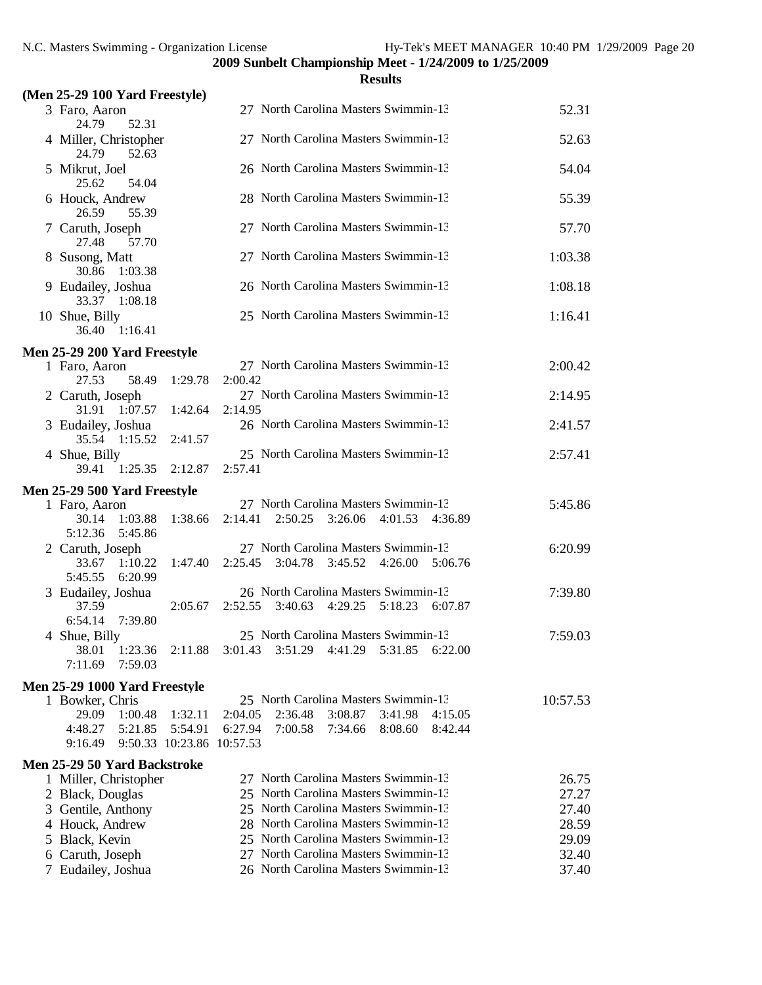|                                               |         |                                      |                                                                              |         | <b>Results</b> |         |          |
|-----------------------------------------------|---------|--------------------------------------|------------------------------------------------------------------------------|---------|----------------|---------|----------|
| (Men 25-29 100 Yard Freestyle)                |         |                                      |                                                                              |         |                |         |          |
| 3 Faro, Aaron<br>24.79<br>52.31               |         |                                      | 27 North Carolina Masters Swimmin-13                                         |         |                |         | 52.31    |
| 4 Miller, Christopher<br>24.79<br>52.63       |         |                                      | 27 North Carolina Masters Swimmin-13                                         |         |                |         | 52.63    |
| 5 Mikrut, Joel<br>25.62<br>54.04              |         |                                      | 26 North Carolina Masters Swimmin-13                                         |         |                |         | 54.04    |
| 6 Houck, Andrew<br>26.59<br>55.39             |         |                                      | 28 North Carolina Masters Swimmin-13                                         |         |                |         | 55.39    |
| 7 Caruth, Joseph<br>27.48<br>57.70            |         |                                      | 27 North Carolina Masters Swimmin-13                                         |         |                |         | 57.70    |
| 8 Susong, Matt<br>30.86 1:03.38               |         |                                      | 27 North Carolina Masters Swimmin-13                                         |         |                |         | 1:03.38  |
| 9 Eudailey, Joshua<br>33.37 1:08.18           |         |                                      | 26 North Carolina Masters Swimmin-13                                         |         |                |         | 1:08.18  |
| 10 Shue, Billy<br>36.40 1:16.41               |         |                                      | 25 North Carolina Masters Swimmin-13                                         |         |                |         | 1:16.41  |
| Men 25-29 200 Yard Freestyle                  |         |                                      |                                                                              |         |                |         |          |
| 1 Faro, Aaron<br>27.53<br>58.49               | 1:29.78 | 2:00.42                              | 27 North Carolina Masters Swimmin-13                                         |         |                |         | 2:00.42  |
| 2 Caruth, Joseph<br>31.91 1:07.57             | 1:42.64 | 2:14.95                              | 27 North Carolina Masters Swimmin-13                                         |         |                |         | 2:14.95  |
| 3 Eudailey, Joshua<br>35.54 1:15.52           | 2:41.57 |                                      | 26 North Carolina Masters Swimmin-13                                         |         |                |         | 2:41.57  |
| 4 Shue, Billy<br>39.41 1:25.35                | 2:12.87 | 2:57.41                              | 25 North Carolina Masters Swimmin-13                                         |         |                |         | 2:57.41  |
|                                               |         |                                      |                                                                              |         |                |         |          |
| Men 25-29 500 Yard Freestyle<br>1 Faro, Aaron |         |                                      | 27 North Carolina Masters Swimmin-13                                         |         |                |         | 5:45.86  |
| 1:03.88<br>30.14<br>5:12.36<br>5:45.86        | 1:38.66 | 2:14.41                              | 2:50.25                                                                      | 3:26.06 | 4:01.53        | 4:36.89 |          |
| 2 Caruth, Joseph                              |         |                                      | 27 North Carolina Masters Swimmin-13                                         |         |                |         | 6:20.99  |
| 33.67<br>1:10.22<br>5:45.55<br>6:20.99        | 1:47.40 | 2:25.45                              | 3:04.78                                                                      | 3:45.52 | 4:26.00        | 5:06.76 |          |
| 3 Eudailey, Joshua                            |         |                                      | 26 North Carolina Masters Swimmin-13                                         |         |                |         | 7:39.80  |
| 37.59<br>6:54.14<br>7:39.80                   | 2:05.67 | 2:52.55                              | 3:40.63                                                                      | 4:29.25 | 5:18.23        | 6:07.87 |          |
| 4 Shue, Billy                                 |         |                                      | 25 North Carolina Masters Swimmin-13                                         |         |                |         | 7:59.03  |
| 38.01<br>1:23.36<br>7:11.69<br>7:59.03        | 2:11.88 | 3:01.43                              | 3:51.29                                                                      | 4:41.29 | 5:31.85        | 6:22.00 |          |
| Men 25-29 1000 Yard Freestyle                 |         |                                      |                                                                              |         |                |         |          |
| 1 Bowker, Chris                               |         |                                      | 25 North Carolina Masters Swimmin-13                                         |         |                |         | 10:57.53 |
| 29.09<br>1:00.48                              | 1:32.11 | 2:04.05                              | 2:36.48                                                                      | 3:08.87 | 3:41.98        | 4:15.05 |          |
| 4:48.27<br>5:21.85<br>9:16.49                 | 5:54.91 | 6:27.94<br>9:50.33 10:23.86 10:57.53 | 7:00.58                                                                      | 7:34.66 | 8:08.60        | 8:42.44 |          |
| <b>Men 25-29 50 Yard Backstroke</b>           |         |                                      |                                                                              |         |                |         |          |
| 1 Miller, Christopher                         |         |                                      | 27 North Carolina Masters Swimmin-13                                         |         |                |         | 26.75    |
| 2 Black, Douglas                              |         |                                      | 25 North Carolina Masters Swimmin-13                                         |         |                |         | 27.27    |
| 3 Gentile, Anthony                            |         |                                      | 25 North Carolina Masters Swimmin-13                                         |         |                |         | 27.40    |
| 4 Houck, Andrew                               |         |                                      | 28 North Carolina Masters Swimmin-13                                         |         |                |         | 28.59    |
| 5 Black, Kevin                                |         |                                      | 25 North Carolina Masters Swimmin-13                                         |         |                |         | 29.09    |
| 6 Caruth, Joseph                              |         |                                      | 27 North Carolina Masters Swimmin-13<br>26 North Carolina Masters Swimmin-13 |         |                |         | 32.40    |
| 7 Eudailey, Joshua                            |         |                                      |                                                                              |         |                |         | 37.40    |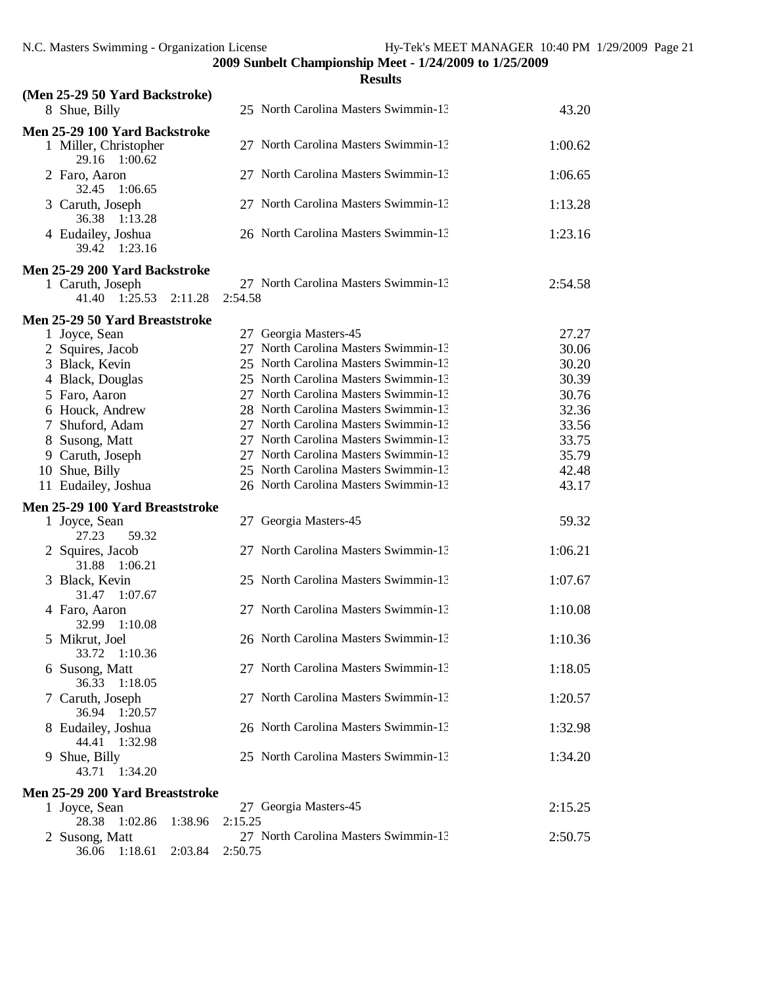|                                           |         |         | <b>Results</b>                       |         |
|-------------------------------------------|---------|---------|--------------------------------------|---------|
| (Men 25-29 50 Yard Backstroke)            |         |         |                                      |         |
| 8 Shue, Billy                             |         |         | 25 North Carolina Masters Swimmin-13 | 43.20   |
| Men 25-29 100 Yard Backstroke             |         |         |                                      |         |
| 1 Miller, Christopher<br>29.16<br>1:00.62 |         |         | 27 North Carolina Masters Swimmin-13 | 1:00.62 |
| 2 Faro, Aaron<br>1:06.65<br>32.45         |         |         | 27 North Carolina Masters Swimmin-13 | 1:06.65 |
| 3 Caruth, Joseph<br>36.38<br>1:13.28      |         |         | 27 North Carolina Masters Swimmin-13 | 1:13.28 |
| 4 Eudailey, Joshua<br>39.42<br>1:23.16    |         |         | 26 North Carolina Masters Swimmin-13 | 1:23.16 |
| Men 25-29 200 Yard Backstroke             |         |         |                                      |         |
| 1 Caruth, Joseph<br>41.40 1:25.53         | 2:11.28 | 2:54.58 | 27 North Carolina Masters Swimmin-13 | 2:54.58 |
| Men 25-29 50 Yard Breaststroke            |         |         |                                      |         |
| 1 Joyce, Sean                             |         |         | 27 Georgia Masters-45                | 27.27   |
| 2 Squires, Jacob                          |         |         | 27 North Carolina Masters Swimmin-13 | 30.06   |
| 3 Black, Kevin                            |         |         | 25 North Carolina Masters Swimmin-13 | 30.20   |
| 4 Black, Douglas                          |         |         | 25 North Carolina Masters Swimmin-13 | 30.39   |
| 5 Faro, Aaron                             |         |         | 27 North Carolina Masters Swimmin-13 | 30.76   |
| 6 Houck, Andrew                           |         |         | 28 North Carolina Masters Swimmin-13 | 32.36   |
| 7 Shuford, Adam                           |         |         | 27 North Carolina Masters Swimmin-13 | 33.56   |
|                                           |         |         | 27 North Carolina Masters Swimmin-13 | 33.75   |
| 8 Susong, Matt                            |         |         |                                      |         |
| 9 Caruth, Joseph                          |         |         | 27 North Carolina Masters Swimmin-13 | 35.79   |
| 10 Shue, Billy                            |         |         | 25 North Carolina Masters Swimmin-13 | 42.48   |
| 11 Eudailey, Joshua                       |         |         | 26 North Carolina Masters Swimmin-13 | 43.17   |
| Men 25-29 100 Yard Breaststroke           |         |         |                                      |         |
| 1 Joyce, Sean<br>27.23<br>59.32           |         |         | 27 Georgia Masters-45                | 59.32   |
| 2 Squires, Jacob<br>1:06.21<br>31.88      |         |         | 27 North Carolina Masters Swimmin-13 | 1:06.21 |
| 3 Black, Kevin<br>31.47<br>1:07.67        |         |         | 25 North Carolina Masters Swimmin-13 | 1:07.67 |
| 4 Faro, Aaron<br>32.99 1:10.08            |         |         | 27 North Carolina Masters Swimmin-13 | 1:10.08 |
| 5 Mikrut, Joel<br>33.72<br>1:10.36        |         |         | 26 North Carolina Masters Swimmin-13 | 1:10.36 |
| 6 Susong, Matt<br>36.33<br>1:18.05        |         |         | 27 North Carolina Masters Swimmin-13 | 1:18.05 |
| 7 Caruth, Joseph<br>36.94 1:20.57         |         |         | 27 North Carolina Masters Swimmin-13 | 1:20.57 |
| 8 Eudailey, Joshua<br>44.41<br>1:32.98    |         |         | 26 North Carolina Masters Swimmin-13 | 1:32.98 |
| 9 Shue, Billy<br>43.71<br>1:34.20         |         |         | 25 North Carolina Masters Swimmin-13 | 1:34.20 |
| Men 25-29 200 Yard Breaststroke           |         |         |                                      |         |
| 1 Joyce, Sean                             |         |         | 27 Georgia Masters-45                | 2:15.25 |
| 28.38<br>1:02.86                          | 1:38.96 | 2:15.25 |                                      |         |
| 2 Susong, Matt                            |         |         | 27 North Carolina Masters Swimmin-13 | 2:50.75 |
| 36.06 1:18.61                             | 2:03.84 | 2:50.75 |                                      |         |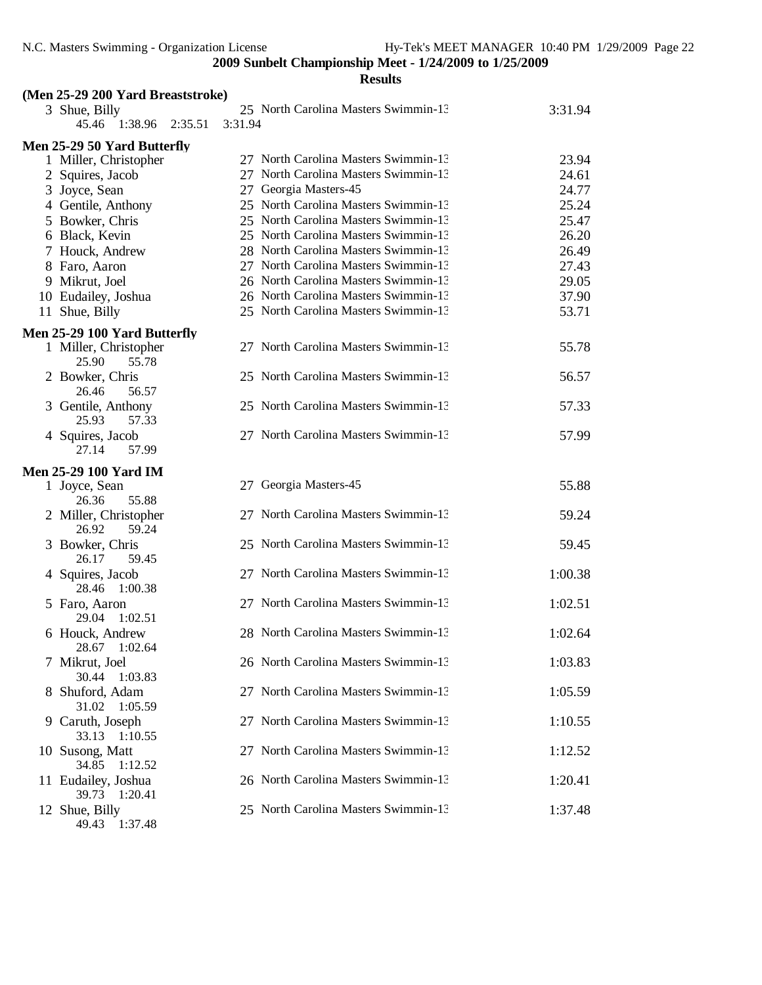| (Men 25-29 200 Yard Breaststroke) |         |                                      |         |
|-----------------------------------|---------|--------------------------------------|---------|
| 3 Shue, Billy                     |         | 25 North Carolina Masters Swimmin-13 | 3:31.94 |
| 45.46<br>1:38.96<br>2:35.51       | 3:31.94 |                                      |         |
| Men 25-29 50 Yard Butterfly       |         |                                      |         |
| 1 Miller, Christopher             |         | 27 North Carolina Masters Swimmin-13 | 23.94   |
| 2 Squires, Jacob                  |         | 27 North Carolina Masters Swimmin-13 | 24.61   |
| 3 Joyce, Sean                     |         | 27 Georgia Masters-45                | 24.77   |
| 4 Gentile, Anthony                |         | 25 North Carolina Masters Swimmin-13 | 25.24   |
| 5 Bowker, Chris                   |         | 25 North Carolina Masters Swimmin-13 | 25.47   |
| 6 Black, Kevin                    |         | 25 North Carolina Masters Swimmin-13 | 26.20   |
| 7 Houck, Andrew                   |         | 28 North Carolina Masters Swimmin-13 | 26.49   |
| 8 Faro, Aaron                     |         | 27 North Carolina Masters Swimmin-13 | 27.43   |
| 9 Mikrut, Joel                    |         | 26 North Carolina Masters Swimmin-13 | 29.05   |
| 10 Eudailey, Joshua               |         | 26 North Carolina Masters Swimmin-13 | 37.90   |
| 11 Shue, Billy                    |         | 25 North Carolina Masters Swimmin-13 | 53.71   |
| Men 25-29 100 Yard Butterfly      |         |                                      |         |
| 1 Miller, Christopher             |         | 27 North Carolina Masters Swimmin-13 | 55.78   |
| 25.90<br>55.78                    |         |                                      |         |
| 2 Bowker, Chris                   |         | 25 North Carolina Masters Swimmin-13 | 56.57   |
| 26.46<br>56.57                    |         |                                      |         |
| 3 Gentile, Anthony                |         | 25 North Carolina Masters Swimmin-13 | 57.33   |
| 25.93<br>57.33                    |         |                                      |         |
| 4 Squires, Jacob                  |         | 27 North Carolina Masters Swimmin-13 | 57.99   |
| 27.14<br>57.99                    |         |                                      |         |
| <b>Men 25-29 100 Yard IM</b>      |         |                                      |         |
| 1 Joyce, Sean                     |         | 27 Georgia Masters-45                | 55.88   |
| 55.88<br>26.36                    |         |                                      |         |
| 2 Miller, Christopher             |         | 27 North Carolina Masters Swimmin-13 | 59.24   |
| 26.92<br>59.24                    |         |                                      |         |
| 3 Bowker, Chris                   |         | 25 North Carolina Masters Swimmin-13 | 59.45   |
| 26.17<br>59.45                    |         |                                      |         |
| 4 Squires, Jacob                  |         | 27 North Carolina Masters Swimmin-13 | 1:00.38 |
| 28.46<br>1:00.38                  |         | 27 North Carolina Masters Swimmin-13 |         |
| 5 Faro, Aaron<br>29.04<br>1:02.51 |         |                                      | 1:02.51 |
| 6 Houck, Andrew                   |         | 28 North Carolina Masters Swimmin-13 | 1:02.64 |
| 28.67<br>1:02.64                  |         |                                      |         |
| 7 Mikrut, Joel                    |         | 26 North Carolina Masters Swimmin-13 | 1:03.83 |
| 30.44<br>1:03.83                  |         |                                      |         |
| 8 Shuford, Adam                   |         | 27 North Carolina Masters Swimmin-13 | 1:05.59 |
| 31.02<br>1:05.59                  |         |                                      |         |
| 9 Caruth, Joseph                  |         | 27 North Carolina Masters Swimmin-13 | 1:10.55 |
| 33.13<br>1:10.55                  |         |                                      |         |
| 10 Susong, Matt                   |         | 27 North Carolina Masters Swimmin-13 | 1:12.52 |
| 34.85<br>1:12.52                  |         |                                      |         |
| 11 Eudailey, Joshua               |         | 26 North Carolina Masters Swimmin-13 | 1:20.41 |
| 39.73<br>1:20.41                  |         |                                      |         |
| 12 Shue, Billy                    |         | 25 North Carolina Masters Swimmin-13 | 1:37.48 |
| 1:37.48<br>49.43                  |         |                                      |         |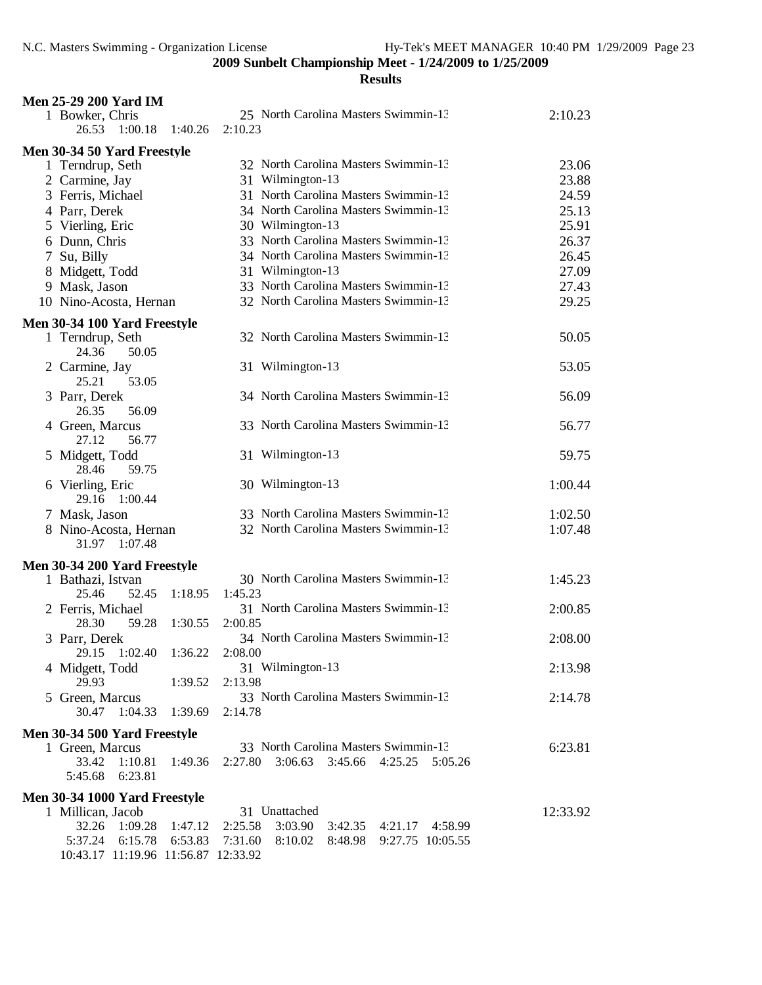| 25 North Carolina Masters Swimmin-13<br>2:10.23<br>1 Bowker, Chris<br>1:40.26<br>2:10.23<br>26.53<br>1:00.18<br>Men 30-34 50 Yard Freestyle<br>32 North Carolina Masters Swimmin-13<br>23.06<br>1 Terndrup, Seth<br>31 Wilmington-13<br>23.88<br>2 Carmine, Jay<br>31 North Carolina Masters Swimmin-13<br>3 Ferris, Michael<br>24.59<br>34 North Carolina Masters Swimmin-13<br>25.13<br>4 Parr, Derek<br>5 Vierling, Eric<br>30 Wilmington-13<br>25.91<br>33 North Carolina Masters Swimmin-13<br>6 Dunn, Chris<br>26.37<br>34 North Carolina Masters Swimmin-13<br>7 Su, Billy<br>26.45<br>31 Wilmington-13<br>8 Midgett, Todd<br>27.09<br>33 North Carolina Masters Swimmin-13<br>9 Mask, Jason<br>27.43<br>32 North Carolina Masters Swimmin-13<br>10 Nino-Acosta, Hernan<br>29.25<br>Men 30-34 100 Yard Freestyle<br>32 North Carolina Masters Swimmin-13<br>50.05<br>1 Terndrup, Seth<br>24.36<br>50.05<br>31 Wilmington-13<br>53.05<br>2 Carmine, Jay<br>25.21<br>53.05<br>3 Parr, Derek<br>34 North Carolina Masters Swimmin-13<br>56.09<br>26.35<br>56.09<br>33 North Carolina Masters Swimmin-13<br>56.77<br>4 Green, Marcus<br>27.12<br>56.77<br>59.75<br>5 Midgett, Todd<br>31 Wilmington-13<br>28.46<br>59.75<br>30 Wilmington-13<br>1:00.44<br>6 Vierling, Eric<br>29.16 1:00.44<br>33 North Carolina Masters Swimmin-13<br>7 Mask, Jason<br>1:02.50<br>32 North Carolina Masters Swimmin-13<br>1:07.48<br>8 Nino-Acosta, Hernan<br>31.97 1:07.48<br>Men 30-34 200 Yard Freestyle<br>30 North Carolina Masters Swimmin-13<br>1:45.23<br>1 Bathazi, Istvan<br>1:45.23<br>25.46<br>52.45<br>1:18.95<br>31 North Carolina Masters Swimmin-13<br>2:00.85<br>2 Ferris, Michael<br>1:30.55<br>28.30<br>59.28<br>2:00.85<br>34 North Carolina Masters Swimmin-13<br>3 Parr, Derek<br>2:08.00<br>29.15 1:02.40<br>1:36.22<br>2:08.00<br>31 Wilmington-13<br>2:13.98<br>4 Midgett, Todd<br>29.93<br>1:39.52<br>2:13.98<br>33 North Carolina Masters Swimmin-13<br>2:14.78<br>5 Green, Marcus<br>30.47<br>1:04.33<br>1:39.69<br>2:14.78<br>Men 30-34 500 Yard Freestyle<br>33 North Carolina Masters Swimmin-13<br>1 Green, Marcus<br>6:23.81<br>33.42<br>1:10.81<br>2:27.80<br>3:06.63 3:45.66 4:25.25 5:05.26<br>1:49.36<br>5:45.68<br>6:23.81<br>Men 30-34 1000 Yard Freestyle<br>31 Unattached<br>1 Millican, Jacob<br>12:33.92<br>3:03.90<br>32.26<br>1:09.28<br>2:25.58<br>1:47.12<br>3:42.35 4:21.17 4:58.99<br>5:37.24<br>6:15.78<br>6:53.83<br>7:31.60<br>8:10.02<br>8:48.98 9:27.75 10:05.55<br>10:43.17 11:19.96 11:56.87 12:33.92 | <b>Men 25-29 200 Yard IM</b> |  |  |
|----------------------------------------------------------------------------------------------------------------------------------------------------------------------------------------------------------------------------------------------------------------------------------------------------------------------------------------------------------------------------------------------------------------------------------------------------------------------------------------------------------------------------------------------------------------------------------------------------------------------------------------------------------------------------------------------------------------------------------------------------------------------------------------------------------------------------------------------------------------------------------------------------------------------------------------------------------------------------------------------------------------------------------------------------------------------------------------------------------------------------------------------------------------------------------------------------------------------------------------------------------------------------------------------------------------------------------------------------------------------------------------------------------------------------------------------------------------------------------------------------------------------------------------------------------------------------------------------------------------------------------------------------------------------------------------------------------------------------------------------------------------------------------------------------------------------------------------------------------------------------------------------------------------------------------------------------------------------------------------------------------------------------------------------------------------------------------------------------------------------------------------------------------------------------------------------------------------------------------------------------------------------------------------------------------------------------------------------------------------------------------------------------------------------------------------------------------------------------------------------------------------------------------------------------|------------------------------|--|--|
|                                                                                                                                                                                                                                                                                                                                                                                                                                                                                                                                                                                                                                                                                                                                                                                                                                                                                                                                                                                                                                                                                                                                                                                                                                                                                                                                                                                                                                                                                                                                                                                                                                                                                                                                                                                                                                                                                                                                                                                                                                                                                                                                                                                                                                                                                                                                                                                                                                                                                                                                                    |                              |  |  |
|                                                                                                                                                                                                                                                                                                                                                                                                                                                                                                                                                                                                                                                                                                                                                                                                                                                                                                                                                                                                                                                                                                                                                                                                                                                                                                                                                                                                                                                                                                                                                                                                                                                                                                                                                                                                                                                                                                                                                                                                                                                                                                                                                                                                                                                                                                                                                                                                                                                                                                                                                    |                              |  |  |
|                                                                                                                                                                                                                                                                                                                                                                                                                                                                                                                                                                                                                                                                                                                                                                                                                                                                                                                                                                                                                                                                                                                                                                                                                                                                                                                                                                                                                                                                                                                                                                                                                                                                                                                                                                                                                                                                                                                                                                                                                                                                                                                                                                                                                                                                                                                                                                                                                                                                                                                                                    |                              |  |  |
|                                                                                                                                                                                                                                                                                                                                                                                                                                                                                                                                                                                                                                                                                                                                                                                                                                                                                                                                                                                                                                                                                                                                                                                                                                                                                                                                                                                                                                                                                                                                                                                                                                                                                                                                                                                                                                                                                                                                                                                                                                                                                                                                                                                                                                                                                                                                                                                                                                                                                                                                                    |                              |  |  |
|                                                                                                                                                                                                                                                                                                                                                                                                                                                                                                                                                                                                                                                                                                                                                                                                                                                                                                                                                                                                                                                                                                                                                                                                                                                                                                                                                                                                                                                                                                                                                                                                                                                                                                                                                                                                                                                                                                                                                                                                                                                                                                                                                                                                                                                                                                                                                                                                                                                                                                                                                    |                              |  |  |
|                                                                                                                                                                                                                                                                                                                                                                                                                                                                                                                                                                                                                                                                                                                                                                                                                                                                                                                                                                                                                                                                                                                                                                                                                                                                                                                                                                                                                                                                                                                                                                                                                                                                                                                                                                                                                                                                                                                                                                                                                                                                                                                                                                                                                                                                                                                                                                                                                                                                                                                                                    |                              |  |  |
|                                                                                                                                                                                                                                                                                                                                                                                                                                                                                                                                                                                                                                                                                                                                                                                                                                                                                                                                                                                                                                                                                                                                                                                                                                                                                                                                                                                                                                                                                                                                                                                                                                                                                                                                                                                                                                                                                                                                                                                                                                                                                                                                                                                                                                                                                                                                                                                                                                                                                                                                                    |                              |  |  |
|                                                                                                                                                                                                                                                                                                                                                                                                                                                                                                                                                                                                                                                                                                                                                                                                                                                                                                                                                                                                                                                                                                                                                                                                                                                                                                                                                                                                                                                                                                                                                                                                                                                                                                                                                                                                                                                                                                                                                                                                                                                                                                                                                                                                                                                                                                                                                                                                                                                                                                                                                    |                              |  |  |
|                                                                                                                                                                                                                                                                                                                                                                                                                                                                                                                                                                                                                                                                                                                                                                                                                                                                                                                                                                                                                                                                                                                                                                                                                                                                                                                                                                                                                                                                                                                                                                                                                                                                                                                                                                                                                                                                                                                                                                                                                                                                                                                                                                                                                                                                                                                                                                                                                                                                                                                                                    |                              |  |  |
|                                                                                                                                                                                                                                                                                                                                                                                                                                                                                                                                                                                                                                                                                                                                                                                                                                                                                                                                                                                                                                                                                                                                                                                                                                                                                                                                                                                                                                                                                                                                                                                                                                                                                                                                                                                                                                                                                                                                                                                                                                                                                                                                                                                                                                                                                                                                                                                                                                                                                                                                                    |                              |  |  |
|                                                                                                                                                                                                                                                                                                                                                                                                                                                                                                                                                                                                                                                                                                                                                                                                                                                                                                                                                                                                                                                                                                                                                                                                                                                                                                                                                                                                                                                                                                                                                                                                                                                                                                                                                                                                                                                                                                                                                                                                                                                                                                                                                                                                                                                                                                                                                                                                                                                                                                                                                    |                              |  |  |
|                                                                                                                                                                                                                                                                                                                                                                                                                                                                                                                                                                                                                                                                                                                                                                                                                                                                                                                                                                                                                                                                                                                                                                                                                                                                                                                                                                                                                                                                                                                                                                                                                                                                                                                                                                                                                                                                                                                                                                                                                                                                                                                                                                                                                                                                                                                                                                                                                                                                                                                                                    |                              |  |  |
|                                                                                                                                                                                                                                                                                                                                                                                                                                                                                                                                                                                                                                                                                                                                                                                                                                                                                                                                                                                                                                                                                                                                                                                                                                                                                                                                                                                                                                                                                                                                                                                                                                                                                                                                                                                                                                                                                                                                                                                                                                                                                                                                                                                                                                                                                                                                                                                                                                                                                                                                                    |                              |  |  |
|                                                                                                                                                                                                                                                                                                                                                                                                                                                                                                                                                                                                                                                                                                                                                                                                                                                                                                                                                                                                                                                                                                                                                                                                                                                                                                                                                                                                                                                                                                                                                                                                                                                                                                                                                                                                                                                                                                                                                                                                                                                                                                                                                                                                                                                                                                                                                                                                                                                                                                                                                    |                              |  |  |
|                                                                                                                                                                                                                                                                                                                                                                                                                                                                                                                                                                                                                                                                                                                                                                                                                                                                                                                                                                                                                                                                                                                                                                                                                                                                                                                                                                                                                                                                                                                                                                                                                                                                                                                                                                                                                                                                                                                                                                                                                                                                                                                                                                                                                                                                                                                                                                                                                                                                                                                                                    |                              |  |  |
|                                                                                                                                                                                                                                                                                                                                                                                                                                                                                                                                                                                                                                                                                                                                                                                                                                                                                                                                                                                                                                                                                                                                                                                                                                                                                                                                                                                                                                                                                                                                                                                                                                                                                                                                                                                                                                                                                                                                                                                                                                                                                                                                                                                                                                                                                                                                                                                                                                                                                                                                                    |                              |  |  |
|                                                                                                                                                                                                                                                                                                                                                                                                                                                                                                                                                                                                                                                                                                                                                                                                                                                                                                                                                                                                                                                                                                                                                                                                                                                                                                                                                                                                                                                                                                                                                                                                                                                                                                                                                                                                                                                                                                                                                                                                                                                                                                                                                                                                                                                                                                                                                                                                                                                                                                                                                    |                              |  |  |
|                                                                                                                                                                                                                                                                                                                                                                                                                                                                                                                                                                                                                                                                                                                                                                                                                                                                                                                                                                                                                                                                                                                                                                                                                                                                                                                                                                                                                                                                                                                                                                                                                                                                                                                                                                                                                                                                                                                                                                                                                                                                                                                                                                                                                                                                                                                                                                                                                                                                                                                                                    |                              |  |  |
|                                                                                                                                                                                                                                                                                                                                                                                                                                                                                                                                                                                                                                                                                                                                                                                                                                                                                                                                                                                                                                                                                                                                                                                                                                                                                                                                                                                                                                                                                                                                                                                                                                                                                                                                                                                                                                                                                                                                                                                                                                                                                                                                                                                                                                                                                                                                                                                                                                                                                                                                                    |                              |  |  |
|                                                                                                                                                                                                                                                                                                                                                                                                                                                                                                                                                                                                                                                                                                                                                                                                                                                                                                                                                                                                                                                                                                                                                                                                                                                                                                                                                                                                                                                                                                                                                                                                                                                                                                                                                                                                                                                                                                                                                                                                                                                                                                                                                                                                                                                                                                                                                                                                                                                                                                                                                    |                              |  |  |
|                                                                                                                                                                                                                                                                                                                                                                                                                                                                                                                                                                                                                                                                                                                                                                                                                                                                                                                                                                                                                                                                                                                                                                                                                                                                                                                                                                                                                                                                                                                                                                                                                                                                                                                                                                                                                                                                                                                                                                                                                                                                                                                                                                                                                                                                                                                                                                                                                                                                                                                                                    |                              |  |  |
|                                                                                                                                                                                                                                                                                                                                                                                                                                                                                                                                                                                                                                                                                                                                                                                                                                                                                                                                                                                                                                                                                                                                                                                                                                                                                                                                                                                                                                                                                                                                                                                                                                                                                                                                                                                                                                                                                                                                                                                                                                                                                                                                                                                                                                                                                                                                                                                                                                                                                                                                                    |                              |  |  |
|                                                                                                                                                                                                                                                                                                                                                                                                                                                                                                                                                                                                                                                                                                                                                                                                                                                                                                                                                                                                                                                                                                                                                                                                                                                                                                                                                                                                                                                                                                                                                                                                                                                                                                                                                                                                                                                                                                                                                                                                                                                                                                                                                                                                                                                                                                                                                                                                                                                                                                                                                    |                              |  |  |
|                                                                                                                                                                                                                                                                                                                                                                                                                                                                                                                                                                                                                                                                                                                                                                                                                                                                                                                                                                                                                                                                                                                                                                                                                                                                                                                                                                                                                                                                                                                                                                                                                                                                                                                                                                                                                                                                                                                                                                                                                                                                                                                                                                                                                                                                                                                                                                                                                                                                                                                                                    |                              |  |  |
|                                                                                                                                                                                                                                                                                                                                                                                                                                                                                                                                                                                                                                                                                                                                                                                                                                                                                                                                                                                                                                                                                                                                                                                                                                                                                                                                                                                                                                                                                                                                                                                                                                                                                                                                                                                                                                                                                                                                                                                                                                                                                                                                                                                                                                                                                                                                                                                                                                                                                                                                                    |                              |  |  |
|                                                                                                                                                                                                                                                                                                                                                                                                                                                                                                                                                                                                                                                                                                                                                                                                                                                                                                                                                                                                                                                                                                                                                                                                                                                                                                                                                                                                                                                                                                                                                                                                                                                                                                                                                                                                                                                                                                                                                                                                                                                                                                                                                                                                                                                                                                                                                                                                                                                                                                                                                    |                              |  |  |
|                                                                                                                                                                                                                                                                                                                                                                                                                                                                                                                                                                                                                                                                                                                                                                                                                                                                                                                                                                                                                                                                                                                                                                                                                                                                                                                                                                                                                                                                                                                                                                                                                                                                                                                                                                                                                                                                                                                                                                                                                                                                                                                                                                                                                                                                                                                                                                                                                                                                                                                                                    |                              |  |  |
|                                                                                                                                                                                                                                                                                                                                                                                                                                                                                                                                                                                                                                                                                                                                                                                                                                                                                                                                                                                                                                                                                                                                                                                                                                                                                                                                                                                                                                                                                                                                                                                                                                                                                                                                                                                                                                                                                                                                                                                                                                                                                                                                                                                                                                                                                                                                                                                                                                                                                                                                                    |                              |  |  |
|                                                                                                                                                                                                                                                                                                                                                                                                                                                                                                                                                                                                                                                                                                                                                                                                                                                                                                                                                                                                                                                                                                                                                                                                                                                                                                                                                                                                                                                                                                                                                                                                                                                                                                                                                                                                                                                                                                                                                                                                                                                                                                                                                                                                                                                                                                                                                                                                                                                                                                                                                    |                              |  |  |
|                                                                                                                                                                                                                                                                                                                                                                                                                                                                                                                                                                                                                                                                                                                                                                                                                                                                                                                                                                                                                                                                                                                                                                                                                                                                                                                                                                                                                                                                                                                                                                                                                                                                                                                                                                                                                                                                                                                                                                                                                                                                                                                                                                                                                                                                                                                                                                                                                                                                                                                                                    |                              |  |  |
|                                                                                                                                                                                                                                                                                                                                                                                                                                                                                                                                                                                                                                                                                                                                                                                                                                                                                                                                                                                                                                                                                                                                                                                                                                                                                                                                                                                                                                                                                                                                                                                                                                                                                                                                                                                                                                                                                                                                                                                                                                                                                                                                                                                                                                                                                                                                                                                                                                                                                                                                                    |                              |  |  |
|                                                                                                                                                                                                                                                                                                                                                                                                                                                                                                                                                                                                                                                                                                                                                                                                                                                                                                                                                                                                                                                                                                                                                                                                                                                                                                                                                                                                                                                                                                                                                                                                                                                                                                                                                                                                                                                                                                                                                                                                                                                                                                                                                                                                                                                                                                                                                                                                                                                                                                                                                    |                              |  |  |
|                                                                                                                                                                                                                                                                                                                                                                                                                                                                                                                                                                                                                                                                                                                                                                                                                                                                                                                                                                                                                                                                                                                                                                                                                                                                                                                                                                                                                                                                                                                                                                                                                                                                                                                                                                                                                                                                                                                                                                                                                                                                                                                                                                                                                                                                                                                                                                                                                                                                                                                                                    |                              |  |  |
|                                                                                                                                                                                                                                                                                                                                                                                                                                                                                                                                                                                                                                                                                                                                                                                                                                                                                                                                                                                                                                                                                                                                                                                                                                                                                                                                                                                                                                                                                                                                                                                                                                                                                                                                                                                                                                                                                                                                                                                                                                                                                                                                                                                                                                                                                                                                                                                                                                                                                                                                                    |                              |  |  |
|                                                                                                                                                                                                                                                                                                                                                                                                                                                                                                                                                                                                                                                                                                                                                                                                                                                                                                                                                                                                                                                                                                                                                                                                                                                                                                                                                                                                                                                                                                                                                                                                                                                                                                                                                                                                                                                                                                                                                                                                                                                                                                                                                                                                                                                                                                                                                                                                                                                                                                                                                    |                              |  |  |
|                                                                                                                                                                                                                                                                                                                                                                                                                                                                                                                                                                                                                                                                                                                                                                                                                                                                                                                                                                                                                                                                                                                                                                                                                                                                                                                                                                                                                                                                                                                                                                                                                                                                                                                                                                                                                                                                                                                                                                                                                                                                                                                                                                                                                                                                                                                                                                                                                                                                                                                                                    |                              |  |  |
|                                                                                                                                                                                                                                                                                                                                                                                                                                                                                                                                                                                                                                                                                                                                                                                                                                                                                                                                                                                                                                                                                                                                                                                                                                                                                                                                                                                                                                                                                                                                                                                                                                                                                                                                                                                                                                                                                                                                                                                                                                                                                                                                                                                                                                                                                                                                                                                                                                                                                                                                                    |                              |  |  |
|                                                                                                                                                                                                                                                                                                                                                                                                                                                                                                                                                                                                                                                                                                                                                                                                                                                                                                                                                                                                                                                                                                                                                                                                                                                                                                                                                                                                                                                                                                                                                                                                                                                                                                                                                                                                                                                                                                                                                                                                                                                                                                                                                                                                                                                                                                                                                                                                                                                                                                                                                    |                              |  |  |
|                                                                                                                                                                                                                                                                                                                                                                                                                                                                                                                                                                                                                                                                                                                                                                                                                                                                                                                                                                                                                                                                                                                                                                                                                                                                                                                                                                                                                                                                                                                                                                                                                                                                                                                                                                                                                                                                                                                                                                                                                                                                                                                                                                                                                                                                                                                                                                                                                                                                                                                                                    |                              |  |  |
|                                                                                                                                                                                                                                                                                                                                                                                                                                                                                                                                                                                                                                                                                                                                                                                                                                                                                                                                                                                                                                                                                                                                                                                                                                                                                                                                                                                                                                                                                                                                                                                                                                                                                                                                                                                                                                                                                                                                                                                                                                                                                                                                                                                                                                                                                                                                                                                                                                                                                                                                                    |                              |  |  |
|                                                                                                                                                                                                                                                                                                                                                                                                                                                                                                                                                                                                                                                                                                                                                                                                                                                                                                                                                                                                                                                                                                                                                                                                                                                                                                                                                                                                                                                                                                                                                                                                                                                                                                                                                                                                                                                                                                                                                                                                                                                                                                                                                                                                                                                                                                                                                                                                                                                                                                                                                    |                              |  |  |
|                                                                                                                                                                                                                                                                                                                                                                                                                                                                                                                                                                                                                                                                                                                                                                                                                                                                                                                                                                                                                                                                                                                                                                                                                                                                                                                                                                                                                                                                                                                                                                                                                                                                                                                                                                                                                                                                                                                                                                                                                                                                                                                                                                                                                                                                                                                                                                                                                                                                                                                                                    |                              |  |  |
|                                                                                                                                                                                                                                                                                                                                                                                                                                                                                                                                                                                                                                                                                                                                                                                                                                                                                                                                                                                                                                                                                                                                                                                                                                                                                                                                                                                                                                                                                                                                                                                                                                                                                                                                                                                                                                                                                                                                                                                                                                                                                                                                                                                                                                                                                                                                                                                                                                                                                                                                                    |                              |  |  |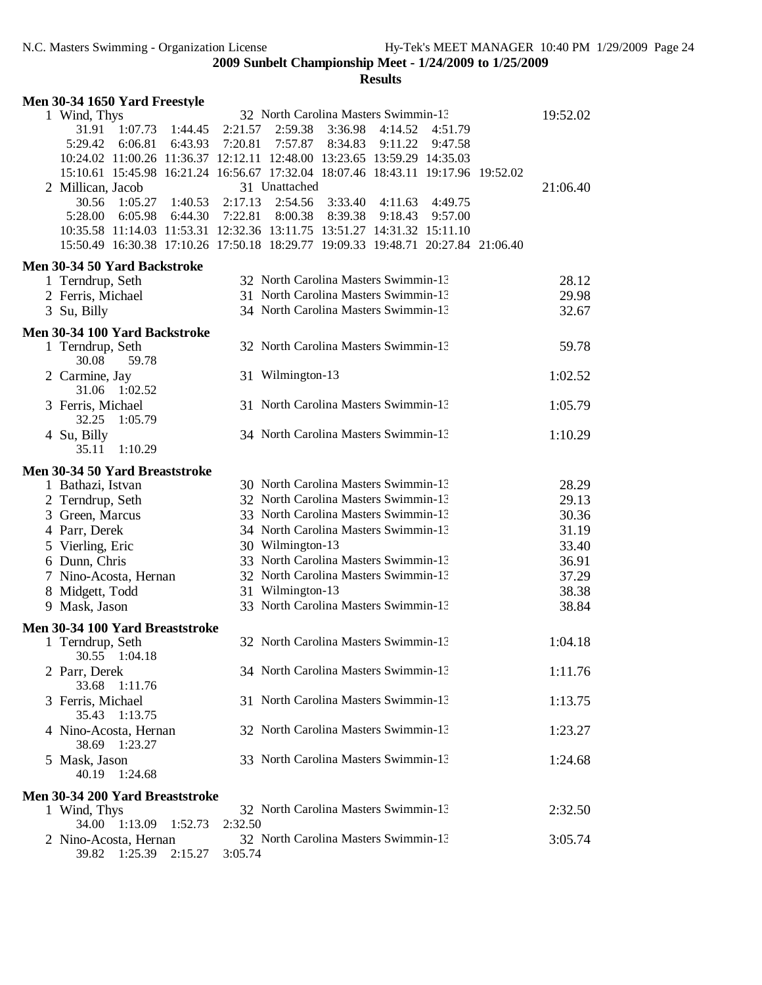| Men 30-34 1650 Yard Freestyle                             |                                                                                                            |                |
|-----------------------------------------------------------|------------------------------------------------------------------------------------------------------------|----------------|
| 1 Wind, Thys                                              | 32 North Carolina Masters Swimmin-13                                                                       | 19:52.02       |
| 1:07.73<br>31.91<br>1:44.45                               | 2:21.57<br>3:36.98<br>2:59.38<br>4:14.52<br>4:51.79                                                        |                |
| 5:29.42<br>6:06.81<br>6:43.93                             | 7:20.81<br>7:57.87<br>8:34.83<br>9:11.22<br>9:47.58                                                        |                |
|                                                           | 10:24.02 11:00.26 11:36.37 12:12.11 12:48.00 13:23.65 13:59.29 14:35.03                                    |                |
|                                                           | 15:10.61 15:45.98 16:21.24 16:56.67 17:32.04 18:07.46 18:43.11 19:17.96 19:52.02                           |                |
| 2 Millican, Jacob                                         | 31 Unattached                                                                                              | 21:06.40       |
| 30.56<br>1:05.27<br>1:40.53<br>5:28.00<br>6:05.98 6:44.30 | 2:17.13<br>2:54.56<br>3:33.40<br>4:11.63<br>4:49.75<br>7:22.81<br>8:00.38<br>8:39.38<br>9:18.43<br>9:57.00 |                |
|                                                           | 10:35.58 11:14.03 11:53.31 12:32.36 13:11.75 13:51.27 14:31.32 15:11.10                                    |                |
|                                                           | 15:50.49 16:30.38 17:10.26 17:50.18 18:29.77 19:09.33 19:48.71 20:27.84 21:06.40                           |                |
| Men 30-34 50 Yard Backstroke                              |                                                                                                            |                |
| 1 Terndrup, Seth                                          | 32 North Carolina Masters Swimmin-13                                                                       | 28.12          |
| 2 Ferris, Michael                                         | 31 North Carolina Masters Swimmin-13                                                                       | 29.98          |
| 3 Su, Billy                                               | 34 North Carolina Masters Swimmin-13                                                                       | 32.67          |
| Men 30-34 100 Yard Backstroke                             |                                                                                                            |                |
| 1 Terndrup, Seth                                          | 32 North Carolina Masters Swimmin-13                                                                       | 59.78          |
| 59.78<br>30.08                                            |                                                                                                            |                |
| 2 Carmine, Jay                                            | 31 Wilmington-13                                                                                           | 1:02.52        |
| 31.06 1:02.52                                             |                                                                                                            |                |
| 3 Ferris, Michael                                         | 31 North Carolina Masters Swimmin-13                                                                       | 1:05.79        |
| 32.25<br>1:05.79                                          |                                                                                                            |                |
| 4 Su, Billy                                               | 34 North Carolina Masters Swimmin-13                                                                       | 1:10.29        |
| 35.11<br>1:10.29                                          |                                                                                                            |                |
| Men 30-34 50 Yard Breaststroke                            |                                                                                                            |                |
| 1 Bathazi, Istvan                                         | 30 North Carolina Masters Swimmin-13                                                                       | 28.29          |
| 2 Terndrup, Seth                                          | 32 North Carolina Masters Swimmin-13                                                                       | 29.13          |
| 3 Green, Marcus                                           | 33 North Carolina Masters Swimmin-13                                                                       | 30.36          |
| 4 Parr, Derek                                             | 34 North Carolina Masters Swimmin-13                                                                       | 31.19          |
| 5 Vierling, Eric                                          | 30 Wilmington-13<br>33 North Carolina Masters Swimmin-13                                                   | 33.40          |
| 6 Dunn, Chris                                             | 32 North Carolina Masters Swimmin-13                                                                       | 36.91<br>37.29 |
| 7 Nino-Acosta, Hernan<br>8 Midgett, Todd                  | 31 Wilmington-13                                                                                           | 38.38          |
| 9 Mask, Jason                                             | 33 North Carolina Masters Swimmin-13                                                                       | 38.84          |
|                                                           |                                                                                                            |                |
| Men 30-34 100 Yard Breaststroke                           | 32 North Carolina Masters Swimmin-13                                                                       |                |
| 1 Terndrup, Seth<br>30.55 1:04.18                         |                                                                                                            | 1:04.18        |
| 2 Parr, Derek                                             | 34 North Carolina Masters Swimmin-13                                                                       | 1:11.76        |
| 33.68<br>1:11.76                                          |                                                                                                            |                |
| 3 Ferris, Michael                                         | 31 North Carolina Masters Swimmin-13                                                                       | 1:13.75        |
| 35.43<br>1:13.75                                          |                                                                                                            |                |
| 4 Nino-Acosta, Hernan                                     | 32 North Carolina Masters Swimmin-13                                                                       | 1:23.27        |
| 38.69<br>1:23.27                                          |                                                                                                            |                |
| 5 Mask, Jason                                             | 33 North Carolina Masters Swimmin-13                                                                       | 1:24.68        |
| 40.19<br>1:24.68                                          |                                                                                                            |                |
| Men 30-34 200 Yard Breaststroke                           |                                                                                                            |                |
| 1 Wind, Thys                                              | 32 North Carolina Masters Swimmin-13                                                                       | 2:32.50        |
| 34.00<br>1:13.09<br>1:52.73<br>2 Nino-Acosta, Hernan      | 2:32.50<br>32 North Carolina Masters Swimmin-13                                                            | 3:05.74        |
| 39.82 1:25.39<br>2:15.27                                  | 3:05.74                                                                                                    |                |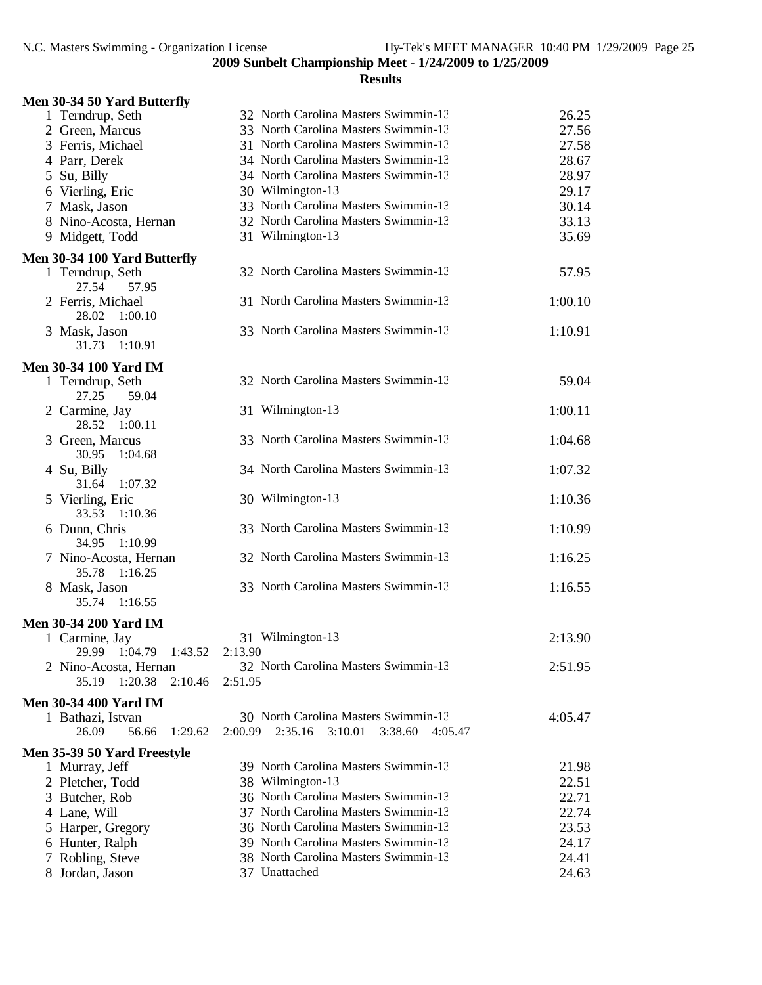| Men 30-34 50 Yard Butterfly                           |                                                     |         |
|-------------------------------------------------------|-----------------------------------------------------|---------|
| 1 Terndrup, Seth                                      | 32 North Carolina Masters Swimmin-13                | 26.25   |
| 2 Green, Marcus                                       | 33 North Carolina Masters Swimmin-13                | 27.56   |
| 3 Ferris, Michael                                     | 31 North Carolina Masters Swimmin-13                | 27.58   |
| 4 Parr, Derek                                         | 34 North Carolina Masters Swimmin-13                | 28.67   |
| 5 Su, Billy                                           | 34 North Carolina Masters Swimmin-13                | 28.97   |
| 6 Vierling, Eric                                      | 30 Wilmington-13                                    | 29.17   |
| 7 Mask, Jason                                         | 33 North Carolina Masters Swimmin-13                | 30.14   |
| 8 Nino-Acosta, Hernan                                 | 32 North Carolina Masters Swimmin-13                | 33.13   |
| 9 Midgett, Todd                                       | 31 Wilmington-13                                    | 35.69   |
| Men 30-34 100 Yard Butterfly                          |                                                     |         |
| 1 Terndrup, Seth<br>27.54<br>57.95                    | 32 North Carolina Masters Swimmin-13                | 57.95   |
| 2 Ferris, Michael<br>28.02 1:00.10                    | 31 North Carolina Masters Swimmin-13                | 1:00.10 |
| 3 Mask, Jason<br>31.73 1:10.91                        | 33 North Carolina Masters Swimmin-13                | 1:10.91 |
| <b>Men 30-34 100 Yard IM</b>                          |                                                     |         |
| 1 Terndrup, Seth<br>27.25<br>59.04                    | 32 North Carolina Masters Swimmin-13                | 59.04   |
| 2 Carmine, Jay<br>28.52 1:00.11                       | 31 Wilmington-13                                    | 1:00.11 |
| 3 Green, Marcus<br>30.95<br>1:04.68                   | 33 North Carolina Masters Swimmin-13                | 1:04.68 |
| 4 Su, Billy<br>31.64<br>1:07.32                       | 34 North Carolina Masters Swimmin-13                | 1:07.32 |
| 5 Vierling, Eric<br>33.53<br>1:10.36                  | 30 Wilmington-13                                    | 1:10.36 |
| 6 Dunn, Chris<br>34.95<br>1:10.99                     | 33 North Carolina Masters Swimmin-13                | 1:10.99 |
| 7 Nino-Acosta, Hernan<br>35.78<br>1:16.25             | 32 North Carolina Masters Swimmin-13                | 1:16.25 |
| 8 Mask, Jason<br>1:16.55<br>35.74                     | 33 North Carolina Masters Swimmin-13                | 1:16.55 |
| <b>Men 30-34 200 Yard IM</b>                          |                                                     |         |
| 1 Carmine, Jay<br>29.99 1:04.79 1:43.52               | 31 Wilmington-13<br>2:13.90                         | 2:13.90 |
| 2 Nino-Acosta, Hernan<br>35.19<br>$1:20.38$ $2:10.46$ | 32 North Carolina Masters Swimmin-13<br>2:51.95     | 2:51.95 |
| <b>Men 30-34 400 Yard IM</b>                          |                                                     |         |
| 1 Bathazi, Istvan                                     | 30 North Carolina Masters Swimmin-13                | 4:05.47 |
| 56.66<br>1:29.62<br>26.09                             | 2:00.99<br>2:35.16<br>3:10.01<br>3:38.60<br>4:05.47 |         |
| Men 35-39 50 Yard Freestyle                           |                                                     |         |
| 1 Murray, Jeff                                        | 39 North Carolina Masters Swimmin-13                | 21.98   |
| 2 Pletcher, Todd                                      | 38 Wilmington-13                                    | 22.51   |
| 3 Butcher, Rob                                        | 36 North Carolina Masters Swimmin-13                | 22.71   |
| 4 Lane, Will                                          | 37 North Carolina Masters Swimmin-13                | 22.74   |
| 5 Harper, Gregory                                     | 36 North Carolina Masters Swimmin-13                | 23.53   |
| 6 Hunter, Ralph                                       | 39 North Carolina Masters Swimmin-13                | 24.17   |
| Robling, Steve                                        | 38 North Carolina Masters Swimmin-13                | 24.41   |
| 8 Jordan, Jason                                       | 37 Unattached                                       | 24.63   |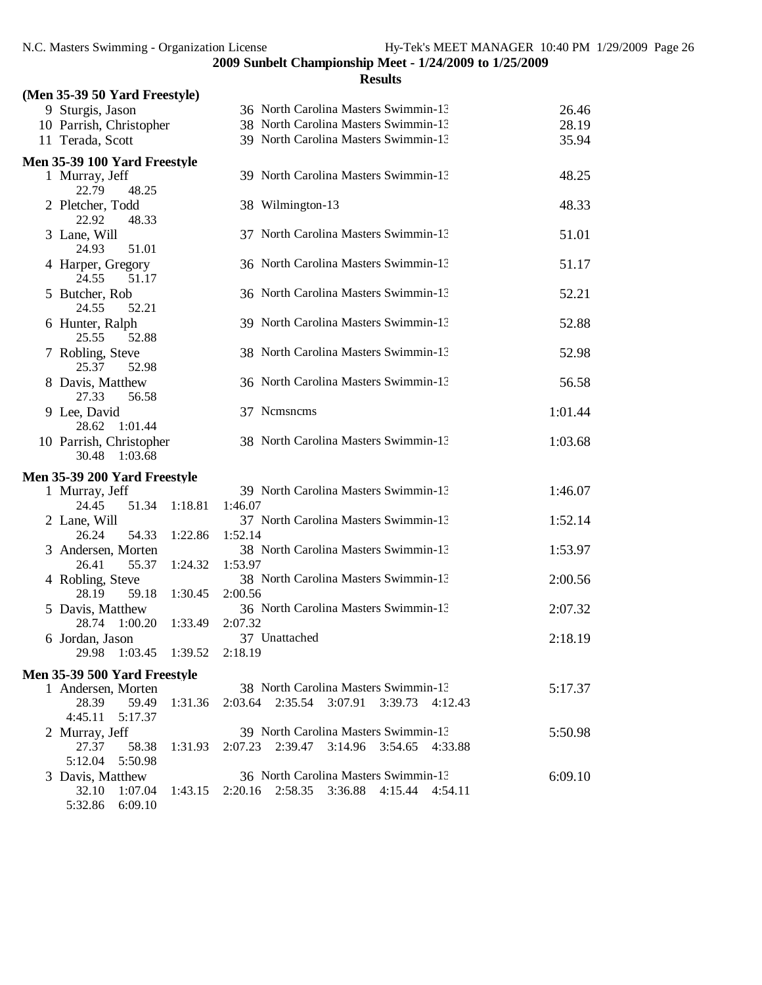| (Men 35-39 50 Yard Freestyle)                                    |                                                 |         |
|------------------------------------------------------------------|-------------------------------------------------|---------|
| 9 Sturgis, Jason                                                 | 36 North Carolina Masters Swimmin-13            | 26.46   |
| 10 Parrish, Christopher                                          | 38 North Carolina Masters Swimmin-13            | 28.19   |
| 11 Terada, Scott                                                 | 39 North Carolina Masters Swimmin-13            | 35.94   |
|                                                                  |                                                 |         |
| Men 35-39 100 Yard Freestyle<br>1 Murray, Jeff<br>22.79<br>48.25 | 39 North Carolina Masters Swimmin-13            | 48.25   |
| 2 Pletcher, Todd<br>22.92<br>48.33                               | 38 Wilmington-13                                | 48.33   |
| 3 Lane, Will<br>24.93<br>51.01                                   | 37 North Carolina Masters Swimmin-13            | 51.01   |
| 4 Harper, Gregory<br>24.55<br>51.17                              | 36 North Carolina Masters Swimmin-13            | 51.17   |
| 5 Butcher, Rob<br>24.55<br>52.21                                 | 36 North Carolina Masters Swimmin-13            | 52.21   |
| 6 Hunter, Ralph<br>25.55<br>52.88                                | 39 North Carolina Masters Swimmin-13            | 52.88   |
| 7 Robling, Steve<br>25.37<br>52.98                               | 38 North Carolina Masters Swimmin-13            | 52.98   |
| 8 Davis, Matthew<br>27.33<br>56.58                               | 36 North Carolina Masters Swimmin-13            | 56.58   |
| 9 Lee, David<br>28.62<br>1:01.44                                 | 37 Nemsnems                                     | 1:01.44 |
| 10 Parrish, Christopher<br>1:03.68<br>30.48                      | 38 North Carolina Masters Swimmin-13            | 1:03.68 |
| Men 35-39 200 Yard Freestyle                                     |                                                 |         |
| 1 Murray, Jeff                                                   | 39 North Carolina Masters Swimmin-13            | 1:46.07 |
| 24.45<br>51.34<br>1:18.81                                        | 1:46.07                                         |         |
| 2 Lane, Will                                                     | 37 North Carolina Masters Swimmin-13            | 1:52.14 |
| 26.24<br>54.33<br>1:22.86                                        | 1:52.14                                         |         |
| 3 Andersen, Morten                                               | 38 North Carolina Masters Swimmin-13            | 1:53.97 |
| 26.41<br>55.37<br>1:24.32                                        | 1:53.97                                         |         |
| 4 Robling, Steve                                                 | 38 North Carolina Masters Swimmin-13            | 2:00.56 |
| 28.19<br>1:30.45<br>59.18                                        | 2:00.56<br>36 North Carolina Masters Swimmin-13 |         |
| 5 Davis, Matthew<br>28.74<br>1:00.20<br>1:33.49                  | 2:07.32                                         | 2:07.32 |
| 6 Jordan, Jason                                                  | 37 Unattached                                   | 2:18.19 |
| 29.98 1:03.45 1:39.52                                            | 2:18.19                                         |         |
| Men 35-39 500 Yard Freestyle                                     |                                                 |         |
| 1 Andersen, Morten                                               | 38 North Carolina Masters Swimmin-13            | 5:17.37 |
| 28.39<br>59.49<br>1:31.36                                        | 2:03.64 2:35.54 3:07.91<br>3:39.73 4:12.43      |         |
| 4:45.11<br>5:17.37                                               |                                                 |         |
| 2 Murray, Jeff                                                   | 39 North Carolina Masters Swimmin-13            | 5:50.98 |
| 27.37<br>58.38<br>1:31.93                                        | 2:07.23 2:39.47 3:14.96 3:54.65 4:33.88         |         |
| 5:12.04<br>5:50.98                                               |                                                 |         |
| 3 Davis, Matthew                                                 | 36 North Carolina Masters Swimmin-13            | 6:09.10 |
| 32.10<br>1:07.04<br>1:43.15                                      | 2:20.16 2:58.35 3:36.88 4:15.44 4:54.11         |         |
| 5:32.86<br>6:09.10                                               |                                                 |         |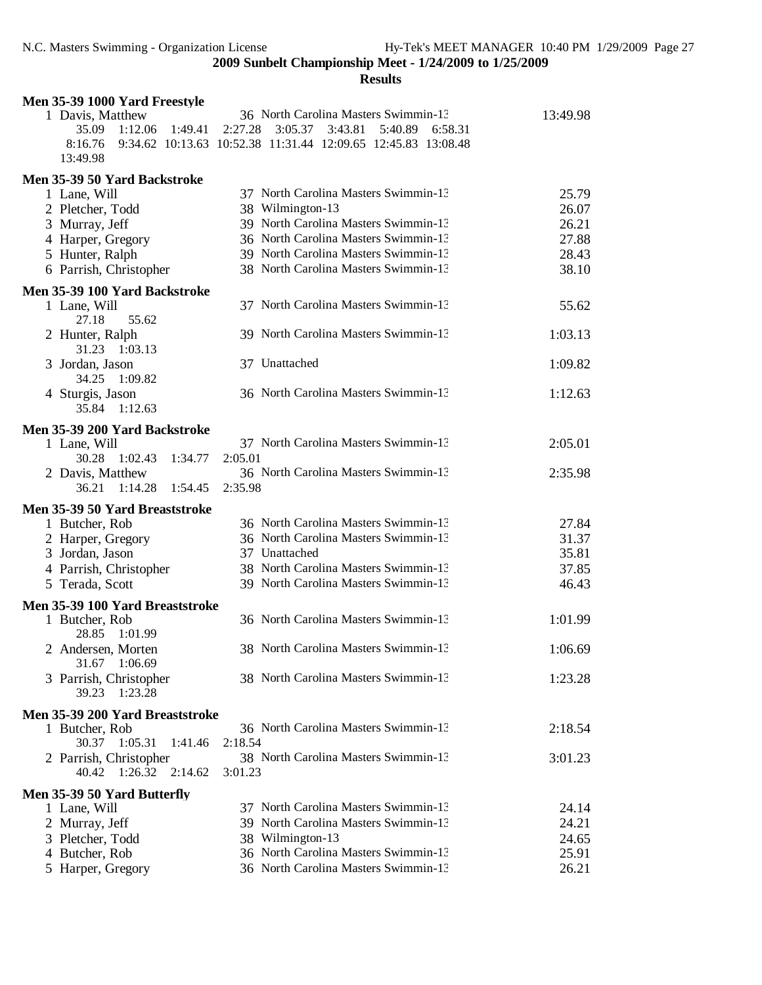| Men 35-39 1000 Yard Freestyle                     |                                                               |                |
|---------------------------------------------------|---------------------------------------------------------------|----------------|
| 1 Davis, Matthew                                  | 36 North Carolina Masters Swimmin-13                          | 13:49.98       |
| 35.09<br>1:12.06<br>1:49.41                       | 2:27.28<br>3:05.37<br>3:43.81<br>5:40.89 6:58.31              |                |
| 8:16.76                                           | 9:34.62 10:13.63 10:52.38 11:31.44 12:09.65 12:45.83 13:08.48 |                |
| 13:49.98                                          |                                                               |                |
| Men 35-39 50 Yard Backstroke                      |                                                               |                |
| 1 Lane, Will                                      | 37 North Carolina Masters Swimmin-13                          | 25.79          |
| 2 Pletcher, Todd                                  | 38 Wilmington-13                                              | 26.07          |
| 3 Murray, Jeff                                    | 39 North Carolina Masters Swimmin-13                          | 26.21          |
| 4 Harper, Gregory                                 | 36 North Carolina Masters Swimmin-13                          | 27.88          |
| 5 Hunter, Ralph                                   | 39 North Carolina Masters Swimmin-13                          | 28.43          |
| 6 Parrish, Christopher                            | 38 North Carolina Masters Swimmin-13                          | 38.10          |
| Men 35-39 100 Yard Backstroke                     |                                                               |                |
| 1 Lane, Will                                      | 37 North Carolina Masters Swimmin-13                          | 55.62          |
| 55.62<br>27.18                                    |                                                               |                |
| 2 Hunter, Ralph                                   | 39 North Carolina Masters Swimmin-13                          | 1:03.13        |
| 31.23 1:03.13                                     |                                                               |                |
| 3 Jordan, Jason                                   | 37 Unattached                                                 | 1:09.82        |
| 34.25<br>1:09.82                                  |                                                               |                |
| 4 Sturgis, Jason                                  | 36 North Carolina Masters Swimmin-13                          | 1:12.63        |
| 35.84<br>1:12.63                                  |                                                               |                |
| Men 35-39 200 Yard Backstroke                     |                                                               |                |
| 1 Lane, Will                                      | 37 North Carolina Masters Swimmin-13                          | 2:05.01        |
| 30.28 1:02.43<br>1:34.77                          | 2:05.01                                                       |                |
| 2 Davis, Matthew                                  | 36 North Carolina Masters Swimmin-13                          | 2:35.98        |
| 1:14.28<br>36.21<br>1:54.45                       | 2:35.98                                                       |                |
| Men 35-39 50 Yard Breaststroke                    |                                                               |                |
| 1 Butcher, Rob                                    | 36 North Carolina Masters Swimmin-13                          | 27.84          |
| 2 Harper, Gregory                                 | 36 North Carolina Masters Swimmin-13                          | 31.37          |
| 3 Jordan, Jason                                   | 37 Unattached                                                 | 35.81          |
| 4 Parrish, Christopher                            | 38 North Carolina Masters Swimmin-13                          | 37.85          |
| 5 Terada, Scott                                   | 39 North Carolina Masters Swimmin-13                          | 46.43          |
|                                                   |                                                               |                |
| Men 35-39 100 Yard Breaststroke                   | 36 North Carolina Masters Swimmin-13                          |                |
| 1 Butcher, Rob<br>1:01.99<br>28.85                |                                                               | 1:01.99        |
| 2 Andersen, Morten                                | 38 North Carolina Masters Swimmin-13                          | 1:06.69        |
| 31.67 1:06.69                                     |                                                               |                |
| 3 Parrish, Christopher                            | 38 North Carolina Masters Swimmin-13                          | 1:23.28        |
| 39.23<br>1:23.28                                  |                                                               |                |
|                                                   |                                                               |                |
| Men 35-39 200 Yard Breaststroke<br>1 Butcher, Rob | 36 North Carolina Masters Swimmin-13                          | 2:18.54        |
| 30.37 1:05.31<br>1:41.46                          | 2:18.54                                                       |                |
| 2 Parrish, Christopher                            | 38 North Carolina Masters Swimmin-13                          | 3:01.23        |
| $1:26.32$ $2:14.62$<br>40.42                      | 3:01.23                                                       |                |
|                                                   |                                                               |                |
| Men 35-39 50 Yard Butterfly                       | 37 North Carolina Masters Swimmin-13                          |                |
| 1 Lane, Will                                      | 39 North Carolina Masters Swimmin-13                          | 24.14          |
| 2 Murray, Jeff                                    |                                                               | 24.21          |
| 3 Pletcher, Todd                                  | 38 Wilmington-13<br>36 North Carolina Masters Swimmin-13      | 24.65<br>25.91 |
| 4 Butcher, Rob                                    | 36 North Carolina Masters Swimmin-13                          | 26.21          |
| 5 Harper, Gregory                                 |                                                               |                |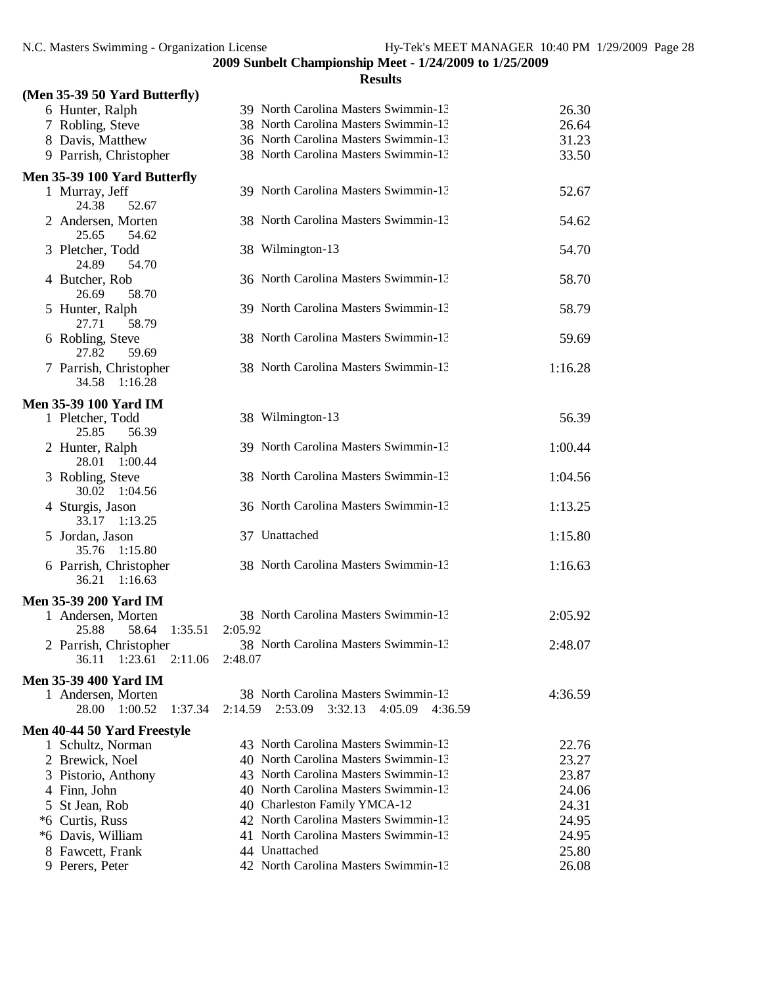| (Men 35-39 50 Yard Butterfly)        |                                                     |         |
|--------------------------------------|-----------------------------------------------------|---------|
| 6 Hunter, Ralph                      | 39 North Carolina Masters Swimmin-13                | 26.30   |
| 7 Robling, Steve                     | 38 North Carolina Masters Swimmin-13                | 26.64   |
| 8 Davis, Matthew                     | 36 North Carolina Masters Swimmin-13                | 31.23   |
| 9 Parrish, Christopher               | 38 North Carolina Masters Swimmin-13                | 33.50   |
|                                      |                                                     |         |
| Men 35-39 100 Yard Butterfly         | 39 North Carolina Masters Swimmin-13                | 52.67   |
| 1 Murray, Jeff<br>24.38<br>52.67     |                                                     |         |
| 2 Andersen, Morten                   | 38 North Carolina Masters Swimmin-13                | 54.62   |
| 25.65<br>54.62                       |                                                     |         |
| 3 Pletcher, Todd                     | 38 Wilmington-13                                    | 54.70   |
| 24.89<br>54.70                       |                                                     |         |
| 4 Butcher, Rob                       | 36 North Carolina Masters Swimmin-13                | 58.70   |
| 26.69<br>58.70                       |                                                     |         |
| 5 Hunter, Ralph                      | 39 North Carolina Masters Swimmin-13                | 58.79   |
| 27.71<br>58.79                       |                                                     |         |
| 6 Robling, Steve                     | 38 North Carolina Masters Swimmin-13                | 59.69   |
| 59.69<br>27.82                       |                                                     |         |
| 7 Parrish, Christopher               | 38 North Carolina Masters Swimmin-13                | 1:16.28 |
| 34.58<br>1:16.28                     |                                                     |         |
|                                      |                                                     |         |
| <b>Men 35-39 100 Yard IM</b>         |                                                     |         |
| 1 Pletcher, Todd<br>56.39            | 38 Wilmington-13                                    | 56.39   |
| 25.85                                |                                                     |         |
| 2 Hunter, Ralph<br>28.01             | 39 North Carolina Masters Swimmin-13                | 1:00.44 |
| 1:00.44                              | 38 North Carolina Masters Swimmin-13                | 1:04.56 |
| 3 Robling, Steve<br>1:04.56<br>30.02 |                                                     |         |
| 4 Sturgis, Jason                     | 36 North Carolina Masters Swimmin-13                | 1:13.25 |
| 33.17<br>1:13.25                     |                                                     |         |
| 5 Jordan, Jason                      | 37 Unattached                                       | 1:15.80 |
| 1:15.80<br>35.76                     |                                                     |         |
| 6 Parrish, Christopher               | 38 North Carolina Masters Swimmin-13                | 1:16.63 |
| 36.21<br>1:16.63                     |                                                     |         |
|                                      |                                                     |         |
| Men 35-39 200 Yard IM                |                                                     |         |
| 1 Andersen, Morten                   | 38 North Carolina Masters Swimmin-13                | 2:05.92 |
| 25.88<br>58.64<br>1:35.51            | 2:05.92                                             |         |
| 2 Parrish, Christopher               | 38 North Carolina Masters Swimmin-13                | 2:48.07 |
| 36.11<br>1:23.61<br>2:11.06          | 2:48.07                                             |         |
| <b>Men 35-39 400 Yard IM</b>         |                                                     |         |
| 1 Andersen, Morten                   | 38 North Carolina Masters Swimmin-13                | 4:36.59 |
| 1:37.34<br>28.00<br>1:00.52          | 2:14.59<br>2:53.09<br>3:32.13<br>4:05.09<br>4:36.59 |         |
| Men 40-44 50 Yard Freestyle          |                                                     |         |
| 1 Schultz, Norman                    | 43 North Carolina Masters Swimmin-13                | 22.76   |
| 2 Brewick, Noel                      | 40 North Carolina Masters Swimmin-13                | 23.27   |
| 3 Pistorio, Anthony                  | 43 North Carolina Masters Swimmin-13                | 23.87   |
| 4 Finn, John                         | 40 North Carolina Masters Swimmin-13                | 24.06   |
| 5 St Jean, Rob                       | 40 Charleston Family YMCA-12                        | 24.31   |
| *6 Curtis, Russ                      | 42 North Carolina Masters Swimmin-13                | 24.95   |
| *6 Davis, William                    | 41 North Carolina Masters Swimmin-13                | 24.95   |
| 8 Fawcett, Frank                     | 44 Unattached                                       | 25.80   |
| 9 Perers, Peter                      | 42 North Carolina Masters Swimmin-13                | 26.08   |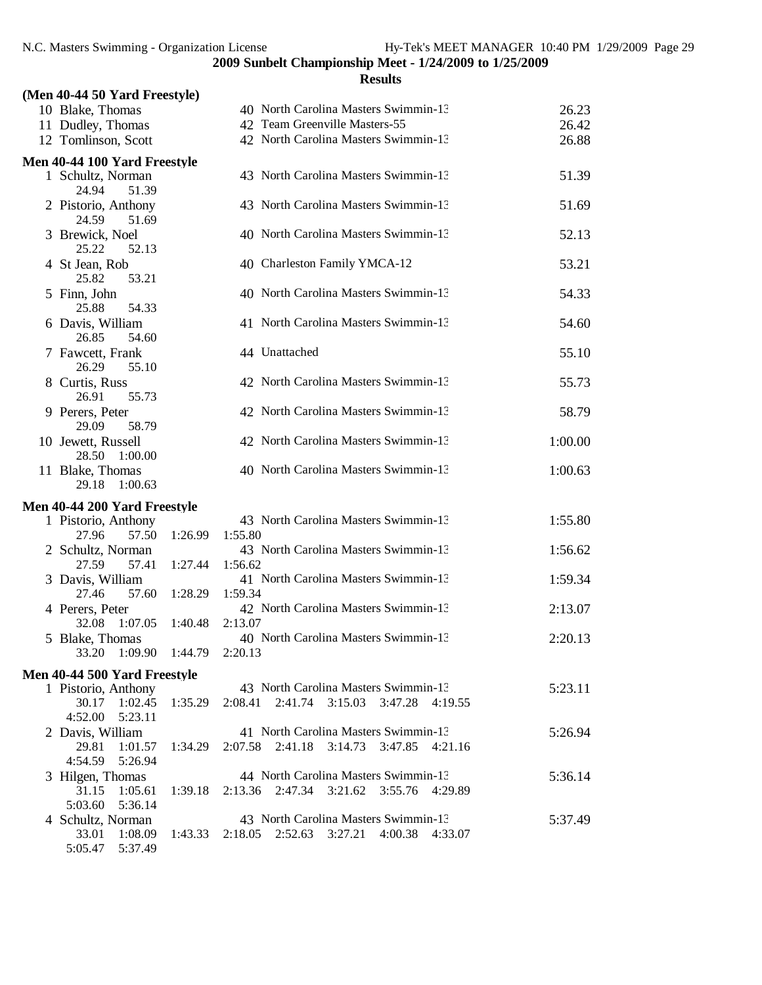| (Men 40-44 50 Yard Freestyle)          |         |                                                     |         |
|----------------------------------------|---------|-----------------------------------------------------|---------|
| 10 Blake, Thomas                       |         | 40 North Carolina Masters Swimmin-13                | 26.23   |
| 11 Dudley, Thomas                      |         | 42 Team Greenville Masters-55                       | 26.42   |
| 12 Tomlinson, Scott                    |         | 42 North Carolina Masters Swimmin-13                | 26.88   |
| Men 40-44 100 Yard Freestyle           |         |                                                     |         |
| 1 Schultz, Norman                      |         | 43 North Carolina Masters Swimmin-13                | 51.39   |
| 24.94<br>51.39                         |         |                                                     |         |
| 2 Pistorio, Anthony                    |         | 43 North Carolina Masters Swimmin-13                | 51.69   |
| 24.59<br>51.69                         |         |                                                     |         |
| 3 Brewick, Noel                        |         | 40 North Carolina Masters Swimmin-13                | 52.13   |
| 25.22<br>52.13<br>4 St Jean, Rob       |         | 40 Charleston Family YMCA-12                        | 53.21   |
| 25.82<br>53.21                         |         |                                                     |         |
| 5 Finn, John                           |         | 40 North Carolina Masters Swimmin-13                | 54.33   |
| 25.88<br>54.33                         |         |                                                     |         |
| 6 Davis, William                       |         | 41 North Carolina Masters Swimmin-13                | 54.60   |
| 26.85<br>54.60                         |         |                                                     |         |
| 7 Fawcett, Frank                       |         | 44 Unattached                                       | 55.10   |
| 26.29<br>55.10                         |         |                                                     |         |
| 8 Curtis, Russ                         |         | 42 North Carolina Masters Swimmin-13                | 55.73   |
| 26.91<br>55.73                         |         |                                                     |         |
| 9 Perers, Peter<br>29.09<br>58.79      |         | 42 North Carolina Masters Swimmin-13                | 58.79   |
| 10 Jewett, Russell                     |         | 42 North Carolina Masters Swimmin-13                | 1:00.00 |
| 28.50<br>1:00.00                       |         |                                                     |         |
| 11 Blake, Thomas                       |         | 40 North Carolina Masters Swimmin-13                | 1:00.63 |
| 29.18<br>1:00.63                       |         |                                                     |         |
| Men 40-44 200 Yard Freestyle           |         |                                                     |         |
| 1 Pistorio, Anthony                    |         | 43 North Carolina Masters Swimmin-13                | 1:55.80 |
| 57.50<br>27.96                         | 1:26.99 | 1:55.80                                             |         |
| 2 Schultz, Norman                      |         | 43 North Carolina Masters Swimmin-13                | 1:56.62 |
| 27.59<br>57.41                         | 1:27.44 | 1:56.62                                             |         |
| 3 Davis, William                       |         | 41 North Carolina Masters Swimmin-13                | 1:59.34 |
| 27.46<br>57.60                         | 1:28.29 | 1:59.34<br>42 North Carolina Masters Swimmin-13     | 2:13.07 |
| 4 Perers, Peter<br>32.08<br>1:07.05    | 1:40.48 | 2:13.07                                             |         |
| 5 Blake, Thomas                        |         | 40 North Carolina Masters Swimmin-13                | 2:20.13 |
| 1:09.90<br>33.20                       | 1:44.79 | 2:20.13                                             |         |
| Men 40-44 500 Yard Freestyle           |         |                                                     |         |
| 1 Pistorio, Anthony                    |         | 43 North Carolina Masters Swimmin-13                | 5:23.11 |
| 30.17<br>1:02.45                       | 1:35.29 | 2:08.41<br>2:41.74<br>3:15.03<br>3:47.28<br>4:19.55 |         |
| 4:52.00<br>5:23.11                     |         |                                                     |         |
| 2 Davis, William                       |         | 41 North Carolina Masters Swimmin-13                | 5:26.94 |
| 29.81<br>1:01.57                       | 1:34.29 | 2:07.58<br>2:41.18 3:14.73<br>3:47.85<br>4:21.16    |         |
| 4:54.59<br>5:26.94                     |         |                                                     |         |
| 3 Hilgen, Thomas                       |         | 44 North Carolina Masters Swimmin-13                | 5:36.14 |
| 31.15<br>1:05.61<br>5:03.60<br>5:36.14 | 1:39.18 | 2:13.36 2:47.34 3:21.62<br>3:55.76<br>4:29.89       |         |
| 4 Schultz, Norman                      |         | 43 North Carolina Masters Swimmin-13                | 5:37.49 |
| 33.01<br>1:08.09                       | 1:43.33 | 2:18.05 2:52.63 3:27.21 4:00.38 4:33.07             |         |
| 5:05.47    5:37.49                     |         |                                                     |         |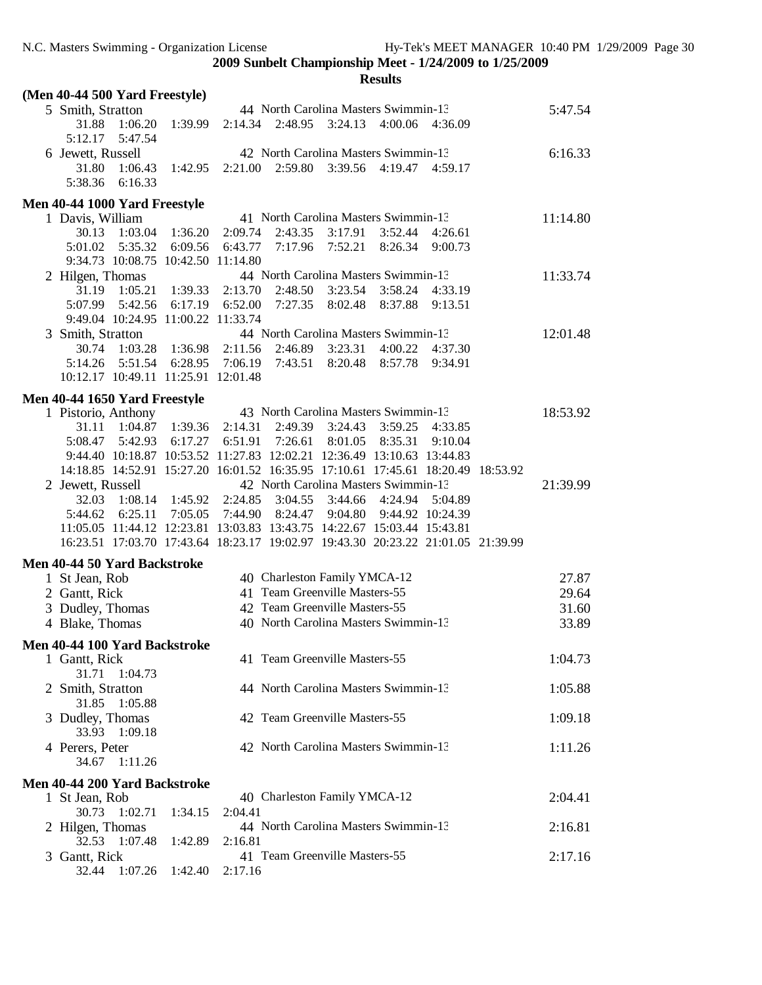| (Men 40-44 500 Yard Freestyle)                                                   |         |                 |         |                               |                                                 |                  |          |
|----------------------------------------------------------------------------------|---------|-----------------|---------|-------------------------------|-------------------------------------------------|------------------|----------|
| 5 Smith, Stratton                                                                |         |                 |         |                               | 44 North Carolina Masters Swimmin-13            |                  | 5:47.54  |
| 31.88<br>1:06.20<br>5:12.17<br>5:47.54                                           | 1:39.99 | 2:14.34         |         | 2:48.95 3:24.13               | 4:00.06 4:36.09                                 |                  |          |
| 6 Jewett, Russell<br>31.80<br>1:06.43                                            | 1:42.95 | 2:21.00         | 2:59.80 | 3:39.56                       | 42 North Carolina Masters Swimmin-13<br>4:19.47 | 4:59.17          | 6:16.33  |
| 5:38.36<br>6:16.33                                                               |         |                 |         |                               |                                                 |                  |          |
| Men 40-44 1000 Yard Freestyle                                                    |         |                 |         |                               |                                                 |                  |          |
| 1 Davis, William                                                                 |         |                 |         |                               | 41 North Carolina Masters Swimmin-13            |                  | 11:14.80 |
| 30.13<br>1:03.04                                                                 | 1:36.20 | 2:09.74         | 2:43.35 | 3:17.91                       | 3:52.44                                         | 4:26.61          |          |
| 5:01.02<br>5:35.32                                                               | 6:09.56 | 6:43.77         | 7:17.96 | 7:52.21                       | 8:26.34                                         | 9:00.73          |          |
| 9:34.73 10:08.75 10:42.50 11:14.80                                               |         |                 |         |                               |                                                 |                  |          |
| 2 Hilgen, Thomas                                                                 |         |                 |         |                               | 44 North Carolina Masters Swimmin-13            |                  | 11:33.74 |
| 31.19<br>1:05.21                                                                 | 1:39.33 | 2:13.70         | 2:48.50 | 3:23.54                       | 3:58.24                                         | 4:33.19          |          |
| 5:07.99<br>5:42.56                                                               | 6:17.19 | 6:52.00         | 7:27.35 | 8:02.48                       | 8:37.88                                         | 9:13.51          |          |
| 9:49.04 10:24.95 11:00.22 11:33.74                                               |         |                 |         |                               |                                                 |                  |          |
| 3 Smith, Stratton                                                                |         |                 |         |                               | 44 North Carolina Masters Swimmin-13            |                  | 12:01.48 |
| 30.74<br>1:03.28                                                                 |         | 1:36.98 2:11.56 | 2:46.89 | 3:23.31                       | 4:00.22                                         | 4:37.30          |          |
| 5:14.26<br>5:51.54<br>10:12.17 10:49.11 11:25.91 12:01.48                        | 6:28.95 | 7:06.19 7:43.51 |         | 8:20.48                       | 8:57.78                                         | 9:34.91          |          |
|                                                                                  |         |                 |         |                               |                                                 |                  |          |
| Men 40-44 1650 Yard Freestyle                                                    |         |                 |         |                               |                                                 |                  |          |
| 1 Pistorio, Anthony                                                              |         |                 |         |                               | 43 North Carolina Masters Swimmin-13            |                  | 18:53.92 |
| 31.11<br>1:04.87                                                                 | 1:39.36 | 2:14.31         | 2:49.39 | 3:24.43                       | 3:59.25                                         | 4:33.85          |          |
| 5:08.47<br>5:42.93                                                               | 6:17.27 | 6:51.91         | 7:26.61 | 8:01.05                       | 8:35.31                                         | 9:10.04          |          |
| 9:44.40 10:18.87 10:53.52 11:27.83 12:02.21 12:36.49 13:10.63 13:44.83           |         |                 |         |                               |                                                 |                  |          |
| 14:18.85 14:52.91 15:27.20 16:01.52 16:35.95 17:10.61 17:45.61 18:20.49 18:53.92 |         |                 |         |                               |                                                 |                  |          |
| 2 Jewett, Russell                                                                |         |                 |         |                               | 42 North Carolina Masters Swimmin-13            |                  | 21:39.99 |
| 32.03<br>1:08.14                                                                 | 1:45.92 | 2:24.85         | 3:04.55 | 3:44.66                       | 4:24.94                                         | 5:04.89          |          |
| 5:44.62<br>6:25.11                                                               | 7:05.05 | 7:44.90         | 8:24.47 | 9:04.80                       |                                                 | 9:44.92 10:24.39 |          |
| 11:05.05 11:44.12 12:23.81 13:03.83 13:43.75 14:22.67 15:03.44 15:43.81          |         |                 |         |                               |                                                 |                  |          |
| 16:23.51 17:03.70 17:43.64 18:23.17 19:02.97 19:43.30 20:23.22 21:01.05 21:39.99 |         |                 |         |                               |                                                 |                  |          |
| Men 40-44 50 Yard Backstroke                                                     |         |                 |         |                               |                                                 |                  |          |
| 1 St Jean, Rob                                                                   |         |                 |         | 40 Charleston Family YMCA-12  |                                                 |                  | 27.87    |
| 2 Gantt, Rick                                                                    |         |                 |         | 41 Team Greenville Masters-55 |                                                 |                  | 29.64    |
| 3 Dudley, Thomas                                                                 |         |                 |         | 42 Team Greenville Masters-55 |                                                 |                  | 31.60    |
| 4 Blake, Thomas                                                                  |         |                 |         |                               | 40 North Carolina Masters Swimmin-13            |                  | 33.89    |
| Men 40-44 100 Yard Backstroke                                                    |         |                 |         |                               |                                                 |                  |          |
| 1 Gantt, Rick                                                                    |         |                 |         | 41 Team Greenville Masters-55 |                                                 |                  | 1:04.73  |
| 31.71<br>1:04.73                                                                 |         |                 |         |                               |                                                 |                  |          |
| 2 Smith, Stratton                                                                |         |                 |         |                               | 44 North Carolina Masters Swimmin-13            |                  | 1:05.88  |
| 1:05.88<br>31.85                                                                 |         |                 |         |                               |                                                 |                  |          |
| 3 Dudley, Thomas                                                                 |         |                 |         | 42 Team Greenville Masters-55 |                                                 |                  | 1:09.18  |
| 33.93<br>1:09.18                                                                 |         |                 |         |                               |                                                 |                  |          |
| 4 Perers, Peter                                                                  |         |                 |         |                               | 42 North Carolina Masters Swimmin-13            |                  | 1:11.26  |
| 34.67<br>1:11.26                                                                 |         |                 |         |                               |                                                 |                  |          |
| Men 40-44 200 Yard Backstroke                                                    |         |                 |         |                               |                                                 |                  |          |
| 1 St Jean, Rob                                                                   |         |                 |         | 40 Charleston Family YMCA-12  |                                                 |                  | 2:04.41  |
| 30.73<br>1:02.71                                                                 | 1:34.15 | 2:04.41         |         |                               |                                                 |                  |          |
| 2 Hilgen, Thomas                                                                 |         |                 |         |                               | 44 North Carolina Masters Swimmin-13            |                  | 2:16.81  |
| 32.53<br>1:07.48                                                                 | 1:42.89 | 2:16.81         |         |                               |                                                 |                  |          |
| 3 Gantt, Rick                                                                    |         |                 |         | 41 Team Greenville Masters-55 |                                                 |                  | 2:17.16  |
| 32.44<br>1:07.26                                                                 | 1:42.40 | 2:17.16         |         |                               |                                                 |                  |          |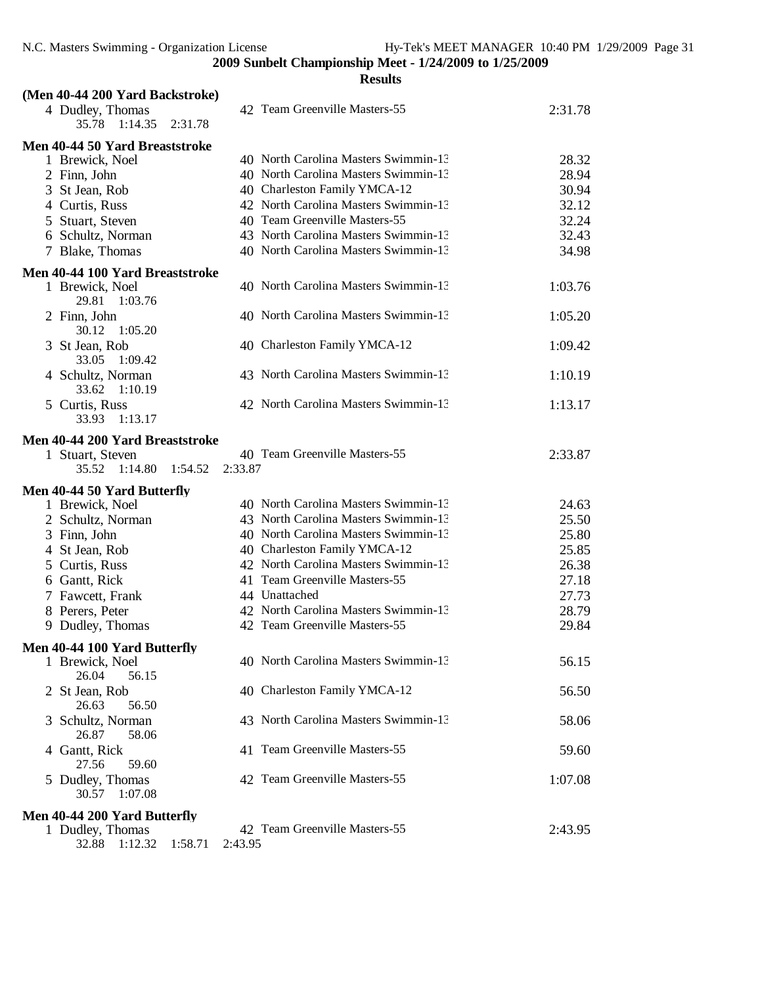| (Men 40-44 200 Yard Backstroke)                                                    |                                          |         |
|------------------------------------------------------------------------------------|------------------------------------------|---------|
| 4 Dudley, Thomas<br>1:14.35<br>2:31.78<br>35.78                                    | 42 Team Greenville Masters-55            | 2:31.78 |
| Men 40-44 50 Yard Breaststroke                                                     |                                          |         |
| 1 Brewick, Noel                                                                    | 40 North Carolina Masters Swimmin-13     | 28.32   |
| 2 Finn, John                                                                       | 40 North Carolina Masters Swimmin-13     | 28.94   |
| 3 St Jean, Rob                                                                     | 40 Charleston Family YMCA-12             | 30.94   |
| 4 Curtis, Russ                                                                     | 42 North Carolina Masters Swimmin-13     | 32.12   |
| 5 Stuart, Steven                                                                   | 40 Team Greenville Masters-55            | 32.24   |
| 6 Schultz, Norman                                                                  | 43 North Carolina Masters Swimmin-13     | 32.43   |
| 7 Blake, Thomas                                                                    | 40 North Carolina Masters Swimmin-13     | 34.98   |
|                                                                                    |                                          |         |
| Men 40-44 100 Yard Breaststroke                                                    |                                          |         |
| 1 Brewick, Noel<br>29.81 1:03.76                                                   | 40 North Carolina Masters Swimmin-13     | 1:03.76 |
| 2 Finn, John<br>1:05.20<br>30.12                                                   | 40 North Carolina Masters Swimmin-13     | 1:05.20 |
| 3 St Jean, Rob<br>33.05<br>1:09.42                                                 | 40 Charleston Family YMCA-12             | 1:09.42 |
| 4 Schultz, Norman<br>33.62<br>1:10.19                                              | 43 North Carolina Masters Swimmin-13     | 1:10.19 |
| 5 Curtis, Russ<br>33.93<br>1:13.17                                                 | 42 North Carolina Masters Swimmin-13     | 1:13.17 |
| Men 40-44 200 Yard Breaststroke<br>1 Stuart, Steven<br>1:14.80<br>35.52<br>1:54.52 | 40 Team Greenville Masters-55<br>2:33.87 | 2:33.87 |
| Men 40-44 50 Yard Butterfly                                                        |                                          |         |
| 1 Brewick, Noel                                                                    | 40 North Carolina Masters Swimmin-13     | 24.63   |
| 2 Schultz, Norman                                                                  | 43 North Carolina Masters Swimmin-13     | 25.50   |
| 3 Finn, John                                                                       | 40 North Carolina Masters Swimmin-13     | 25.80   |
| 4 St Jean, Rob                                                                     | 40 Charleston Family YMCA-12             | 25.85   |
| 5 Curtis, Russ                                                                     | 42 North Carolina Masters Swimmin-13     | 26.38   |
| 6 Gantt, Rick                                                                      | 41 Team Greenville Masters-55            | 27.18   |
| 7 Fawcett, Frank                                                                   | 44 Unattached                            | 27.73   |
| 8 Perers, Peter                                                                    | 42 North Carolina Masters Swimmin-13     | 28.79   |
| 9 Dudley, Thomas                                                                   | 42 Team Greenville Masters-55            | 29.84   |
| Men 40-44 100 Yard Butterfly                                                       |                                          |         |
| 1 Brewick, Noel<br>26.04<br>56.15                                                  | 40 North Carolina Masters Swimmin-13     | 56.15   |
| 2 St Jean, Rob<br>26.63<br>56.50                                                   | 40 Charleston Family YMCA-12             | 56.50   |
| Schultz, Norman<br>3<br>26.87<br>58.06                                             | 43 North Carolina Masters Swimmin-13     | 58.06   |
| 4 Gantt, Rick                                                                      | 41 Team Greenville Masters-55            | 59.60   |
| 27.56<br>59.60<br>5 Dudley, Thomas<br>30.57<br>1:07.08                             | 42 Team Greenville Masters-55            | 1:07.08 |
| Men 40-44 200 Yard Butterfly                                                       |                                          |         |
| 1 Dudley, Thomas<br>1:58.71<br>1:12.32<br>32.88                                    | 42 Team Greenville Masters-55<br>2:43.95 | 2:43.95 |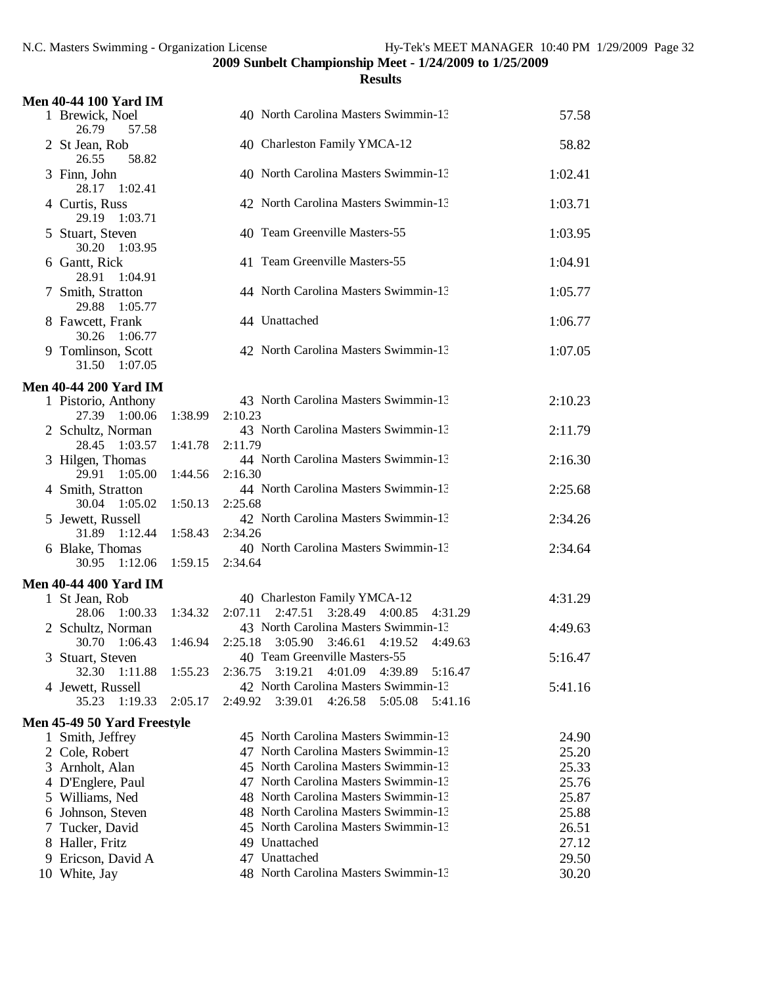|   | <b>Men 40-44 100 Yard IM</b>          |         |                                                                                             |         |
|---|---------------------------------------|---------|---------------------------------------------------------------------------------------------|---------|
|   | 1 Brewick, Noel<br>26.79<br>57.58     |         | 40 North Carolina Masters Swimmin-13                                                        | 57.58   |
|   | 2 St Jean, Rob<br>26.55<br>58.82      |         | 40 Charleston Family YMCA-12                                                                | 58.82   |
|   | 3 Finn, John<br>28.17 1:02.41         |         | 40 North Carolina Masters Swimmin-13                                                        | 1:02.41 |
|   | 4 Curtis, Russ<br>29.19<br>1:03.71    |         | 42 North Carolina Masters Swimmin-13                                                        | 1:03.71 |
|   | 5 Stuart, Steven<br>30.20<br>1:03.95  |         | 40 Team Greenville Masters-55                                                               | 1:03.95 |
|   | 6 Gantt, Rick<br>28.91<br>1:04.91     |         | 41 Team Greenville Masters-55                                                               | 1:04.91 |
|   | 7 Smith, Stratton<br>29.88<br>1:05.77 |         | 44 North Carolina Masters Swimmin-13                                                        | 1:05.77 |
|   | 8 Fawcett, Frank<br>30.26<br>1:06.77  |         | 44 Unattached                                                                               | 1:06.77 |
|   | 9 Tomlinson, Scott<br>31.50 1:07.05   |         | 42 North Carolina Masters Swimmin-13                                                        | 1:07.05 |
|   | <b>Men 40-44 200 Yard IM</b>          |         |                                                                                             |         |
|   | 1 Pistorio, Anthony                   |         | 43 North Carolina Masters Swimmin-13                                                        | 2:10.23 |
|   | 27.39 1:00.06                         | 1:38.99 | 2:10.23                                                                                     |         |
|   | 2 Schultz, Norman<br>28.45 1:03.57    | 1:41.78 | 43 North Carolina Masters Swimmin-13<br>2:11.79                                             | 2:11.79 |
|   | 3 Hilgen, Thomas<br>29.91<br>1:05.00  | 1:44.56 | 44 North Carolina Masters Swimmin-13<br>2:16.30                                             | 2:16.30 |
|   | 4 Smith, Stratton<br>30.04<br>1:05.02 | 1:50.13 | 44 North Carolina Masters Swimmin-13<br>2:25.68                                             | 2:25.68 |
|   | 5 Jewett, Russell<br>31.89 1:12.44    | 1:58.43 | 42 North Carolina Masters Swimmin-13<br>2:34.26                                             | 2:34.26 |
|   | 6 Blake, Thomas<br>30.95<br>1:12.06   | 1:59.15 | 40 North Carolina Masters Swimmin-13<br>2:34.64                                             | 2:34.64 |
|   | <b>Men 40-44 400 Yard IM</b>          |         |                                                                                             |         |
|   | 1 St Jean, Rob                        |         | 40 Charleston Family YMCA-12                                                                | 4:31.29 |
|   | 28.06<br>1:00.33                      | 1:34.32 | 2:47.51<br>3:28.49<br>4:00.85<br>2:07.11<br>4:31.29                                         |         |
|   | 2 Schultz, Norman<br>30.70<br>1:06.43 | 1:46.94 | 43 North Carolina Masters Swimmin-13<br>2:25.18<br>3:05.90<br>3:46.61<br>4:19.52<br>4:49.63 | 4:49.63 |
|   | 3 Stuart, Steven<br>32.30<br>1:11.88  | 1:55.23 | 40 Team Greenville Masters-55<br>3:19.21<br>4:01.09<br>2:36.75<br>4:39.89<br>5:16.47        | 5:16.47 |
|   | 4 Jewett, Russell<br>35.23<br>1:19.33 | 2:05.17 | 42 North Carolina Masters Swimmin-13<br>2:49.92<br>3:39.01<br>4:26.58<br>5:05.08<br>5:41.16 | 5:41.16 |
|   | Men 45-49 50 Yard Freestyle           |         |                                                                                             |         |
|   | 1 Smith, Jeffrey                      |         | 45 North Carolina Masters Swimmin-13                                                        | 24.90   |
|   | 2 Cole, Robert                        |         | 47 North Carolina Masters Swimmin-13                                                        | 25.20   |
|   | 3 Arnholt, Alan                       |         | 45 North Carolina Masters Swimmin-13                                                        | 25.33   |
|   | 4 D'Englere, Paul                     |         | 47 North Carolina Masters Swimmin-13                                                        | 25.76   |
|   | 5 Williams, Ned                       |         | 48 North Carolina Masters Swimmin-13                                                        | 25.87   |
|   | 6 Johnson, Steven                     |         | 48 North Carolina Masters Swimmin-13                                                        | 25.88   |
| 7 | Tucker, David                         |         | 45 North Carolina Masters Swimmin-13                                                        | 26.51   |
|   | 8 Haller, Fritz                       |         | 49 Unattached                                                                               | 27.12   |
| 9 | Ericson, David A                      |         | 47 Unattached                                                                               | 29.50   |
|   | 10 White, Jay                         |         | 48 North Carolina Masters Swimmin-13                                                        | 30.20   |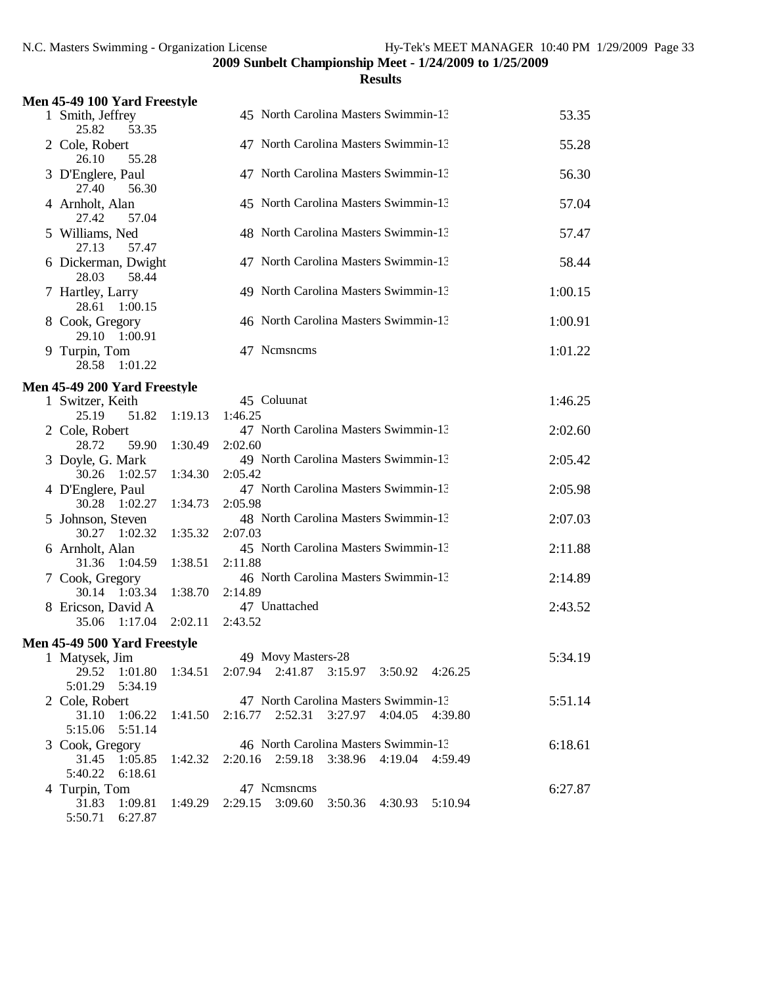| ı<br>ı<br>- 1 |
|---------------|
|---------------|

| Men 45-49 100 Yard Freestyle                              |         |                                                                                             |         |
|-----------------------------------------------------------|---------|---------------------------------------------------------------------------------------------|---------|
| 1 Smith, Jeffrey<br>25.82<br>53.35                        |         | 45 North Carolina Masters Swimmin-13                                                        | 53.35   |
| 2 Cole, Robert<br>26.10<br>55.28                          |         | 47 North Carolina Masters Swimmin-13                                                        | 55.28   |
| 3 D'Englere, Paul<br>27.40<br>56.30                       |         | 47 North Carolina Masters Swimmin-13                                                        | 56.30   |
| 4 Arnholt, Alan<br>27.42<br>57.04                         |         | 45 North Carolina Masters Swimmin-13                                                        | 57.04   |
| 5 Williams, Ned<br>27.13<br>57.47                         |         | 48 North Carolina Masters Swimmin-13                                                        | 57.47   |
| 6 Dickerman, Dwight<br>28.03<br>58.44                     |         | 47 North Carolina Masters Swimmin-13                                                        | 58.44   |
| 7 Hartley, Larry<br>1:00.15<br>28.61                      |         | 49 North Carolina Masters Swimmin-13                                                        | 1:00.15 |
| 8 Cook, Gregory<br>29.10 1:00.91                          |         | 46 North Carolina Masters Swimmin-13                                                        | 1:00.91 |
| 9 Turpin, Tom<br>28.58 1:01.22                            |         | 47 Nemsnems                                                                                 | 1:01.22 |
| Men 45-49 200 Yard Freestyle                              |         |                                                                                             |         |
| 1 Switzer, Keith<br>25.19<br>51.82                        | 1:19.13 | 45 Coluunat<br>1:46.25                                                                      | 1:46.25 |
| 2 Cole, Robert<br>28.72<br>59.90                          | 1:30.49 | 47 North Carolina Masters Swimmin-13<br>2:02.60                                             | 2:02.60 |
| 3 Doyle, G. Mark<br>30.26 1:02.57                         | 1:34.30 | 49 North Carolina Masters Swimmin-13<br>2:05.42                                             | 2:05.42 |
| 4 D'Englere, Paul<br>30.28 1:02.27                        | 1:34.73 | 47 North Carolina Masters Swimmin-13<br>2:05.98                                             | 2:05.98 |
| 5 Johnson, Steven<br>30.27 1:02.32                        | 1:35.32 | 48 North Carolina Masters Swimmin-13<br>2:07.03                                             | 2:07.03 |
| 6 Arnholt, Alan<br>31.36 1:04.59                          | 1:38.51 | 45 North Carolina Masters Swimmin-13<br>2:11.88                                             | 2:11.88 |
| 7 Cook, Gregory                                           |         | 46 North Carolina Masters Swimmin-13                                                        | 2:14.89 |
| 30.14 1:03.34<br>8 Ericson, David A                       | 1:38.70 | 2:14.89<br>47 Unattached                                                                    | 2:43.52 |
| 35.06 1:17.04                                             | 2:02.11 | 2:43.52                                                                                     |         |
| Men 45-49 500 Yard Freestyle                              |         |                                                                                             |         |
| 1 Matysek, Jim                                            |         | 49 Movy Masters-28                                                                          | 5:34.19 |
| 29.52<br>1:01.80<br>5:01.29<br>5:34.19                    | 1:34.51 | 2:07.94 2:41.87<br>3:15.97<br>3:50.92 4:26.25                                               |         |
| 2 Cole, Robert<br>31.10<br>1:06.22<br>5:51.14<br>5:15.06  | 1:41.50 | 47 North Carolina Masters Swimmin-13<br>2:16.77<br>2:52.31<br>3:27.97<br>4:04.05<br>4:39.80 | 5:51.14 |
| 3 Cook, Gregory<br>1:05.85<br>31.45<br>5:40.22<br>6:18.61 | 1:42.32 | 46 North Carolina Masters Swimmin-13<br>2:20.16 2:59.18<br>3:38.96<br>4:19.04<br>4:59.49    | 6:18.61 |
|                                                           |         |                                                                                             |         |
| 4 Turpin, Tom<br>1:09.81<br>31.83<br>5:50.71<br>6:27.87   | 1:49.29 | 47 Nemsnems<br>3:09.60<br>2:29.15<br>3:50.36<br>4:30.93<br>5:10.94                          | 6:27.87 |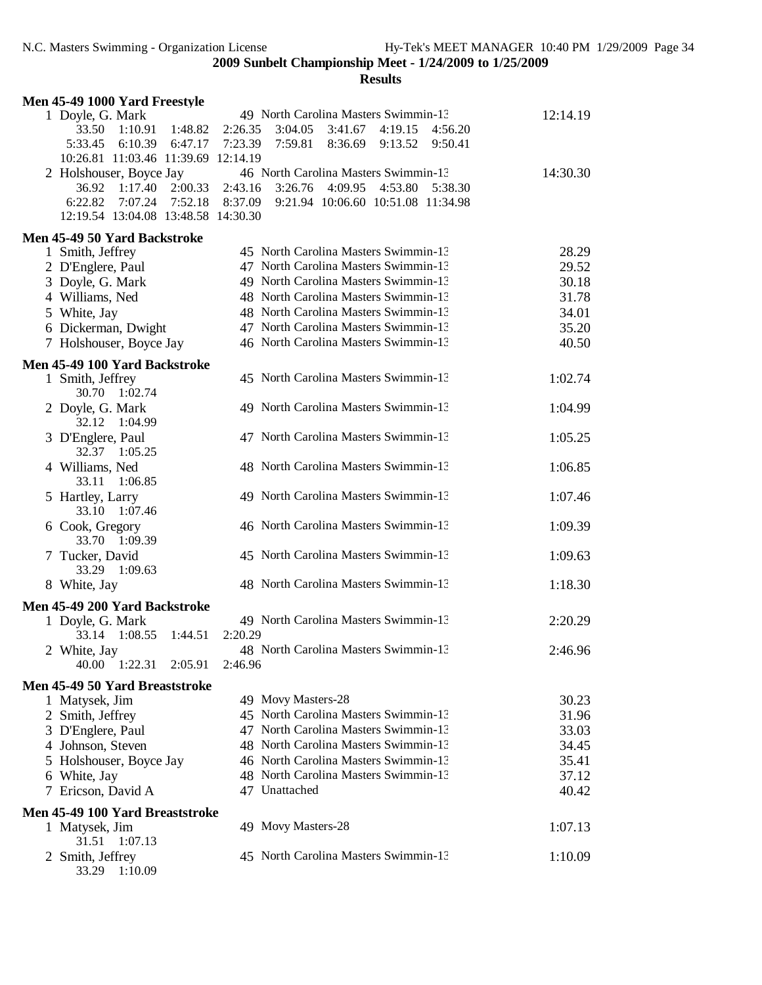| Men 45-49 1000 Yard Freestyle         |                                                       |          |
|---------------------------------------|-------------------------------------------------------|----------|
| 1 Doyle, G. Mark                      | 49 North Carolina Masters Swimmin-13                  | 12:14.19 |
| 33.50<br>1:10.91<br>1:48.82           | 2:26.35<br>3:41.67<br>3:04.05<br>4:19.15 4:56.20      |          |
| 5:33.45<br>6:10.39 6:47.17            | 7:23.39<br>7:59.81<br>8:36.69<br>9:13.52 9:50.41      |          |
| 10:26.81 11:03.46 11:39.69 12:14.19   |                                                       |          |
| 2 Holshouser, Boyce Jay               | 46 North Carolina Masters Swimmin-13                  | 14:30.30 |
| 2:00.33<br>36.92 1:17.40              | 2:43.16 3:26.76<br>4:09.95 4:53.80 5:38.30            |          |
| 6:22.82<br>7:07.24 7:52.18            | 8:37.09<br>9:21.94 10:06.60 10:51.08 11:34.98         |          |
| 12:19.54 13:04.08 13:48.58 14:30.30   |                                                       |          |
| Men 45-49 50 Yard Backstroke          |                                                       |          |
| 1 Smith, Jeffrey                      | 45 North Carolina Masters Swimmin-13                  | 28.29    |
| 2 D'Englere, Paul                     | 47 North Carolina Masters Swimmin-13                  | 29.52    |
| 3 Doyle, G. Mark                      | 49 North Carolina Masters Swimmin-13                  | 30.18    |
| 4 Williams, Ned                       | 48 North Carolina Masters Swimmin-13                  | 31.78    |
| 5 White, Jay                          | 48 North Carolina Masters Swimmin-13                  | 34.01    |
| 6 Dickerman, Dwight                   | 47 North Carolina Masters Swimmin-13                  | 35.20    |
| 7 Holshouser, Boyce Jay               | 46 North Carolina Masters Swimmin-13                  | 40.50    |
| Men 45-49 100 Yard Backstroke         |                                                       |          |
| 1 Smith, Jeffrey<br>30.70 1:02.74     | 45 North Carolina Masters Swimmin-13                  | 1:02.74  |
| 2 Doyle, G. Mark<br>32.12<br>1:04.99  | 49 North Carolina Masters Swimmin-13                  | 1:04.99  |
| 3 D'Englere, Paul<br>32.37<br>1:05.25 | 47 North Carolina Masters Swimmin-13                  | 1:05.25  |
| 4 Williams, Ned<br>1:06.85<br>33.11   | 48 North Carolina Masters Swimmin-13                  | 1:06.85  |
| 5 Hartley, Larry<br>33.10 1:07.46     | 49 North Carolina Masters Swimmin-13                  | 1:07.46  |
| 6 Cook, Gregory<br>33.70 1:09.39      | 46 North Carolina Masters Swimmin-13                  | 1:09.39  |
| 7 Tucker, David<br>1:09.63<br>33.29   | 45 North Carolina Masters Swimmin-13                  | 1:09.63  |
| 8 White, Jay                          | 48 North Carolina Masters Swimmin-13                  | 1:18.30  |
| Men 45-49 200 Yard Backstroke         |                                                       |          |
| 1 Doyle, G. Mark                      | 49 North Carolina Masters Swimmin-13                  | 2:20.29  |
| 33.14 1:08.55<br>1:44.51              | 2:20.29                                               |          |
| 2 White, Jay                          | 48 North Carolina Masters Swimmin-13                  | 2:46.96  |
| 40.00 1:22.31<br>2:05.91              | 2:46.96                                               |          |
| Men 45-49 50 Yard Breaststroke        |                                                       |          |
| 1 Matysek, Jim                        | 49 Movy Masters-28                                    | 30.23    |
| 2 Smith, Jeffrey                      | 45 North Carolina Masters Swimmin-13                  | 31.96    |
| 3 D'Englere, Paul                     | 47 North Carolina Masters Swimmin-13                  | 33.03    |
| 4 Johnson, Steven                     | 48 North Carolina Masters Swimmin-13                  | 34.45    |
| 5 Holshouser, Boyce Jay               | 46 North Carolina Masters Swimmin-13                  | 35.41    |
| 6 White, Jay                          | 48 North Carolina Masters Swimmin-13<br>47 Unattached | 37.12    |
| 7 Ericson, David A                    |                                                       | 40.42    |
| Men 45-49 100 Yard Breaststroke       |                                                       |          |
| 1 Matysek, Jim<br>31.51<br>1:07.13    | 49 Movy Masters-28                                    | 1:07.13  |
| 2 Smith, Jeffrey<br>33.29 1:10.09     | 45 North Carolina Masters Swimmin-13                  | 1:10.09  |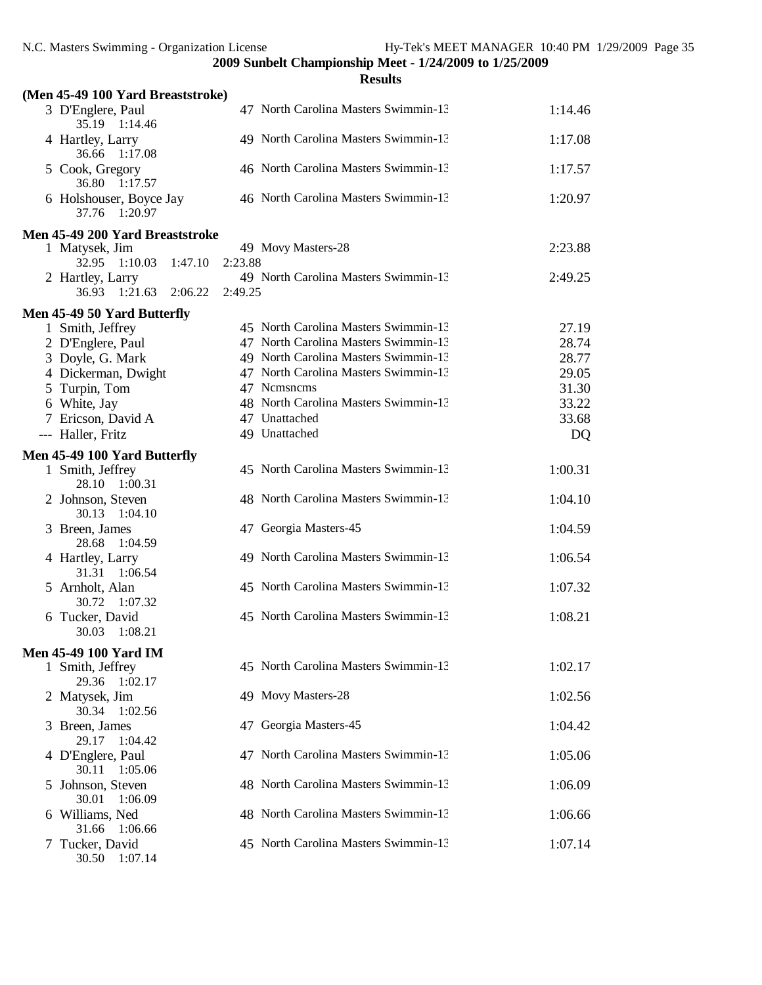|                                          |         |         | <b>Results</b>                       |         |
|------------------------------------------|---------|---------|--------------------------------------|---------|
| (Men 45-49 100 Yard Breaststroke)        |         |         |                                      |         |
| 3 D'Englere, Paul<br>35.19 1:14.46       |         |         | 47 North Carolina Masters Swimmin-13 | 1:14.46 |
| 4 Hartley, Larry<br>36.66 1:17.08        |         |         | 49 North Carolina Masters Swimmin-13 | 1:17.08 |
| 5 Cook, Gregory<br>36.80 1:17.57         |         |         | 46 North Carolina Masters Swimmin-13 | 1:17.57 |
| 6 Holshouser, Boyce Jay<br>37.76 1:20.97 |         |         | 46 North Carolina Masters Swimmin-13 | 1:20.97 |
| Men 45-49 200 Yard Breaststroke          |         |         |                                      |         |
| 1 Matysek, Jim                           |         |         | 49 Movy Masters-28                   | 2:23.88 |
| 1:10.03<br>32.95                         | 1:47.10 | 2:23.88 |                                      |         |
| 2 Hartley, Larry<br>36.93 1:21.63        | 2:06.22 | 2:49.25 | 49 North Carolina Masters Swimmin-13 | 2:49.25 |
| Men 45-49 50 Yard Butterfly              |         |         |                                      |         |
| 1 Smith, Jeffrey                         |         |         | 45 North Carolina Masters Swimmin-13 | 27.19   |
| 2 D'Englere, Paul                        |         |         | 47 North Carolina Masters Swimmin-13 | 28.74   |
| 3 Doyle, G. Mark                         |         |         | 49 North Carolina Masters Swimmin-13 | 28.77   |
| 4 Dickerman, Dwight                      |         |         | 47 North Carolina Masters Swimmin-13 | 29.05   |
| 5 Turpin, Tom                            |         |         | 47 Nemsnems                          | 31.30   |
| 6 White, Jay                             |         |         | 48 North Carolina Masters Swimmin-13 | 33.22   |
| 7 Ericson, David A                       |         |         | 47 Unattached                        | 33.68   |
| --- Haller, Fritz                        |         |         | 49 Unattached                        | DQ      |
| Men 45-49 100 Yard Butterfly             |         |         |                                      |         |
| 1 Smith, Jeffrey<br>28.10 1:00.31        |         |         | 45 North Carolina Masters Swimmin-13 | 1:00.31 |
| 2 Johnson, Steven<br>30.13<br>1:04.10    |         |         | 48 North Carolina Masters Swimmin-13 | 1:04.10 |
| 3 Breen, James<br>28.68<br>1:04.59       |         |         | 47 Georgia Masters-45                | 1:04.59 |
| 4 Hartley, Larry<br>31.31 1:06.54        |         |         | 49 North Carolina Masters Swimmin-13 | 1:06.54 |
| 5 Arnholt, Alan<br>30.72<br>1:07.32      |         |         | 45 North Carolina Masters Swimmin-13 | 1:07.32 |
| 6 Tucker, David<br>30.03<br>1:08.21      |         |         | 45 North Carolina Masters Swimmin-13 | 1:08.21 |
| Men 45-49 100 Yard IM                    |         |         |                                      |         |
| 1 Smith, Jeffrey<br>29.36<br>1:02.17     |         |         | 45 North Carolina Masters Swimmin-13 | 1:02.17 |
| 2 Matysek, Jim<br>30.34<br>1:02.56       |         |         | 49 Movy Masters-28                   | 1:02.56 |
| 3 Breen, James<br>29.17<br>1:04.42       |         | 47      | Georgia Masters-45                   | 1:04.42 |
| 4 D'Englere, Paul<br>30.11 1:05.06       |         |         | 47 North Carolina Masters Swimmin-13 | 1:05.06 |
| 5 Johnson, Steven<br>30.01<br>1:06.09    |         |         | 48 North Carolina Masters Swimmin-13 | 1:06.09 |
| 6 Williams, Ned<br>31.66<br>1:06.66      |         |         | 48 North Carolina Masters Swimmin-13 | 1:06.66 |
| 7 Tucker, David<br>30.50 1:07.14         |         |         | 45 North Carolina Masters Swimmin-13 | 1:07.14 |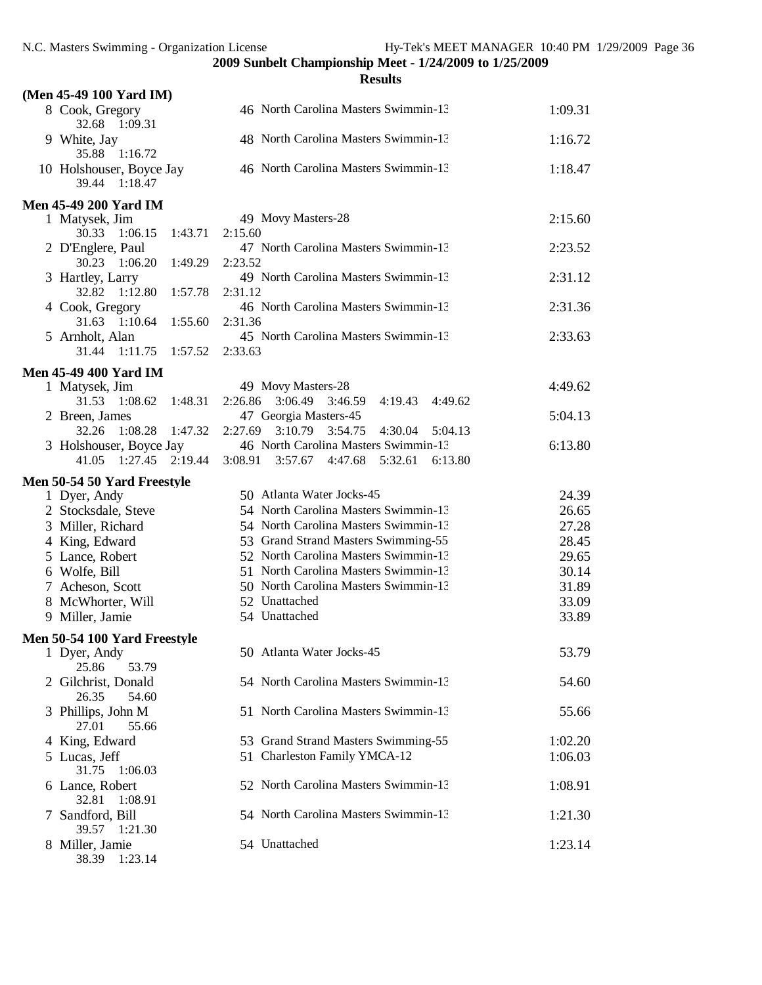|                                                  | <b>Results</b>                                                                               |         |
|--------------------------------------------------|----------------------------------------------------------------------------------------------|---------|
| (Men 45-49 100 Yard IM)                          |                                                                                              |         |
| 8 Cook, Gregory<br>32.68 1:09.31                 | 46 North Carolina Masters Swimmin-13                                                         | 1:09.31 |
| 9 White, Jay<br>35.88 1:16.72                    | 48 North Carolina Masters Swimmin-13                                                         | 1:16.72 |
| 10 Holshouser, Boyce Jay<br>39.44 1:18.47        | 46 North Carolina Masters Swimmin-13                                                         | 1:18.47 |
| <b>Men 45-49 200 Yard IM</b>                     |                                                                                              |         |
| 1 Matysek, Jim                                   | 49 Movy Masters-28                                                                           | 2:15.60 |
| 30.33<br>1:06.15<br>1:43.71                      | 2:15.60                                                                                      |         |
| 2 D'Englere, Paul                                | 47 North Carolina Masters Swimmin-13                                                         | 2:23.52 |
| 1:06.20<br>30.23<br>1:49.29                      | 2:23.52                                                                                      |         |
| 3 Hartley, Larry                                 | 49 North Carolina Masters Swimmin-13                                                         | 2:31.12 |
| 32.82<br>1:12.80<br>1:57.78                      | 2:31.12                                                                                      |         |
| 4 Cook, Gregory                                  | 46 North Carolina Masters Swimmin-13                                                         | 2:31.36 |
| 1:55.60<br>31.63 1:10.64                         | 2:31.36                                                                                      |         |
| 5 Arnholt, Alan                                  | 45 North Carolina Masters Swimmin-13                                                         | 2:33.63 |
| 31.44<br>1:11.75<br>1:57.52                      | 2:33.63                                                                                      |         |
| Men 45-49 400 Yard IM                            |                                                                                              |         |
| 1 Matysek, Jim                                   | 49 Movy Masters-28                                                                           | 4:49.62 |
| 1:48.31<br>31.53<br>1:08.62                      | 2:26.86 3:06.49<br>3:46.59<br>4:19.43<br>4:49.62                                             |         |
| 2 Breen, James                                   | 47 Georgia Masters-45                                                                        | 5:04.13 |
| 1:08.28<br>32.26<br>1:47.32                      | $2:27.69$ $3:10.79$<br>3:54.75<br>4:30.04<br>5:04.13                                         |         |
| 3 Holshouser, Boyce Jay<br>41.05 1:27.45 2:19.44 | 46 North Carolina Masters Swimmin-13<br>$3:08.91$ $3:57.67$<br>4:47.68<br>5:32.61<br>6:13.80 | 6:13.80 |
| Men 50-54 50 Yard Freestyle                      |                                                                                              |         |
| 1 Dyer, Andy                                     | 50 Atlanta Water Jocks-45                                                                    | 24.39   |
| 2 Stocksdale, Steve                              | 54 North Carolina Masters Swimmin-13                                                         | 26.65   |
| 3 Miller, Richard                                | 54 North Carolina Masters Swimmin-13                                                         | 27.28   |
| 4 King, Edward                                   | 53 Grand Strand Masters Swimming-55                                                          | 28.45   |
| 5 Lance, Robert                                  | 52 North Carolina Masters Swimmin-13                                                         | 29.65   |
| 6 Wolfe, Bill                                    | 51 North Carolina Masters Swimmin-13                                                         | 30.14   |
| 7 Acheson, Scott                                 | 50 North Carolina Masters Swimmin-13                                                         | 31.89   |
| 8 McWhorter, Will                                | 52 Unattached                                                                                | 33.09   |
| 9 Miller, Jamie                                  | 54 Unattached                                                                                | 33.89   |
| Men 50-54 100 Yard Freestyle                     |                                                                                              |         |
| 1 Dyer, Andy                                     | 50 Atlanta Water Jocks-45                                                                    | 53.79   |
| 25.86<br>53.79                                   |                                                                                              |         |
| 2 Gilchrist, Donald                              | 54 North Carolina Masters Swimmin-13                                                         | 54.60   |
| 26.35<br>54.60                                   |                                                                                              |         |
| 3 Phillips, John M<br>27.01<br>55.66             | 51 North Carolina Masters Swimmin-13                                                         | 55.66   |
| 4 King, Edward                                   | 53 Grand Strand Masters Swimming-55                                                          | 1:02.20 |
| 5 Lucas, Jeff<br>31.75<br>1:06.03                | 51 Charleston Family YMCA-12                                                                 | 1:06.03 |
| 6 Lance, Robert<br>32.81<br>1:08.91              | 52 North Carolina Masters Swimmin-13                                                         | 1:08.91 |
| 7 Sandford, Bill<br>39.57 1:21.30                | 54 North Carolina Masters Swimmin-13                                                         | 1:21.30 |
| 8 Miller, Jamie<br>38.39 1:23.14                 | 54 Unattached                                                                                | 1:23.14 |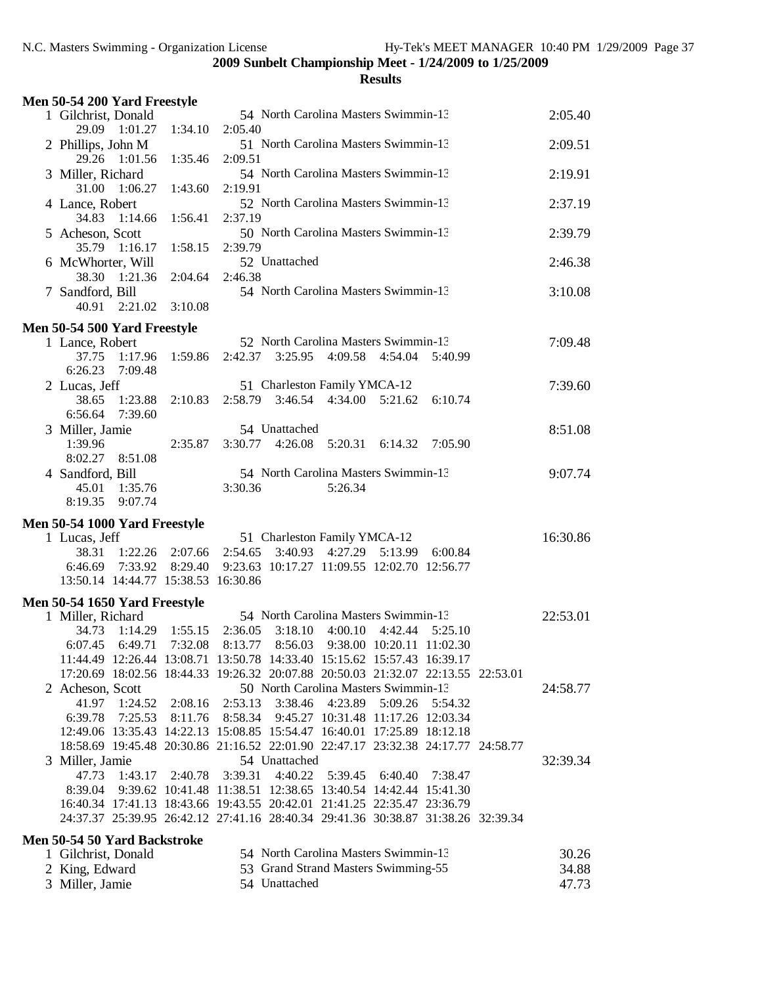| Men 50-54 200 Yard Freestyle                    |                     |                                                                                                                           |          |
|-------------------------------------------------|---------------------|---------------------------------------------------------------------------------------------------------------------------|----------|
| 1 Gilchrist, Donald                             |                     | 54 North Carolina Masters Swimmin-13                                                                                      | 2:05.40  |
| 29.09 1:01.27                                   | 1:34.10             | 2:05.40                                                                                                                   |          |
| 2 Phillips, John M                              |                     | 51 North Carolina Masters Swimmin-13                                                                                      | 2:09.51  |
| 29.26 1:01.56                                   | 1:35.46             | 2:09.51                                                                                                                   |          |
| 3 Miller, Richard                               |                     | 54 North Carolina Masters Swimmin-13                                                                                      | 2:19.91  |
| 31.00 1:06.27                                   | 1:43.60             | 2:19.91                                                                                                                   |          |
| 4 Lance, Robert                                 |                     | 52 North Carolina Masters Swimmin-13                                                                                      | 2:37.19  |
| 34.83<br>1:14.66                                | 1:56.41             | 2:37.19                                                                                                                   |          |
| 5 Acheson, Scott<br>35.79 1:16.17               | 1:58.15             | 50 North Carolina Masters Swimmin-13<br>2:39.79                                                                           | 2:39.79  |
| 6 McWhorter, Will                               |                     | 52 Unattached                                                                                                             | 2:46.38  |
| 38.30 1:21.36                                   | 2:04.64             | 2:46.38                                                                                                                   |          |
| 7 Sandford, Bill                                |                     | 54 North Carolina Masters Swimmin-13                                                                                      | 3:10.08  |
| 40.91 2:21.02                                   | 3:10.08             |                                                                                                                           |          |
|                                                 |                     |                                                                                                                           |          |
| Men 50-54 500 Yard Freestyle<br>1 Lance, Robert |                     | 52 North Carolina Masters Swimmin-13                                                                                      | 7:09.48  |
| 1:17.96<br>37.75                                | 1:59.86             | 2:42.37<br>3:25.95<br>4:09.58<br>4:54.04<br>5:40.99                                                                       |          |
| 6:26.23<br>7:09.48                              |                     |                                                                                                                           |          |
| 2 Lucas, Jeff                                   |                     | 51 Charleston Family YMCA-12                                                                                              | 7:39.60  |
| 38.65<br>1:23.88                                | 2:10.83             | $2:58.79$ $3:46.54$ $4:34.00$<br>5:21.62<br>6:10.74                                                                       |          |
| 6:56.64<br>7:39.60                              |                     |                                                                                                                           |          |
| 3 Miller, Jamie                                 |                     | 54 Unattached                                                                                                             | 8:51.08  |
| 1:39.96                                         | 2:35.87             | 3:30.77 4:26.08 5:20.31<br>6:14.32<br>7:05.90                                                                             |          |
| 8:02.27 8:51.08                                 |                     | 54 North Carolina Masters Swimmin-13                                                                                      | 9:07.74  |
| 4 Sandford, Bill<br>45.01 1:35.76               |                     | 3:30.36<br>5:26.34                                                                                                        |          |
| 8:19.35<br>9:07.74                              |                     |                                                                                                                           |          |
|                                                 |                     |                                                                                                                           |          |
| Men 50-54 1000 Yard Freestyle<br>1 Lucas, Jeff  |                     | 51 Charleston Family YMCA-12                                                                                              | 16:30.86 |
| 38.31                                           | $1:22.26$ $2:07.66$ | 4:27.29 5:13.99<br>2:54.65<br>3:40.93<br>6:00.84                                                                          |          |
| 6:46.69                                         | 7:33.92 8:29.40     | 9:23.63 10:17.27 11:09.55 12:02.70 12:56.77                                                                               |          |
| 13:50.14 14:44.77 15:38.53 16:30.86             |                     |                                                                                                                           |          |
| Men 50-54 1650 Yard Freestyle                   |                     |                                                                                                                           |          |
| 1 Miller, Richard                               |                     | 54 North Carolina Masters Swimmin-13                                                                                      | 22:53.01 |
| 34.73                                           | $1:14.29$ $1:55.15$ | 2:36.05 3:18.10 4:00.10 4:42.44 5:25.10                                                                                   |          |
|                                                 |                     | 6:07.45 6:49.71 7:32.08 8:13.77 8:56.03 9:38.00 10:20.11 11:02.30                                                         |          |
|                                                 |                     | 11:44.49 12:26.44 13:08.71 13:50.78 14:33.40 15:15.62 15:57.43 16:39.17                                                   |          |
|                                                 |                     | 17:20.69 18:02.56 18:44.33 19:26.32 20:07.88 20:50.03 21:32.07 22:13.55 22:53.01                                          |          |
| 2 Acheson, Scott                                |                     | 50 North Carolina Masters Swimmin-13                                                                                      | 24:58.77 |
| 41.97<br>1:24.52                                | 2:08.16             | 2:53.13 3:38.46 4:23.89<br>5:09.26<br>5:54.32                                                                             |          |
| 6:39.78                                         | 7:25.53 8:11.76     | 8:58.34  9:45.27  10:31.48  11:17.26  12:03.34<br>12:49.06 13:35.43 14:22.13 15:08.85 15:54.47 16:40.01 17:25.89 18:12.18 |          |
|                                                 |                     | 18:58.69 19:45.48 20:30.86 21:16.52 22:01.90 22:47.17 23:32.38 24:17.77 24:58.77                                          |          |
| 3 Miller, Jamie                                 |                     | 54 Unattached                                                                                                             | 32:39.34 |
| 47.73<br>1:43.17                                | 2:40.78             | 4:40.22<br>3:39.31<br>5:39.45<br>6:40.40<br>7:38.47                                                                       |          |
| 8:39.04                                         |                     | 9:39.62 10:41.48 11:38.51 12:38.65 13:40.54 14:42.44 15:41.30                                                             |          |
|                                                 |                     | 16:40.34 17:41.13 18:43.66 19:43.55 20:42.01 21:41.25 22:35.47 23:36.79                                                   |          |
|                                                 |                     | 24:37.37 25:39.95 26:42.12 27:41.16 28:40.34 29:41.36 30:38.87 31:38.26 32:39.34                                          |          |
| <b>Men 50-54 50 Yard Backstroke</b>             |                     |                                                                                                                           |          |
| 1 Gilchrist, Donald                             |                     | 54 North Carolina Masters Swimmin-13                                                                                      | 30.26    |
| 2 King, Edward                                  |                     | 53 Grand Strand Masters Swimming-55                                                                                       | 34.88    |
| 3 Miller, Jamie                                 |                     | 54 Unattached                                                                                                             | 47.73    |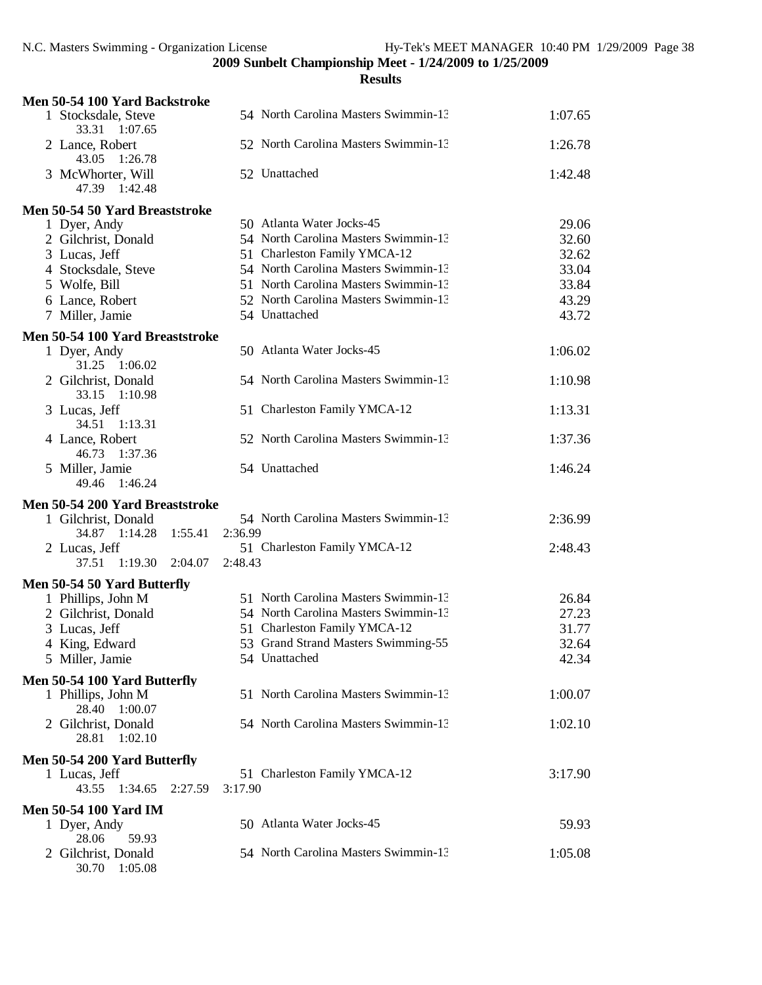| Men 50-54 100 Yard Backstroke           |                                      |         |
|-----------------------------------------|--------------------------------------|---------|
| 1 Stocksdale, Steve<br>33.31<br>1:07.65 | 54 North Carolina Masters Swimmin-13 | 1:07.65 |
| 2 Lance, Robert<br>43.05<br>1:26.78     | 52 North Carolina Masters Swimmin-13 | 1:26.78 |
| 3 McWhorter, Will<br>47.39 1:42.48      | 52 Unattached                        | 1:42.48 |
| Men 50-54 50 Yard Breaststroke          |                                      |         |
| 1 Dyer, Andy                            | 50 Atlanta Water Jocks-45            | 29.06   |
| 2 Gilchrist, Donald                     | 54 North Carolina Masters Swimmin-13 | 32.60   |
| 3 Lucas, Jeff                           | 51 Charleston Family YMCA-12         | 32.62   |
| 4 Stocksdale, Steve                     | 54 North Carolina Masters Swimmin-13 | 33.04   |
| 5 Wolfe, Bill                           | 51 North Carolina Masters Swimmin-13 | 33.84   |
| 6 Lance, Robert                         | 52 North Carolina Masters Swimmin-13 | 43.29   |
| 7 Miller, Jamie                         | 54 Unattached                        | 43.72   |
| Men 50-54 100 Yard Breaststroke         |                                      |         |
| 1 Dyer, Andy<br>31.25 1:06.02           | 50 Atlanta Water Jocks-45            | 1:06.02 |
| 2 Gilchrist, Donald<br>33.15 1:10.98    | 54 North Carolina Masters Swimmin-13 | 1:10.98 |
| 3 Lucas, Jeff<br>34.51<br>1:13.31       | 51 Charleston Family YMCA-12         | 1:13.31 |
| 4 Lance, Robert<br>46.73<br>1:37.36     | 52 North Carolina Masters Swimmin-13 | 1:37.36 |
| 5 Miller, Jamie<br>1:46.24<br>49.46     | 54 Unattached                        | 1:46.24 |
| Men 50-54 200 Yard Breaststroke         |                                      |         |
| 1 Gilchrist, Donald                     | 54 North Carolina Masters Swimmin-13 | 2:36.99 |
| 34.87 1:14.28<br>1:55.41                | 2:36.99                              |         |
| 2 Lucas, Jeff                           | 51 Charleston Family YMCA-12         | 2:48.43 |
| 1:19.30<br>37.51<br>2:04.07             | 2:48.43                              |         |
| Men 50-54 50 Yard Butterfly             |                                      |         |
| 1 Phillips, John M                      | 51 North Carolina Masters Swimmin-13 | 26.84   |
| 2 Gilchrist, Donald                     | 54 North Carolina Masters Swimmin-13 | 27.23   |
| 3 Lucas, Jeff                           | 51 Charleston Family YMCA-12         | 31.77   |
| 4 King, Edward                          | 53 Grand Strand Masters Swimming-55  | 32.64   |
| 5 Miller, Jamie                         | 54 Unattached                        | 42.34   |
| Men 50-54 100 Yard Butterfly            |                                      |         |
| 1 Phillips, John M<br>28.40 1:00.07     | 51 North Carolina Masters Swimmin-13 | 1:00.07 |
| 2 Gilchrist, Donald<br>28.81 1:02.10    | 54 North Carolina Masters Swimmin-13 | 1:02.10 |
| Men 50-54 200 Yard Butterfly            |                                      |         |
| 1 Lucas, Jeff                           | 51 Charleston Family YMCA-12         | 3:17.90 |
| 43.55<br>1:34.65<br>2:27.59             | 3:17.90                              |         |
| <b>Men 50-54 100 Yard IM</b>            |                                      |         |
| 1 Dyer, Andy                            | 50 Atlanta Water Jocks-45            | 59.93   |
| 28.06<br>59.93                          |                                      |         |
| 2 Gilchrist, Donald<br>30.70 1:05.08    | 54 North Carolina Masters Swimmin-13 | 1:05.08 |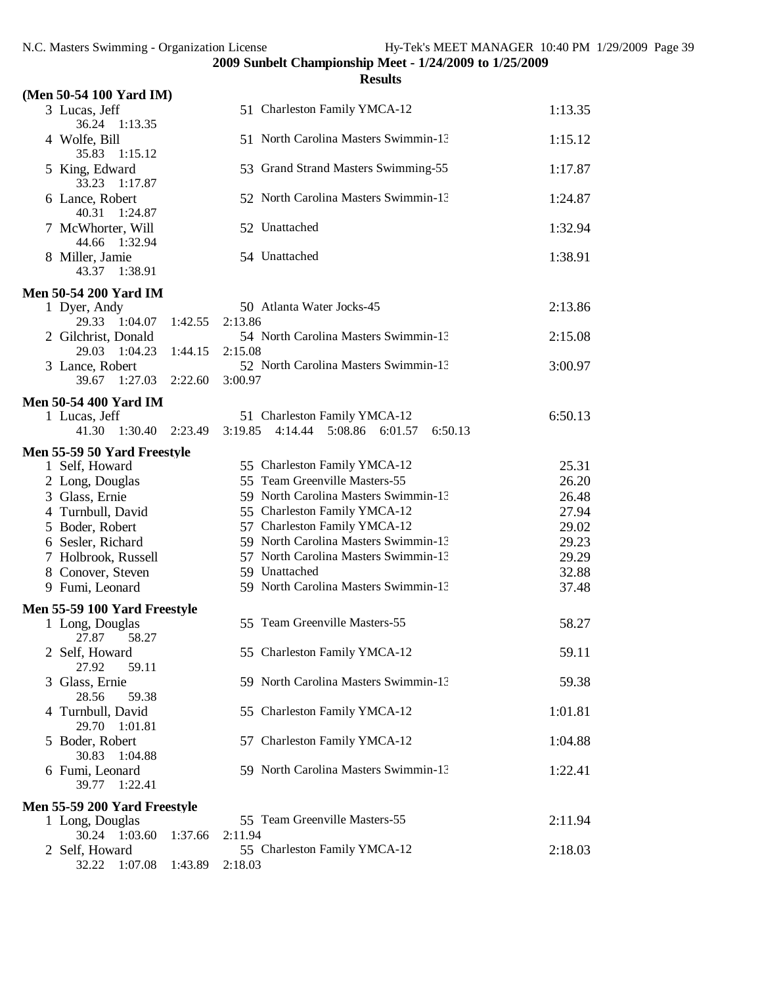|                                       |         | <b>Results</b>                                                                      |         |
|---------------------------------------|---------|-------------------------------------------------------------------------------------|---------|
| (Men 50-54 100 Yard IM)               |         |                                                                                     |         |
| 3 Lucas, Jeff<br>36.24<br>1:13.35     |         | 51 Charleston Family YMCA-12                                                        | 1:13.35 |
| 4 Wolfe, Bill<br>35.83<br>1:15.12     |         | 51 North Carolina Masters Swimmin-13                                                | 1:15.12 |
| 5 King, Edward<br>33.23<br>1:17.87    |         | 53 Grand Strand Masters Swimming-55                                                 | 1:17.87 |
| 6 Lance, Robert<br>40.31<br>1:24.87   |         | 52 North Carolina Masters Swimmin-13                                                | 1:24.87 |
| 7 McWhorter, Will<br>44.66<br>1:32.94 |         | 52 Unattached                                                                       | 1:32.94 |
| 8 Miller, Jamie<br>43.37<br>1:38.91   |         | 54 Unattached                                                                       | 1:38.91 |
| <b>Men 50-54 200 Yard IM</b>          |         |                                                                                     |         |
| 1 Dyer, Andy<br>29.33 1:04.07         | 1:42.55 | 50 Atlanta Water Jocks-45<br>2:13.86                                                | 2:13.86 |
| 2 Gilchrist, Donald<br>29.03 1:04.23  | 1:44.15 | 54 North Carolina Masters Swimmin-13<br>2:15.08                                     | 2:15.08 |
| 3 Lance, Robert                       |         | 52 North Carolina Masters Swimmin-13                                                | 3:00.97 |
| 39.67 1:27.03                         | 2:22.60 | 3:00.97                                                                             |         |
| <b>Men 50-54 400 Yard IM</b>          |         |                                                                                     |         |
| 1 Lucas, Jeff<br>1:30.40<br>41.30     | 2:23.49 | 51 Charleston Family YMCA-12<br>5:08.86<br>3:19.85<br>4:14.44<br>6:01.57<br>6:50.13 | 6:50.13 |
| Men 55-59 50 Yard Freestyle           |         |                                                                                     |         |
| 1 Self, Howard                        |         | 55 Charleston Family YMCA-12                                                        | 25.31   |
| 2 Long, Douglas                       |         | 55 Team Greenville Masters-55                                                       | 26.20   |
| 3 Glass, Ernie                        |         | 59 North Carolina Masters Swimmin-13                                                | 26.48   |
| 4 Turnbull, David                     |         | 55 Charleston Family YMCA-12                                                        | 27.94   |
| 5 Boder, Robert                       |         | 57 Charleston Family YMCA-12                                                        | 29.02   |
| 6 Sesler, Richard                     |         | 59 North Carolina Masters Swimmin-13                                                | 29.23   |
| 7 Holbrook, Russell                   |         | 57 North Carolina Masters Swimmin-13                                                | 29.29   |
| 8 Conover, Steven                     |         | 59 Unattached                                                                       | 32.88   |
| 9 Fumi, Leonard                       |         | 59 North Carolina Masters Swimmin-13                                                | 37.48   |
| Men 55-59 100 Yard Freestyle          |         |                                                                                     |         |
| 1 Long, Douglas<br>27.87 58.27        |         | 55 Team Greenville Masters-55                                                       | 58.27   |
| 2 Self, Howard<br>27.92<br>59.11      |         | 55 Charleston Family YMCA-12                                                        | 59.11   |
| 3 Glass, Ernie<br>28.56<br>59.38      |         | 59 North Carolina Masters Swimmin-13                                                | 59.38   |
| 4 Turnbull, David<br>29.70 1:01.81    |         | 55 Charleston Family YMCA-12                                                        | 1:01.81 |
| 5 Boder, Robert<br>30.83<br>1:04.88   |         | 57 Charleston Family YMCA-12                                                        | 1:04.88 |
| 6 Fumi, Leonard<br>1:22.41<br>39.77   |         | 59 North Carolina Masters Swimmin-13                                                | 1:22.41 |
| Men 55-59 200 Yard Freestyle          |         |                                                                                     |         |
| 1 Long, Douglas                       |         | 55 Team Greenville Masters-55                                                       | 2:11.94 |
| 30.24 1:03.60                         | 1:37.66 | 2:11.94                                                                             |         |
| 2 Self, Howard                        |         | 55 Charleston Family YMCA-12                                                        | 2:18.03 |
| 32.22<br>1:07.08                      | 1:43.89 | 2:18.03                                                                             |         |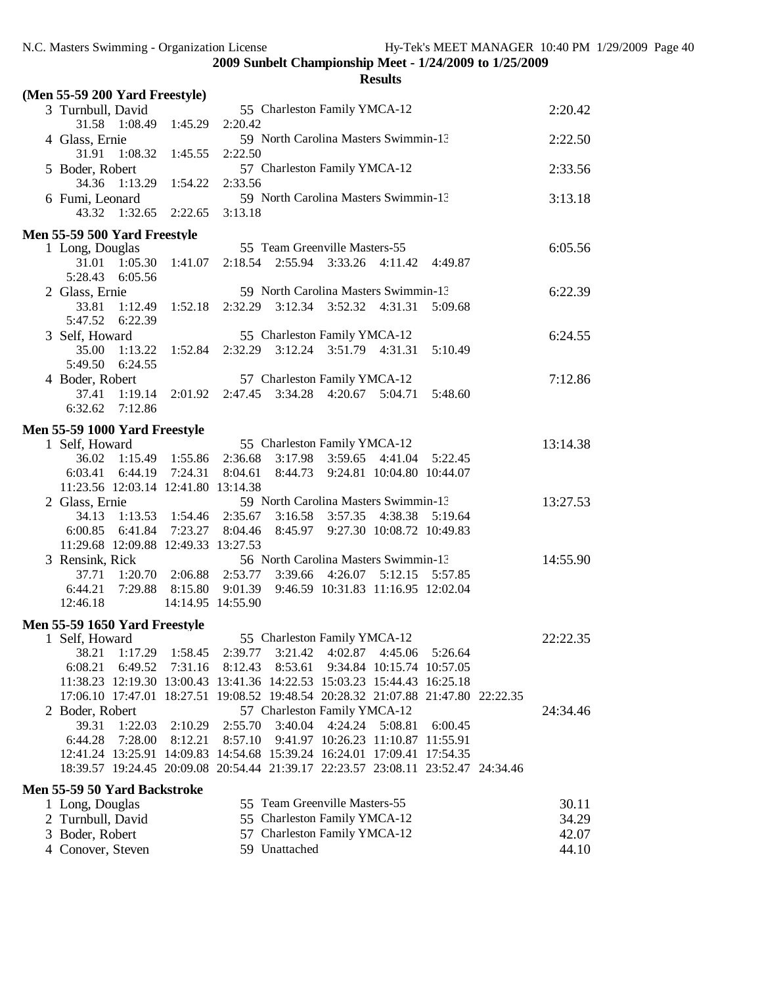| (Men 55-59 200 Yard Freestyle)                                                   |                 |                                         |               |                               |                                                |                    |  |          |
|----------------------------------------------------------------------------------|-----------------|-----------------------------------------|---------------|-------------------------------|------------------------------------------------|--------------------|--|----------|
| 3 Turnbull, David                                                                |                 |                                         |               | 55 Charleston Family YMCA-12  |                                                |                    |  | 2:20.42  |
| 31.58 1:08.49                                                                    | 1:45.29         | 2:20.42                                 |               |                               |                                                |                    |  |          |
| 4 Glass, Ernie                                                                   |                 |                                         |               |                               | 59 North Carolina Masters Swimmin-13           |                    |  | 2:22.50  |
| 31.91<br>1:08.32                                                                 | 1:45.55         | 2:22.50                                 |               |                               |                                                |                    |  |          |
| 5 Boder, Robert                                                                  |                 | 57 Charleston Family YMCA-12            |               |                               |                                                |                    |  | 2:33.56  |
| 34.36<br>1:13.29                                                                 | 1:54.22         | 2:33.56                                 |               |                               |                                                |                    |  |          |
| 6 Fumi, Leonard                                                                  |                 |                                         |               |                               | 59 North Carolina Masters Swimmin-13           |                    |  | 3:13.18  |
| 43.32 1:32.65                                                                    | 2:22.65         | 3:13.18                                 |               |                               |                                                |                    |  |          |
| Men 55-59 500 Yard Freestyle                                                     |                 |                                         |               |                               |                                                |                    |  |          |
| 1 Long, Douglas                                                                  |                 |                                         |               | 55 Team Greenville Masters-55 |                                                |                    |  | 6:05.56  |
| 31.01                                                                            | 1:05.30 1:41.07 |                                         |               |                               | 2:18.54 2:55.94 3:33.26 4:11.42                | 4:49.87            |  |          |
| 5:28.43<br>6:05.56                                                               |                 |                                         |               |                               |                                                |                    |  |          |
| 2 Glass, Ernie                                                                   |                 |                                         |               |                               | 59 North Carolina Masters Swimmin-13           |                    |  | 6:22.39  |
| 33.81<br>1:12.49                                                                 | 1:52.18         |                                         |               | 2:32.29 3:12.34 3:52.32       | 4:31.31                                        | 5:09.68            |  |          |
| 5:47.52<br>6:22.39                                                               |                 |                                         |               |                               |                                                |                    |  |          |
| 3 Self, Howard                                                                   |                 |                                         |               | 55 Charleston Family YMCA-12  |                                                |                    |  | 6:24.55  |
| 35.00<br>1:13.22<br>5:49.50<br>6:24.55                                           |                 | 1:52.84 2:32.29 3:12.24 3:51.79 4:31.31 |               |                               |                                                | 5:10.49            |  |          |
| 4 Boder, Robert                                                                  |                 |                                         |               | 57 Charleston Family YMCA-12  |                                                |                    |  | 7:12.86  |
| 37.41<br>1:19.14                                                                 |                 | 2:01.92 2:47.45 3:34.28 4:20.67 5:04.71 |               |                               |                                                | 5:48.60            |  |          |
| 6:32.62<br>7:12.86                                                               |                 |                                         |               |                               |                                                |                    |  |          |
|                                                                                  |                 |                                         |               |                               |                                                |                    |  |          |
| Men 55-59 1000 Yard Freestyle                                                    |                 |                                         |               |                               |                                                |                    |  |          |
| 1 Self, Howard                                                                   |                 |                                         |               | 55 Charleston Family YMCA-12  |                                                |                    |  | 13:14.38 |
| 36.02 1:15.49 1:55.86                                                            |                 | 2:36.68                                 |               |                               | 3:17.98 3:59.65 4:41.04 5:22.45                |                    |  |          |
| 6:03.41<br>11:23.56 12:03.14 12:41.80 13:14.38                                   | 6:44.19 7:24.31 | 8:04.61                                 |               |                               | 8:44.73  9:24.81  10:04.80  10:44.07           |                    |  |          |
| 2 Glass, Ernie                                                                   |                 |                                         |               |                               | 59 North Carolina Masters Swimmin-13           |                    |  | 13:27.53 |
| 34.13                                                                            |                 | $1:13.53$ $1:54.46$ $2:35.67$           |               | 3:16.58 3:57.35               | 4:38.38 5:19.64                                |                    |  |          |
| 6:00.85                                                                          | 6:41.84 7:23.27 | 8:04.46                                 | 8:45.97       |                               | 9:27.30 10:08.72 10:49.83                      |                    |  |          |
| 11:29.68 12:09.88 12:49.33 13:27.53                                              |                 |                                         |               |                               |                                                |                    |  |          |
| 3 Rensink, Rick                                                                  |                 |                                         |               |                               | 56 North Carolina Masters Swimmin-13           |                    |  | 14:55.90 |
| 37.71                                                                            | 1:20.70 2:06.88 | 2:53.77                                 | 3:39.66       | 4:26.07                       |                                                | 5:12.15    5:57.85 |  |          |
| 6:44.21                                                                          | 7:29.88 8:15.80 |                                         |               |                               | 9:01.39  9:46.59  10:31.83  11:16.95  12:02.04 |                    |  |          |
| 12:46.18                                                                         |                 | 14:14.95 14:55.90                       |               |                               |                                                |                    |  |          |
| Men 55-59 1650 Yard Freestyle                                                    |                 |                                         |               |                               |                                                |                    |  |          |
| 1 Self, Howard                                                                   |                 |                                         |               | 55 Charleston Family YMCA-12  |                                                |                    |  | 22:22.35 |
| 38.21<br>1:17.29                                                                 | 1:58.45         | 2:39.77                                 | 3:21.42       |                               | 4:02.87 4:45.06                                | 5:26.64            |  |          |
| 6:08.21<br>6:49.52                                                               | 7:31.16         | 8:12.43                                 | 8:53.61       |                               | 9:34.84 10:15.74 10:57.05                      |                    |  |          |
| 11:38.23 12:19.30 13:00.43 13:41.36 14:22.53 15:03.23 15:44.43 16:25.18          |                 |                                         |               |                               |                                                |                    |  |          |
| 17:06.10 17:47.01 18:27.51 19:08.52 19:48.54 20:28.32 21:07.88 21:47.80 22:22.35 |                 |                                         |               |                               |                                                |                    |  |          |
| 2 Boder, Robert                                                                  |                 |                                         |               | 57 Charleston Family YMCA-12  |                                                |                    |  | 24:34.46 |
| 1:22.03<br>39.31                                                                 | 2:10.29         | 2:55.70                                 | 3:40.04       | 4:24.24                       | 5:08.81                                        | 6:00.45            |  |          |
| 7:28.00<br>6:44.28                                                               | 8:12.21         | 8:57.10                                 |               |                               | 9:41.97 10:26.23 11:10.87 11:55.91             |                    |  |          |
| 12:41.24 13:25.91 14:09.83 14:54.68 15:39.24 16:24.01 17:09.41 17:54.35          |                 |                                         |               |                               |                                                |                    |  |          |
| 18:39.57 19:24.45 20:09.08 20:54.44 21:39.17 22:23.57 23:08.11 23:52.47 24:34.46 |                 |                                         |               |                               |                                                |                    |  |          |
| <b>Men 55-59 50 Yard Backstroke</b>                                              |                 |                                         |               |                               |                                                |                    |  |          |
| 1 Long, Douglas                                                                  |                 |                                         |               | 55 Team Greenville Masters-55 |                                                |                    |  | 30.11    |
| 2 Turnbull, David                                                                |                 |                                         |               | 55 Charleston Family YMCA-12  |                                                |                    |  | 34.29    |
| 3 Boder, Robert                                                                  |                 |                                         |               | 57 Charleston Family YMCA-12  |                                                |                    |  | 42.07    |
| 4 Conover, Steven                                                                |                 |                                         | 59 Unattached |                               |                                                |                    |  | 44.10    |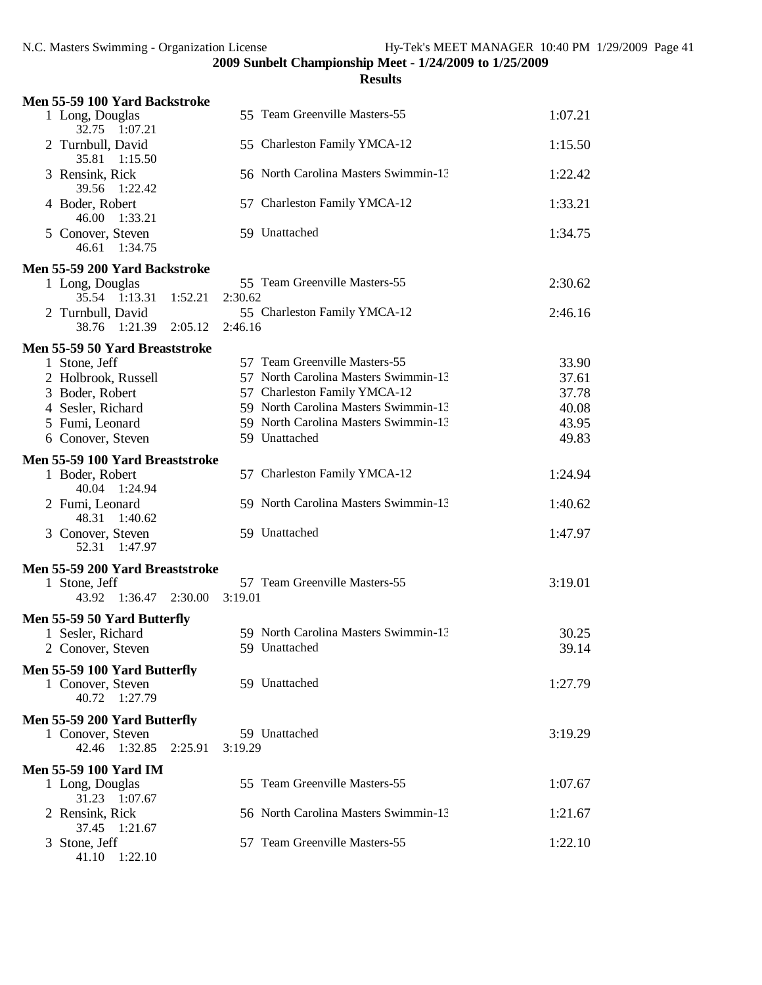| Men 55-59 100 Yard Backstroke                                      |                                      |         |
|--------------------------------------------------------------------|--------------------------------------|---------|
| 1 Long, Douglas<br>32.75 1:07.21                                   | 55 Team Greenville Masters-55        | 1:07.21 |
| 2 Turnbull, David<br>35.81 1:15.50                                 | 55 Charleston Family YMCA-12         | 1:15.50 |
| 3 Rensink, Rick<br>39.56<br>1:22.42                                | 56 North Carolina Masters Swimmin-13 | 1:22.42 |
| 4 Boder, Robert<br>46.00<br>1:33.21                                | 57 Charleston Family YMCA-12         | 1:33.21 |
| 5 Conover, Steven<br>46.61 1:34.75                                 | 59 Unattached                        | 1:34.75 |
| Men 55-59 200 Yard Backstroke                                      |                                      |         |
| 1 Long, Douglas                                                    | 55 Team Greenville Masters-55        | 2:30.62 |
| 35.54 1:13.31<br>1:52.21                                           | 2:30.62                              |         |
| 2 Turnbull, David                                                  | 55 Charleston Family YMCA-12         | 2:46.16 |
| 38.76 1:21.39<br>2:05.12                                           | 2:46.16                              |         |
| Men 55-59 50 Yard Breaststroke                                     |                                      |         |
| 1 Stone, Jeff                                                      | 57 Team Greenville Masters-55        | 33.90   |
| 2 Holbrook, Russell                                                | 57 North Carolina Masters Swimmin-13 | 37.61   |
| 3 Boder, Robert                                                    | 57 Charleston Family YMCA-12         | 37.78   |
| 4 Sesler, Richard                                                  | 59 North Carolina Masters Swimmin-13 | 40.08   |
| 5 Fumi, Leonard                                                    | 59 North Carolina Masters Swimmin-13 | 43.95   |
| 6 Conover, Steven                                                  | 59 Unattached                        | 49.83   |
| Men 55-59 100 Yard Breaststroke                                    |                                      |         |
| 1 Boder, Robert<br>40.04 1:24.94                                   | 57 Charleston Family YMCA-12         | 1:24.94 |
| 2 Fumi, Leonard<br>48.31<br>1:40.62                                | 59 North Carolina Masters Swimmin-13 | 1:40.62 |
| 3 Conover, Steven<br>52.31 1:47.97                                 | 59 Unattached                        | 1:47.97 |
| Men 55-59 200 Yard Breaststroke                                    |                                      |         |
| 1 Stone, Jeff                                                      | 57 Team Greenville Masters-55        | 3:19.01 |
| 43.92<br>$1:36.47$ $2:30.00$                                       | 3:19.01                              |         |
| Men 55-59 50 Yard Butterfly                                        |                                      |         |
| 1 Sesler, Richard                                                  | 59 North Carolina Masters Swimmin-13 | 30.25   |
| 2 Conover, Steven                                                  | 59 Unattached                        | 39.14   |
|                                                                    |                                      |         |
| Men 55-59 100 Yard Butterfly<br>1 Conover, Steven<br>40.72 1:27.79 | 59 Unattached                        | 1:27.79 |
| Men 55-59 200 Yard Butterfly                                       |                                      |         |
| 1 Conover, Steven                                                  | 59 Unattached                        | 3:19.29 |
| 42.46 1:32.85<br>2:25.91                                           | 3:19.29                              |         |
| <b>Men 55-59 100 Yard IM</b>                                       |                                      |         |
| 1 Long, Douglas<br>31.23 1:07.67                                   | 55 Team Greenville Masters-55        | 1:07.67 |
| 2 Rensink, Rick<br>37.45 1:21.67                                   | 56 North Carolina Masters Swimmin-13 | 1:21.67 |
| 3 Stone, Jeff<br>41.10<br>1:22.10                                  | 57 Team Greenville Masters-55        | 1:22.10 |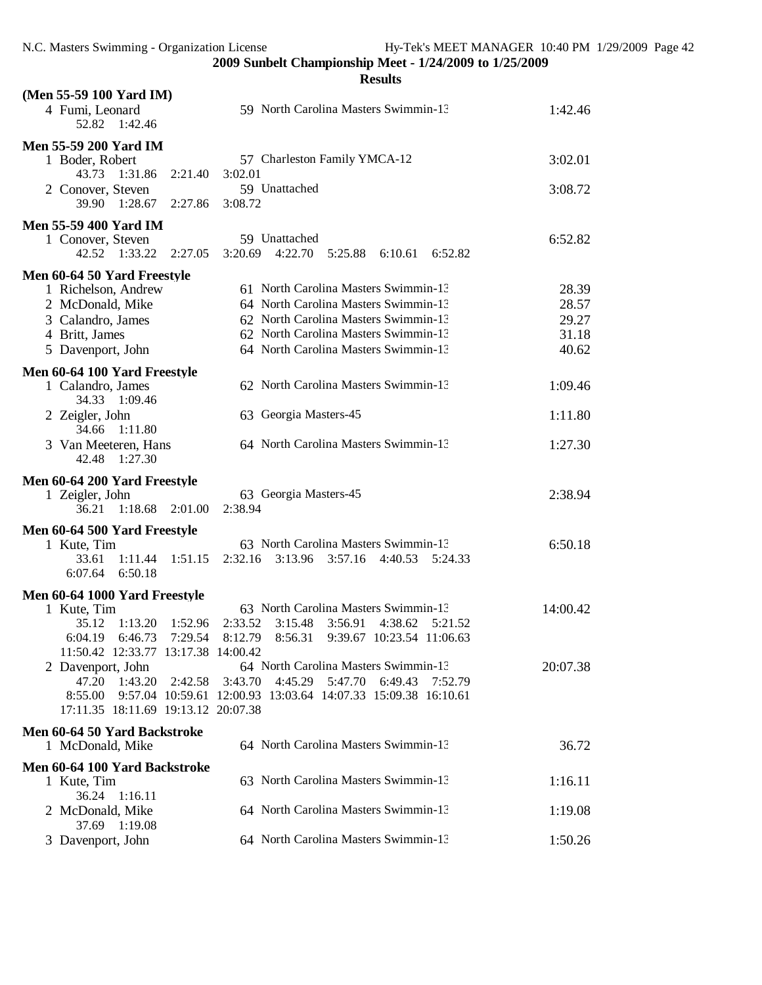| (Men 55-59 100 Yard IM)                           |                                                               |          |
|---------------------------------------------------|---------------------------------------------------------------|----------|
| 4 Fumi, Leonard<br>1:42.46<br>52.82               | 59 North Carolina Masters Swimmin-13                          | 1:42.46  |
| <b>Men 55-59 200 Yard IM</b>                      |                                                               |          |
| 1 Boder, Robert<br>43.73 1:31.86<br>2:21.40       | 57 Charleston Family YMCA-12<br>3:02.01                       | 3:02.01  |
| 2 Conover, Steven<br>39.90 1:28.67<br>2:27.86     | 59 Unattached<br>3:08.72                                      | 3:08.72  |
|                                                   |                                                               |          |
| <b>Men 55-59 400 Yard IM</b>                      |                                                               |          |
| 1 Conover, Steven                                 | 59 Unattached                                                 | 6:52.82  |
| 1:33.22 2:27.05<br>42.52                          | 4:22.70<br>3:20.69<br>6:10.61<br>6:52.82<br>5:25.88           |          |
| Men 60-64 50 Yard Freestyle                       |                                                               |          |
| 1 Richelson, Andrew                               | 61 North Carolina Masters Swimmin-13                          | 28.39    |
| 2 McDonald, Mike                                  | 64 North Carolina Masters Swimmin-13                          | 28.57    |
| 3 Calandro, James                                 | 62 North Carolina Masters Swimmin-13                          | 29.27    |
| 4 Britt, James                                    | 62 North Carolina Masters Swimmin-13                          | 31.18    |
|                                                   | 64 North Carolina Masters Swimmin-13                          | 40.62    |
| 5 Davenport, John                                 |                                                               |          |
| Men 60-64 100 Yard Freestyle<br>1 Calandro, James | 62 North Carolina Masters Swimmin-13                          | 1:09.46  |
| 34.33 1:09.46<br>2 Zeigler, John                  | 63 Georgia Masters-45                                         | 1:11.80  |
| 34.66 1:11.80                                     |                                                               |          |
| 3 Van Meeteren, Hans<br>42.48<br>1:27.30          | 64 North Carolina Masters Swimmin-13                          | 1:27.30  |
| Men 60-64 200 Yard Freestyle                      |                                                               |          |
| 1 Zeigler, John                                   | 63 Georgia Masters-45                                         | 2:38.94  |
| 1:18.68<br>36.21<br>2:01.00                       | 2:38.94                                                       |          |
|                                                   |                                                               |          |
| Men 60-64 500 Yard Freestyle                      |                                                               |          |
| 1 Kute, Tim                                       | 63 North Carolina Masters Swimmin-13                          | 6:50.18  |
| 33.61<br>1:11.44<br>1:51.15                       | 2:32.16<br>3:13.96<br>3:57.16<br>4:40.53<br>5:24.33           |          |
| 6:07.64<br>6:50.18                                |                                                               |          |
|                                                   |                                                               |          |
|                                                   |                                                               |          |
| Men 60-64 1000 Yard Freestyle                     |                                                               |          |
| 1 Kute, Tim                                       | 63 North Carolina Masters Swimmin-13                          | 14:00.42 |
| 35.12<br>1:13.20<br>1:52.96                       | 2:33.52<br>3:56.91<br>3:15.48<br>4:38.62<br>5:21.52           |          |
| 6:46.73<br>7:29.54<br>6:04.19                     | 8:12.79<br>8:56.31<br>9:39.67 10:23.54 11:06.63               |          |
| 11:50.42 12:33.77 13:17.38 14:00.42               |                                                               |          |
| 2 Davenport, John                                 | 64 North Carolina Masters Swimmin-13                          | 20:07.38 |
| 47.20<br>1:43.20<br>2:42.58                       | 3:43.70<br>4:45.29<br>5:47.70<br>6:49.43<br>7:52.79           |          |
| 8:55.00                                           | 9:57.04 10:59.61 12:00.93 13:03.64 14:07.33 15:09.38 16:10.61 |          |
| 17:11.35 18:11.69 19:13.12 20:07.38               |                                                               |          |
| Men 60-64 50 Yard Backstroke                      |                                                               |          |
| 1 McDonald, Mike                                  | 64 North Carolina Masters Swimmin-13                          | 36.72    |
|                                                   |                                                               |          |
| Men 60-64 100 Yard Backstroke                     |                                                               |          |
| 1 Kute, Tim                                       | 63 North Carolina Masters Swimmin-13                          | 1:16.11  |
| 36.24 1:16.11                                     |                                                               |          |
| 2 McDonald, Mike                                  | 64 North Carolina Masters Swimmin-13                          | 1:19.08  |
| 37.69 1:19.08<br>3 Davenport, John                | 64 North Carolina Masters Swimmin-13                          | 1:50.26  |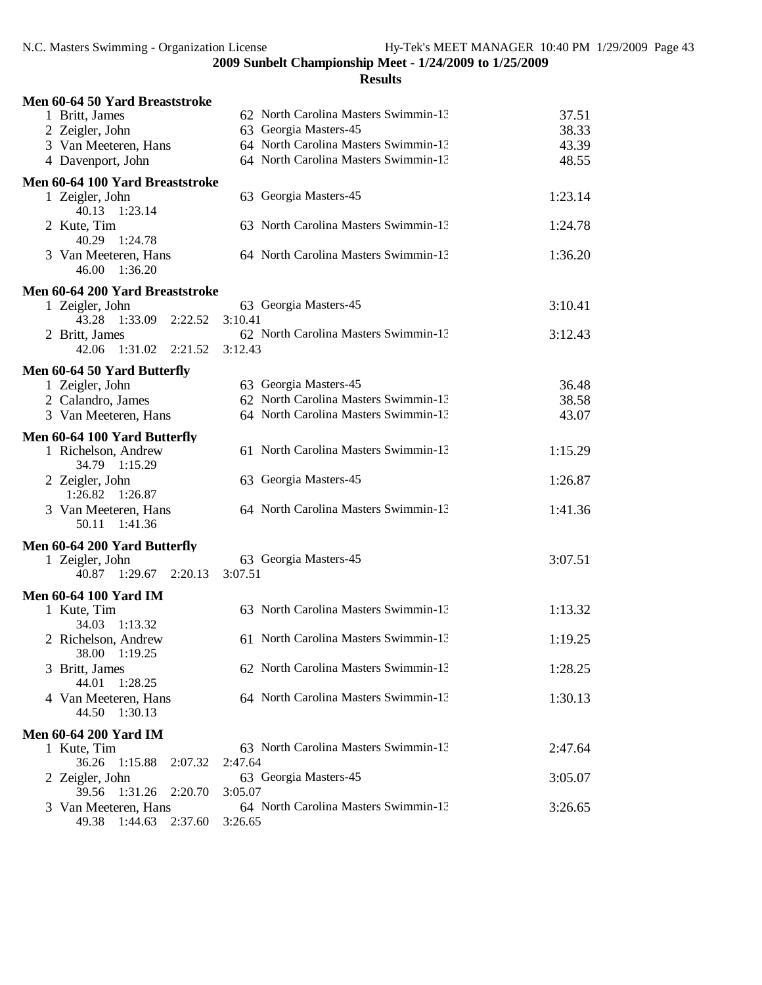| Men 60-64 50 Yard Breaststroke                |                                      |         |
|-----------------------------------------------|--------------------------------------|---------|
| 1 Britt, James                                | 62 North Carolina Masters Swimmin-13 | 37.51   |
| 2 Zeigler, John                               | 63 Georgia Masters-45                | 38.33   |
| 3 Van Meeteren, Hans                          | 64 North Carolina Masters Swimmin-13 | 43.39   |
| 4 Davenport, John                             | 64 North Carolina Masters Swimmin-13 | 48.55   |
| Men 60-64 100 Yard Breaststroke               |                                      |         |
| 1 Zeigler, John                               | 63 Georgia Masters-45                | 1:23.14 |
| 40.13 1:23.14                                 |                                      |         |
| 2 Kute, Tim                                   | 63 North Carolina Masters Swimmin-13 | 1:24.78 |
| 40.29 1:24.78                                 |                                      |         |
| 3 Van Meeteren, Hans<br>46.00 1:36.20         | 64 North Carolina Masters Swimmin-13 | 1:36.20 |
|                                               |                                      |         |
| Men 60-64 200 Yard Breaststroke               |                                      |         |
| 1 Zeigler, John<br>43.28 1:33.09<br>2:22.52   | 63 Georgia Masters-45<br>3:10.41     | 3:10.41 |
|                                               | 62 North Carolina Masters Swimmin-13 |         |
| 2 Britt, James<br>1:31.02<br>42.06<br>2:21.52 | 3:12.43                              | 3:12.43 |
|                                               |                                      |         |
| Men 60-64 50 Yard Butterfly                   |                                      |         |
| 1 Zeigler, John                               | 63 Georgia Masters-45                | 36.48   |
| 2 Calandro, James                             | 62 North Carolina Masters Swimmin-13 | 38.58   |
| 3 Van Meeteren, Hans                          | 64 North Carolina Masters Swimmin-13 | 43.07   |
| Men 60-64 100 Yard Butterfly                  |                                      |         |
| 1 Richelson, Andrew                           | 61 North Carolina Masters Swimmin-13 | 1:15.29 |
| 34.79 1:15.29                                 |                                      |         |
| 2 Zeigler, John                               | 63 Georgia Masters-45                | 1:26.87 |
| 1:26.82 1:26.87                               |                                      |         |
| 3 Van Meeteren, Hans                          | 64 North Carolina Masters Swimmin-13 | 1:41.36 |
| 50.11 1:41.36                                 |                                      |         |
| Men 60-64 200 Yard Butterfly                  |                                      |         |
| 1 Zeigler, John                               | 63 Georgia Masters-45                | 3:07.51 |
| 40.87 1:29.67 2:20.13                         | 3:07.51                              |         |
| <b>Men 60-64 100 Yard IM</b>                  |                                      |         |
| 1 Kute, Tim                                   | 63 North Carolina Masters Swimmin-13 | 1:13.32 |
| 34.03<br>1:13.32                              |                                      |         |
| 2 Richelson, Andrew                           | 61 North Carolina Masters Swimmin-13 | 1:19.25 |
| 38.00 1:19.25                                 |                                      |         |
| 3 Britt, James                                | 62 North Carolina Masters Swimmin-13 | 1:28.25 |
| 44.01<br>1:28.25                              |                                      |         |
| 4 Van Meeteren, Hans                          | 64 North Carolina Masters Swimmin-13 | 1:30.13 |
| 44.50<br>1:30.13                              |                                      |         |
| <b>Men 60-64 200 Yard IM</b>                  |                                      |         |
| 1 Kute, Tim                                   | 63 North Carolina Masters Swimmin-13 | 2:47.64 |
| 36.26<br>1:15.88<br>2:07.32                   | 2:47.64                              |         |
| 2 Zeigler, John                               | 63 Georgia Masters-45                | 3:05.07 |
| 39.56<br>1:31.26<br>2:20.70                   | 3:05.07                              |         |
| 3 Van Meeteren, Hans                          | 64 North Carolina Masters Swimmin-13 | 3:26.65 |
| 2:37.60<br>49.38 1:44.63                      | 3:26.65                              |         |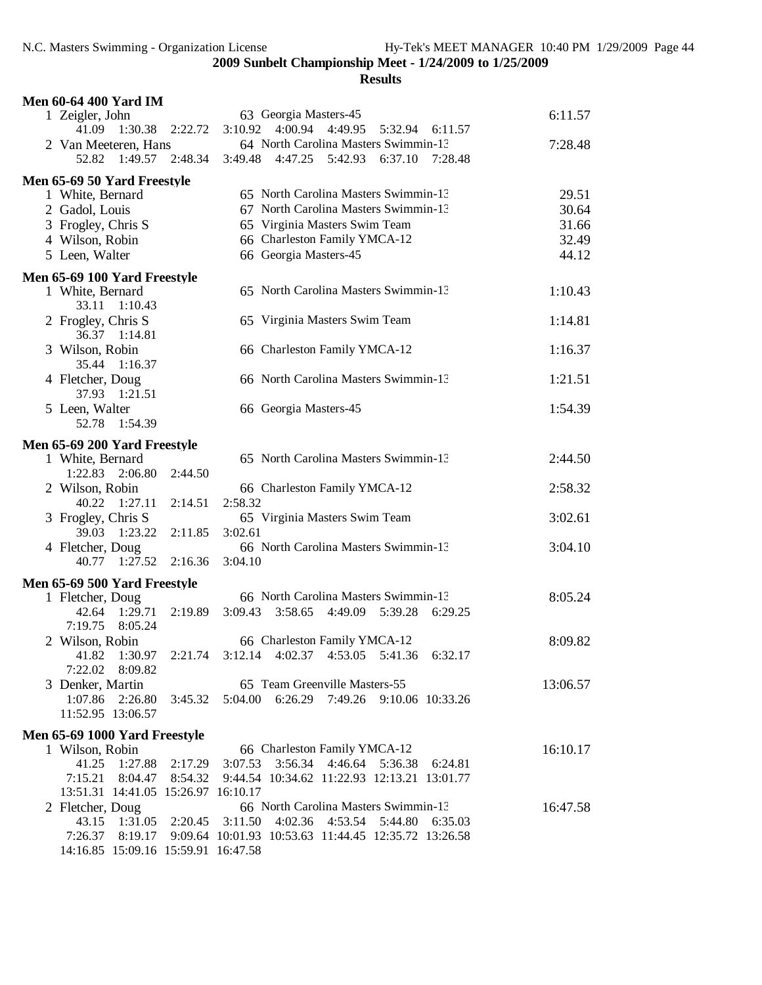| <b>Men 60-64 400 Yard IM</b>                            |         |                                                                            |          |
|---------------------------------------------------------|---------|----------------------------------------------------------------------------|----------|
| 1 Zeigler, John                                         |         | 63 Georgia Masters-45                                                      | 6:11.57  |
| 41.09<br>1:30.38                                        | 2:22.72 | 3:10.92 4:00.94 4:49.95<br>5:32.94<br>6:11.57                              |          |
| 2 Van Meeteren, Hans                                    |         | 64 North Carolina Masters Swimmin-13                                       | 7:28.48  |
| 52.82 1:49.57                                           | 2:48.34 | 3:49.48 4:47.25 5:42.93<br>6:37.10<br>7:28.48                              |          |
| Men 65-69 50 Yard Freestyle                             |         |                                                                            |          |
| 1 White, Bernard                                        |         | 65 North Carolina Masters Swimmin-13                                       | 29.51    |
| 2 Gadol, Louis                                          |         | 67 North Carolina Masters Swimmin-13                                       | 30.64    |
| 3 Frogley, Chris S                                      |         | 65 Virginia Masters Swim Team                                              | 31.66    |
| 4 Wilson, Robin                                         |         | 66 Charleston Family YMCA-12                                               | 32.49    |
| 5 Leen, Walter                                          |         | 66 Georgia Masters-45                                                      | 44.12    |
| Men 65-69 100 Yard Freestyle                            |         |                                                                            |          |
| 1 White, Bernard                                        |         | 65 North Carolina Masters Swimmin-13                                       | 1:10.43  |
| 33.11<br>1:10.43                                        |         |                                                                            |          |
| 2 Frogley, Chris S                                      |         | 65 Virginia Masters Swim Team                                              | 1:14.81  |
| 36.37 1:14.81                                           |         |                                                                            |          |
| 3 Wilson, Robin                                         |         | 66 Charleston Family YMCA-12                                               | 1:16.37  |
| 1:16.37<br>35.44                                        |         | 66 North Carolina Masters Swimmin-13                                       |          |
| 4 Fletcher, Doug<br>37.93 1:21.51                       |         |                                                                            | 1:21.51  |
| 5 Leen, Walter                                          |         | 66 Georgia Masters-45                                                      | 1:54.39  |
| 52.78<br>1:54.39                                        |         |                                                                            |          |
|                                                         |         |                                                                            |          |
| Men 65-69 200 Yard Freestyle                            |         | 65 North Carolina Masters Swimmin-13                                       | 2:44.50  |
| 1 White, Bernard<br>1:22.83 2:06.80                     | 2:44.50 |                                                                            |          |
| 2 Wilson, Robin                                         |         | 66 Charleston Family YMCA-12                                               | 2:58.32  |
| 40.22 1:27.11                                           | 2:14.51 | 2:58.32                                                                    |          |
| 3 Frogley, Chris S                                      |         | 65 Virginia Masters Swim Team                                              | 3:02.61  |
| 39.03<br>1:23.22                                        | 2:11.85 | 3:02.61                                                                    |          |
| 4 Fletcher, Doug                                        |         | 66 North Carolina Masters Swimmin-13                                       | 3:04.10  |
| 40.77 1:27.52                                           | 2:16.36 | 3:04.10                                                                    |          |
| Men 65-69 500 Yard Freestyle                            |         |                                                                            |          |
| 1 Fletcher, Doug                                        |         | 66 North Carolina Masters Swimmin-13                                       | 8:05.24  |
| 1:29.71<br>42.64                                        | 2:19.89 | $3:09.43$ $3:58.65$<br>4:49.09 5:39.28<br>6:29.25                          |          |
| 7:19.75<br>8:05.24                                      |         |                                                                            |          |
| 2 Wilson, Robin                                         |         | 66 Charleston Family YMCA-12                                               | 8:09.82  |
| 41.82<br>1:30.97                                        |         | 2:21.74 3:12.14 4:02.37 4:53.05 5:41.36 6:32.17                            |          |
| 7:22.02<br>8:09.82                                      |         |                                                                            |          |
| 3 Denker, Martin                                        |         | 65 Team Greenville Masters-55                                              | 13:06.57 |
| 1:07.86                                                 |         | 2:26.80 3:45.32 5:04.00 6:26.29 7:49.26 9:10.06 10:33.26                   |          |
| 11:52.95 13:06.57                                       |         |                                                                            |          |
| Men 65-69 1000 Yard Freestyle                           |         |                                                                            |          |
| 1 Wilson, Robin                                         |         | 66 Charleston Family YMCA-12                                               | 16:10.17 |
| 41.25<br>1:27.88 2:17.29                                |         | 3:07.53<br>3:56.34 4:46.64 5:36.38 6:24.81                                 |          |
|                                                         |         | 7:15.21  8:04.47  8:54.32  9:44.54  10:34.62  11:22.93  12:13.21  13:01.77 |          |
| 13:51.31 14:41.05 15:26.97 16:10.17<br>2 Fletcher, Doug |         | 66 North Carolina Masters Swimmin-13                                       | 16:47.58 |
| 43.15 1:31.05 2:20.45 3:11.50                           |         | 4:02.36 4:53.54 5:44.80<br>6:35.03                                         |          |
|                                                         |         | 7:26.37 8:19.17 9:09.64 10:01.93 10:53.63 11:44.45 12:35.72 13:26.58       |          |
| 14:16.85 15:09.16 15:59.91 16:47.58                     |         |                                                                            |          |
|                                                         |         |                                                                            |          |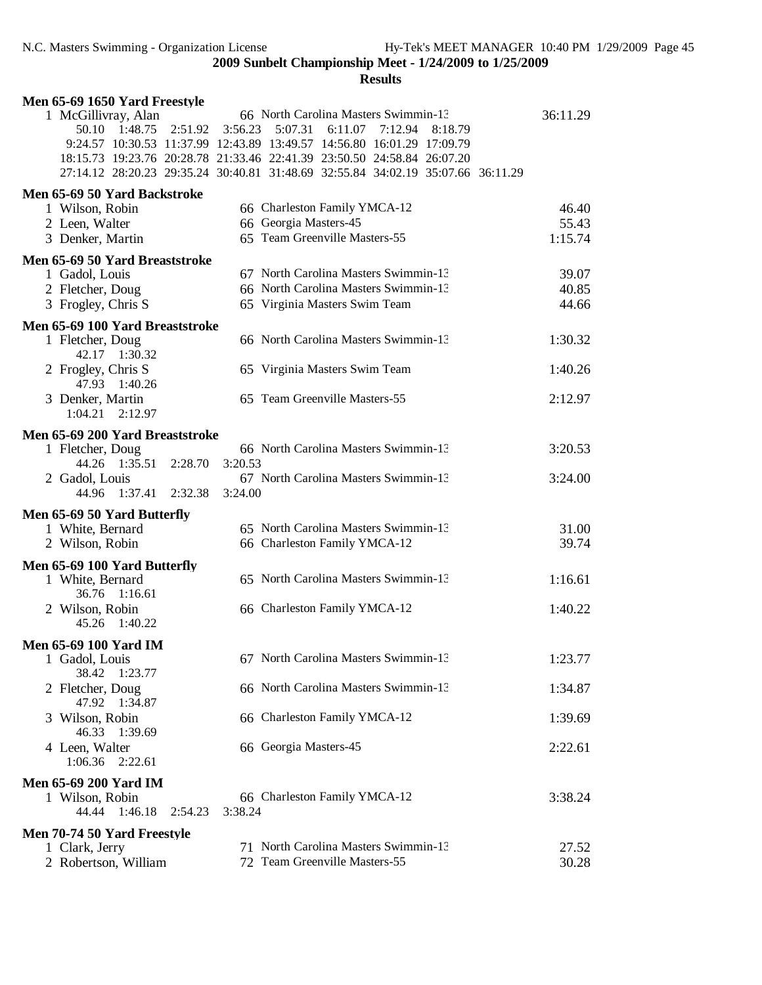| Men 65-69 1650 Yard Freestyle                    |                                                                                                                                                                                                                                                                                                                                      |                |
|--------------------------------------------------|--------------------------------------------------------------------------------------------------------------------------------------------------------------------------------------------------------------------------------------------------------------------------------------------------------------------------------------|----------------|
| 1 McGillivray, Alan<br>50.10 1:48.75<br>2:51.92  | 66 North Carolina Masters Swimmin-13<br>3:56.23<br>5:07.31<br>6:11.07<br>7:12.94<br>8:18.79<br>9:24.57 10:30.53 11:37.99 12:43.89 13:49.57 14:56.80 16:01.29 17:09.79<br>18:15.73 19:23.76 20:28.78 21:33.46 22:41.39 23:50.50 24:58.84 26:07.20<br>27:14.12 28:20.23 29:35.24 30:40.81 31:48.69 32:55.84 34:02.19 35:07.66 36:11.29 | 36:11.29       |
| Men 65-69 50 Yard Backstroke                     |                                                                                                                                                                                                                                                                                                                                      |                |
| 1 Wilson, Robin                                  | 66 Charleston Family YMCA-12                                                                                                                                                                                                                                                                                                         | 46.40          |
| 2 Leen, Walter                                   | 66 Georgia Masters-45                                                                                                                                                                                                                                                                                                                | 55.43          |
| 3 Denker, Martin                                 | 65 Team Greenville Masters-55                                                                                                                                                                                                                                                                                                        | 1:15.74        |
| Men 65-69 50 Yard Breaststroke                   |                                                                                                                                                                                                                                                                                                                                      |                |
| 1 Gadol, Louis                                   | 67 North Carolina Masters Swimmin-13                                                                                                                                                                                                                                                                                                 | 39.07          |
| 2 Fletcher, Doug<br>3 Frogley, Chris S           | 66 North Carolina Masters Swimmin-13<br>65 Virginia Masters Swim Team                                                                                                                                                                                                                                                                | 40.85<br>44.66 |
|                                                  |                                                                                                                                                                                                                                                                                                                                      |                |
| Men 65-69 100 Yard Breaststroke                  | 66 North Carolina Masters Swimmin-13                                                                                                                                                                                                                                                                                                 | 1:30.32        |
| 1 Fletcher, Doug<br>42.17 1:30.32                |                                                                                                                                                                                                                                                                                                                                      |                |
| 2 Frogley, Chris S<br>47.93 1:40.26              | 65 Virginia Masters Swim Team                                                                                                                                                                                                                                                                                                        | 1:40.26        |
| 3 Denker, Martin                                 | 65 Team Greenville Masters-55                                                                                                                                                                                                                                                                                                        | 2:12.97        |
| $1:04.21$ $2:12.97$                              |                                                                                                                                                                                                                                                                                                                                      |                |
| Men 65-69 200 Yard Breaststroke                  |                                                                                                                                                                                                                                                                                                                                      |                |
| 1 Fletcher, Doug                                 | 66 North Carolina Masters Swimmin-13                                                                                                                                                                                                                                                                                                 | 3:20.53        |
| 44.26 1:35.51<br>2:28.70                         | 3:20.53                                                                                                                                                                                                                                                                                                                              |                |
| 2 Gadol, Louis                                   | 67 North Carolina Masters Swimmin-13                                                                                                                                                                                                                                                                                                 | 3:24.00        |
| 1:37.41<br>44.96<br>2:32.38                      | 3:24.00                                                                                                                                                                                                                                                                                                                              |                |
| Men 65-69 50 Yard Butterfly                      |                                                                                                                                                                                                                                                                                                                                      |                |
| 1 White, Bernard                                 | 65 North Carolina Masters Swimmin-13                                                                                                                                                                                                                                                                                                 | 31.00          |
| 2 Wilson, Robin                                  | 66 Charleston Family YMCA-12                                                                                                                                                                                                                                                                                                         | 39.74          |
| Men 65-69 100 Yard Butterfly<br>1 White, Bernard | 65 North Carolina Masters Swimmin-13                                                                                                                                                                                                                                                                                                 | 1:16.61        |
| 36.76 1:16.61                                    |                                                                                                                                                                                                                                                                                                                                      |                |
| 2 Wilson, Robin<br>45.26 1:40.22                 | 66 Charleston Family YMCA-12                                                                                                                                                                                                                                                                                                         | 1:40.22        |
|                                                  |                                                                                                                                                                                                                                                                                                                                      |                |
| <b>Men 65-69 100 Yard IM</b>                     | 67 North Carolina Masters Swimmin-13                                                                                                                                                                                                                                                                                                 |                |
| 1 Gadol, Louis<br>38.42<br>1:23.77               |                                                                                                                                                                                                                                                                                                                                      | 1:23.77        |
| 2 Fletcher, Doug                                 | 66 North Carolina Masters Swimmin-13                                                                                                                                                                                                                                                                                                 | 1:34.87        |
| 47.92<br>1:34.87                                 |                                                                                                                                                                                                                                                                                                                                      |                |
| Wilson, Robin<br>3.<br>46.33                     | 66 Charleston Family YMCA-12                                                                                                                                                                                                                                                                                                         | 1:39.69        |
| 1:39.69<br>4 Leen, Walter                        | 66 Georgia Masters-45                                                                                                                                                                                                                                                                                                                | 2:22.61        |
| $1:06.36$ $2:22.61$                              |                                                                                                                                                                                                                                                                                                                                      |                |
| <b>Men 65-69 200 Yard IM</b>                     |                                                                                                                                                                                                                                                                                                                                      |                |
| 1 Wilson, Robin                                  | 66 Charleston Family YMCA-12                                                                                                                                                                                                                                                                                                         | 3:38.24        |
| 44.44<br>1:46.18<br>2:54.23                      | 3:38.24                                                                                                                                                                                                                                                                                                                              |                |
| Men 70-74 50 Yard Freestyle                      |                                                                                                                                                                                                                                                                                                                                      |                |
| 1 Clark, Jerry                                   | 71 North Carolina Masters Swimmin-13                                                                                                                                                                                                                                                                                                 | 27.52          |
| 2 Robertson, William                             | 72 Team Greenville Masters-55                                                                                                                                                                                                                                                                                                        | 30.28          |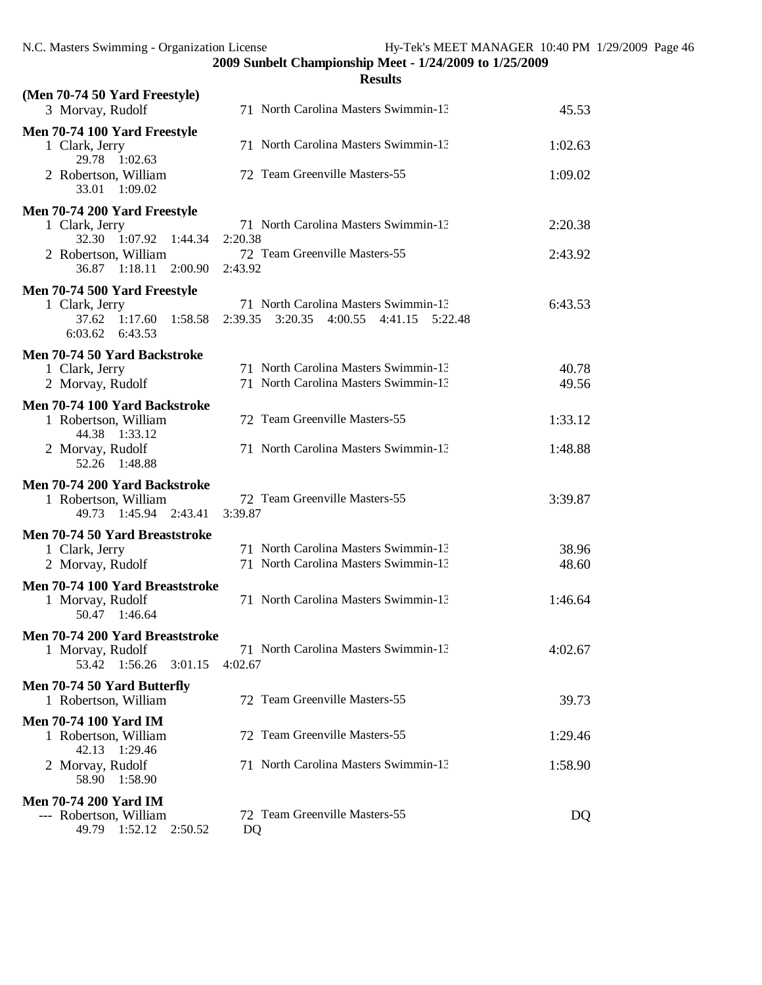**Results (Men 70-74 50 Yard Freestyle)** 3 Morvay, Rudolf 71 North Carolina Masters Swimmin-13 45.53 **Men 70-74 100 Yard Freestyle** 1 Clark, Jerry 71 North Carolina Masters Swimmin-13 1:02.63 29.78 1:02.63 2 Robertson, William 72 Team Greenville Masters-55 1:09.02 33.01 1:09.02 **Men 70-74 200 Yard Freestyle** 1 Clark, Jerry 71 North Carolina Masters Swimmin-13 2:20.38 32.30 1:07.92 1:44.34 2:20.38 2 Robertson, William 72 Team Greenville Masters-55 2:43.92 36.87 1:18.11 2:00.90 2:43.92 **Men 70-74 500 Yard Freestyle** 1 Clark, Jerry 71 North Carolina Masters Swimmin-13 6:43.53 37.62 1:17.60 1:58.58 2:39.35 3:20.35 4:00.55 4:41.15 5:22.48 6:03.62 6:43.53 **Men 70-74 50 Yard Backstroke** 1 Clark, Jerry 71 North Carolina Masters Swimmin-13 40.78 2 Morvay, Rudolf 71 North Carolina Masters Swimmin-13 49.56 **Men 70-74 100 Yard Backstroke** 1 Robertson, William 72 Team Greenville Masters-55 1:33.12 44.38 1:33.12 2 Morvay, Rudolf 71 North Carolina Masters Swimmin-13 1:48.88 52.26 1:48.88 **Men 70-74 200 Yard Backstroke** 1 72 Team Greenville Masters-55 3:39.87<br>3:39.87 3:39.87 49.73 1:45.94 2:43.41 **Men 70-74 50 Yard Breaststroke** 1 Clark, Jerry 71 North Carolina Masters Swimmin-13 38.96 2 Morvay, Rudolf 71 North Carolina Masters Swimmin-13 48.60 **Men 70-74 100 Yard Breaststroke** 1 Morvay, Rudolf 71 North Carolina Masters Swimmin-13 1:46.64 50.47 1:46.64 **Men 70-74 200 Yard Breaststroke** 1 Morvay, Rudolf 71 North Carolina Masters Swimmin-13 4:02.67 53.42 1:56.26 3:01.15 4:02.67 **Men 70-74 50 Yard Butterfly** 1 Robertson, William 72 Team Greenville Masters-55 39.73 **Men 70-74 100 Yard IM** 1 Robertson, William 72 Team Greenville Masters-55 1:29.46 42.13 1:29.46 2 Morvay, Rudolf 71 North Carolina Masters Swimmin-13 1:58.90 58.90 1:58.90 **Men 70-74 200 Yard IM**<br>--- Robertson, William 72 Team Greenville Masters-55 DQ 49.79 1:52.12 2:50.52 DQ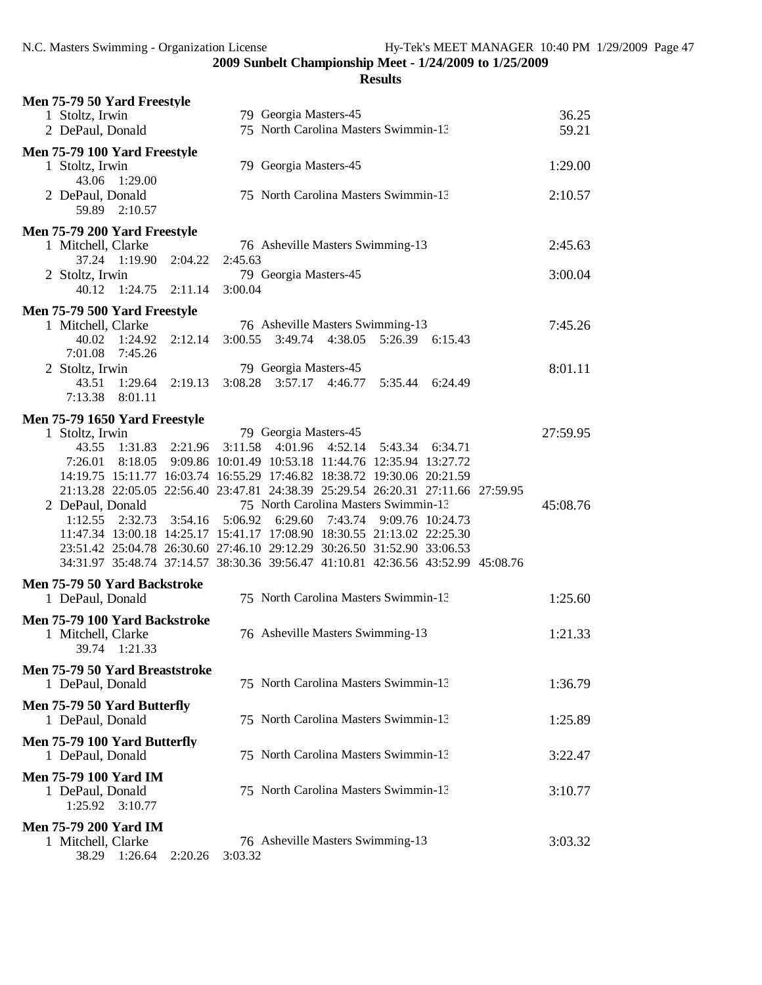| Men 75-79 50 Yard Freestyle                                 |                                                                         |         |         |                         |         |                                                                    |                                                                                  |          |
|-------------------------------------------------------------|-------------------------------------------------------------------------|---------|---------|-------------------------|---------|--------------------------------------------------------------------|----------------------------------------------------------------------------------|----------|
| 1 Stoltz, Irwin                                             |                                                                         |         |         | 79 Georgia Masters-45   |         |                                                                    |                                                                                  | 36.25    |
| 2 DePaul, Donald                                            |                                                                         |         |         |                         |         | 75 North Carolina Masters Swimmin-13                               |                                                                                  | 59.21    |
| Men 75-79 100 Yard Freestyle                                |                                                                         |         |         |                         |         |                                                                    |                                                                                  |          |
| 1 Stoltz, Irwin                                             | 43.06 1:29.00                                                           |         |         | 79 Georgia Masters-45   |         |                                                                    |                                                                                  | 1:29.00  |
| 2 DePaul, Donald                                            | 59.89 2:10.57                                                           |         |         |                         |         | 75 North Carolina Masters Swimmin-13                               |                                                                                  | 2:10.57  |
| Men 75-79 200 Yard Freestyle                                |                                                                         |         |         |                         |         |                                                                    |                                                                                  |          |
| 1 Mitchell, Clarke                                          |                                                                         |         |         |                         |         | 76 Asheville Masters Swimming-13                                   |                                                                                  | 2:45.63  |
|                                                             | 37.24 1:19.90 2:04.22                                                   |         | 2:45.63 |                         |         |                                                                    |                                                                                  |          |
| 2 Stoltz, Irwin                                             |                                                                         |         |         | 79 Georgia Masters-45   |         |                                                                    |                                                                                  | 3:00.04  |
| 40.12                                                       | 1:24.75                                                                 | 2:11.14 | 3:00.04 |                         |         |                                                                    |                                                                                  |          |
| Men 75-79 500 Yard Freestyle                                |                                                                         |         |         |                         |         |                                                                    |                                                                                  |          |
| 1 Mitchell, Clarke                                          |                                                                         |         |         |                         |         | 76 Asheville Masters Swimming-13                                   |                                                                                  | 7:45.26  |
| 40.02<br>7:01.08                                            | 1:24.92<br>7:45.26                                                      | 2:12.14 | 3:00.55 |                         |         | 3:49.74 4:38.05 5:26.39 6:15.43                                    |                                                                                  |          |
| 2 Stoltz, Irwin                                             |                                                                         |         |         | 79 Georgia Masters-45   |         |                                                                    |                                                                                  | 8:01.11  |
| 43.51                                                       | 1:29.64<br>7:13.38 8:01.11                                              | 2:19.13 |         | 3:08.28 3:57.17 4:46.77 |         | 5:35.44                                                            | 6:24.49                                                                          |          |
| Men 75-79 1650 Yard Freestyle                               |                                                                         |         |         |                         |         |                                                                    |                                                                                  |          |
| 1 Stoltz, Irwin                                             |                                                                         |         |         | 79 Georgia Masters-45   |         |                                                                    |                                                                                  | 27:59.95 |
|                                                             | 43.55 1:31.83                                                           | 2:21.96 | 3:11.58 | 4:01.96                 | 4:52.14 | 5:43.34                                                            | 6:34.71                                                                          |          |
| 7:26.01                                                     |                                                                         |         |         |                         |         | 8:18.05  9:09.86  10:01.49  10:53.18  11:44.76  12:35.94  13:27.72 |                                                                                  |          |
|                                                             | 14:19.75 15:11.77 16:03.74 16:55.29 17:46.82 18:38.72 19:30.06 20:21.59 |         |         |                         |         |                                                                    |                                                                                  |          |
|                                                             |                                                                         |         |         |                         |         |                                                                    | 21:13.28 22:05.05 22:56.40 23:47.81 24:38.39 25:29.54 26:20.31 27:11.66 27:59.95 |          |
| 2 DePaul, Donald                                            |                                                                         |         |         |                         |         | 75 North Carolina Masters Swimmin-13                               |                                                                                  | 45:08.76 |
| 1:12.55                                                     | 2:32.73                                                                 | 3:54.16 | 5:06.92 | 6:29.60                 | 7:43.74 |                                                                    | 9:09.76 10:24.73                                                                 |          |
|                                                             | 11:47.34 13:00.18 14:25.17 15:41.17 17:08.90 18:30.55 21:13.02 22:25.30 |         |         |                         |         |                                                                    |                                                                                  |          |
|                                                             | 23:51.42 25:04.78 26:30.60 27:46.10 29:12.29 30:26.50 31:52.90 33:06.53 |         |         |                         |         |                                                                    |                                                                                  |          |
|                                                             |                                                                         |         |         |                         |         |                                                                    | 34:31.97 35:48.74 37:14.57 38:30.36 39:56.47 41:10.81 42:36.56 43:52.99 45:08.76 |          |
| Men 75-79 50 Yard Backstroke<br>1 DePaul, Donald            |                                                                         |         |         |                         |         | 75 North Carolina Masters Swimmin-13                               |                                                                                  | 1:25.60  |
|                                                             |                                                                         |         |         |                         |         |                                                                    |                                                                                  |          |
| Men 75-79 100 Yard Backstroke<br>1 Mitchell, Clarke         | 39.74 1:21.33                                                           |         |         |                         |         | 76 Asheville Masters Swimming-13                                   |                                                                                  | 1:21.33  |
| Men 75-79 50 Yard Breaststroke<br>1 DePaul, Donald          |                                                                         |         |         |                         |         | 75 North Carolina Masters Swimmin-13                               |                                                                                  | 1:36.79  |
| Men 75-79 50 Yard Butterfly<br>1 DePaul, Donald             |                                                                         |         |         |                         |         | 75 North Carolina Masters Swimmin-13                               |                                                                                  | 1:25.89  |
| Men 75-79 100 Yard Butterfly<br>1 DePaul, Donald            |                                                                         |         |         |                         |         | 75 North Carolina Masters Swimmin-13                               |                                                                                  | 3:22.47  |
| <b>Men 75-79 100 Yard IM</b><br>1 DePaul, Donald<br>1:25.92 | 3:10.77                                                                 |         |         |                         |         | 75 North Carolina Masters Swimmin-13                               |                                                                                  | 3:10.77  |
| <b>Men 75-79 200 Yard IM</b><br>1 Mitchell, Clarke          | 38.29 1:26.64                                                           | 2:20.26 | 3:03.32 |                         |         | 76 Asheville Masters Swimming-13                                   |                                                                                  | 3:03.32  |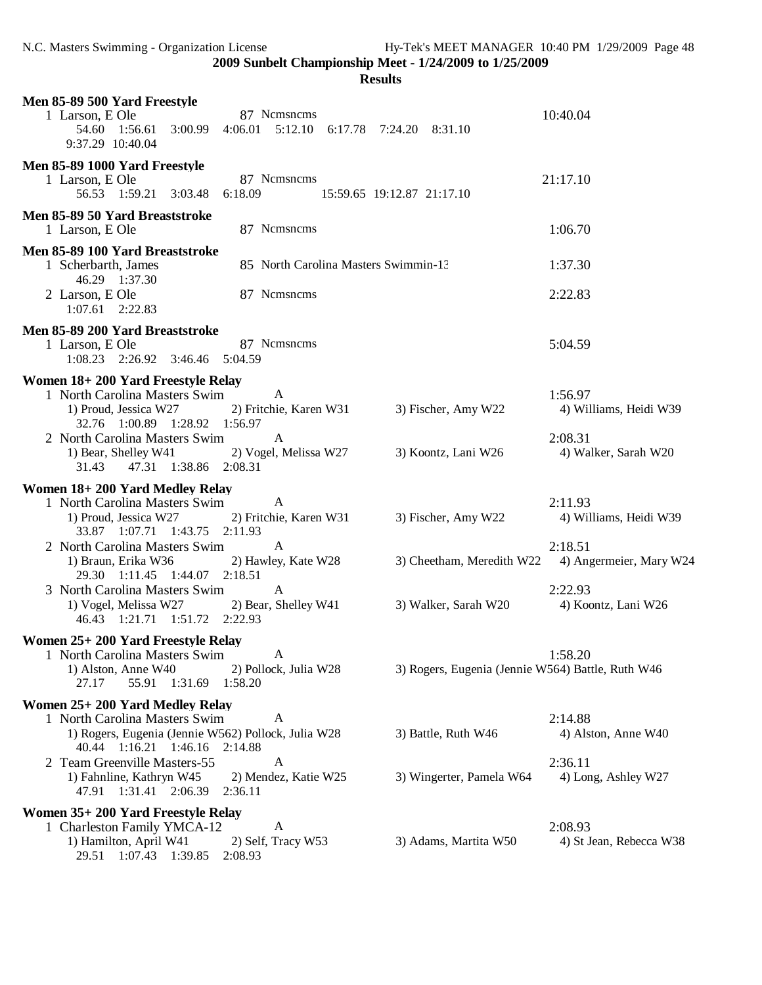| <b>Results</b>                                                                                                                                                  |                                                                 |  |  |
|-----------------------------------------------------------------------------------------------------------------------------------------------------------------|-----------------------------------------------------------------|--|--|
| Men 85-89 500 Yard Freestyle<br>87 Nemsnems<br>1 Larson, E Ole<br>54.60  1:56.61  3:00.99<br>9:37.29 10:40.04                                                   | 10:40.04<br>4:06.01 5:12.10 6:17.78 7:24.20 8:31.10             |  |  |
| Men 85-89 1000 Yard Freestyle<br>87 Nemsnems<br>1 Larson, E Ole<br>56.53 1:59.21 3:03.48<br>6:18.09                                                             | 21:17.10<br>15:59.65 19:12.87 21:17.10                          |  |  |
| Men 85-89 50 Yard Breaststroke<br>87 Nemsnems<br>1 Larson, E Ole                                                                                                | 1:06.70                                                         |  |  |
| Men 85-89 100 Yard Breaststroke<br>1 Scherbarth, James<br>46.29 1:37.30<br>87 Nemsnems<br>2 Larson, E Ole                                                       | 85 North Carolina Masters Swimmin-13<br>1:37.30<br>2:22.83      |  |  |
| $1:07.61$ $2:22.83$                                                                                                                                             |                                                                 |  |  |
| Men 85-89 200 Yard Breaststroke<br>87 Nemsnems<br>1 Larson, E Ole<br>1:08.23 2:26.92 3:46.46 5:04.59                                                            | 5:04.59                                                         |  |  |
| Women 18+200 Yard Freestyle Relay                                                                                                                               |                                                                 |  |  |
| 1 North Carolina Masters Swim<br>A<br>1) Proud, Jessica W27<br>2) Fritchie, Karen W31<br>32.76 1:00.89 1:28.92 1:56.97                                          | 1:56.97<br>3) Fischer, Amy W22<br>4) Williams, Heidi W39        |  |  |
| 2 North Carolina Masters Swim<br>A<br>2) Vogel, Melissa W27<br>1) Bear, Shelley W41<br>47.31 1:38.86 2:08.31<br>31.43                                           | 2:08.31<br>3) Koontz, Lani W26<br>4) Walker, Sarah W20          |  |  |
| Women 18+200 Yard Medley Relay<br>1 North Carolina Masters Swim<br>A<br>1) Proud, Jessica W27<br>2) Fritchie, Karen W31<br>33.87 1:07.71 1:43.75 2:11.93        | 2:11.93<br>3) Fischer, Amy W22<br>4) Williams, Heidi W39        |  |  |
| 2 North Carolina Masters Swim<br>$\mathbf{A}$<br>1) Braun, Erika W36<br>2) Hawley, Kate W28<br>29.30 1:11.45 1:44.07 2:18.51                                    | 2:18.51<br>3) Cheetham, Meredith W22<br>4) Angermeier, Mary W24 |  |  |
| $\mathbf{A}$<br>3 North Carolina Masters Swim<br>2) Bear, Shelley W41<br>1) Vogel, Melissa W27<br>46.43 1:21.71 1:51.72 2:22.93                                 | 2:22.93<br>3) Walker, Sarah W20<br>4) Koontz, Lani W26          |  |  |
| Women 25+ 200 Yard Freestyle Relay<br>1 North Carolina Masters Swim<br>A<br>1) Alston, Anne W40<br>2) Pollock, Julia W28<br>27.17<br>55.91 1:31.69<br>1:58.20   | 1:58.20<br>3) Rogers, Eugenia (Jennie W564) Battle, Ruth W46    |  |  |
| Women 25+200 Yard Medley Relay                                                                                                                                  |                                                                 |  |  |
| 1 North Carolina Masters Swim<br>A<br>1) Rogers, Eugenia (Jennie W562) Pollock, Julia W28<br>40.44 1:16.21 1:46.16<br>2:14.88                                   | 2:14.88<br>3) Battle, Ruth W46<br>4) Alston, Anne W40           |  |  |
| 2 Team Greenville Masters-55<br>A<br>1) Fahnline, Kathryn W45<br>2) Mendez, Katie W25<br>47.91 1:31.41 2:06.39<br>2:36.11                                       | 2:36.11<br>3) Wingerter, Pamela W64<br>4) Long, Ashley W27      |  |  |
| Women 35+200 Yard Freestyle Relay<br>A<br>1 Charleston Family YMCA-12<br>1) Hamilton, April W41<br>2) Self, Tracy W53<br>1:07.43<br>1:39.85<br>29.51<br>2:08.93 | 2:08.93<br>3) Adams, Martita W50<br>4) St Jean, Rebecca W38     |  |  |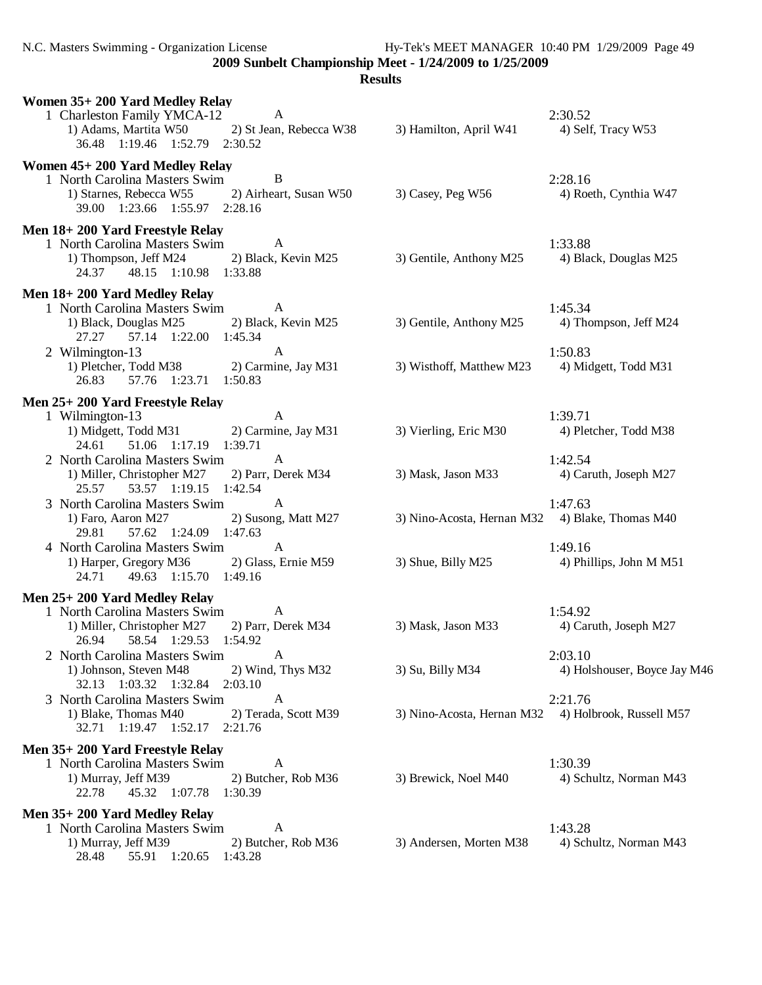N.C. Masters Swimming - Organization License Hy-Tek's MEET MANAGER 10:40 PM 1/29/2009 Page 49

**2009 Sunbelt Championship Meet - 1/24/2009 to 1/25/2009**

| Women 35+200 Yard Medley Relay<br>1 Charleston Family YMCA-12<br>1) Adams, Martita W50<br>36.48 1:19.46 1:52.79 2:30.52                       | A<br>2) St Jean, Rebecca W38         | 3) Hamilton, April W41                              | 2:30.52<br>4) Self, Tracy W53           |
|-----------------------------------------------------------------------------------------------------------------------------------------------|--------------------------------------|-----------------------------------------------------|-----------------------------------------|
| Women 45+200 Yard Medley Relay<br>1 North Carolina Masters Swim<br>1) Starnes, Rebecca W55<br>39.00 1:23.66 1:55.97 2:28.16                   | B<br>2) Airheart, Susan W50          | $3)$ Casey, Peg W56                                 | 2:28.16<br>4) Roeth, Cynthia W47        |
| Men 18+200 Yard Freestyle Relay<br>1 North Carolina Masters Swim<br>1) Thompson, Jeff M24 2) Black, Kevin M25<br>24.37 48.15 1:10.98 1:33.88  | A                                    | 3) Gentile, Anthony M25                             | 1:33.88<br>4) Black, Douglas M25        |
| Men 18+200 Yard Medley Relay<br>1 North Carolina Masters Swim<br>1) Black, Douglas M25 2) Black, Kevin M25<br>57.14 1:22.00 1:45.34<br>27.27  | A                                    | 3) Gentile, Anthony M25                             | 1:45.34<br>4) Thompson, Jeff M24        |
| 2 Wilmington-13<br>1) Pletcher, Todd M38 2) Carmine, Jay M31<br>57.76 1:23.71 1:50.83<br>26.83                                                | $\mathbf{A}$                         | 3) Wisthoff, Matthew M23 4) Midgett, Todd M31       | 1:50.83                                 |
| Men 25+200 Yard Freestyle Relay<br>1 Wilmington-13<br>1) Midgett, Todd M31 2) Carmine, Jay M31<br>51.06 1:17.19 1:39.71<br>24.61              | $\mathbf{A}$                         | 3) Vierling, Eric M30                               | 1:39.71<br>4) Pletcher, Todd M38        |
| 2 North Carolina Masters Swim<br>1) Miller, Christopher M27 2) Parr, Derek M34<br>25.57 53.57 1:19.15 1:42.54                                 | $\mathbf{A}$                         | 3) Mask, Jason M33                                  | 1:42.54<br>4) Caruth, Joseph M27        |
| 3 North Carolina Masters Swim<br>1) Faro, Aaron M27<br>29.81<br>57.62 1:24.09 1:47.63                                                         | $\mathbf{A}$<br>2) Susong, Matt M27  | 3) Nino-Acosta, Hernan M32 4) Blake, Thomas M40     | 1:47.63                                 |
| 4 North Carolina Masters Swim<br>1) Harper, Gregory M36<br>49.63 1:15.70 1:49.16<br>24.71                                                     | $\mathbf{A}$<br>2) Glass, Ernie M59  | 3) Shue, Billy M25                                  | 1:49.16<br>4) Phillips, John M M51      |
| Men 25+200 Yard Medley Relay<br>1 North Carolina Masters Swim<br>1) Miller, Christopher M27 2) Parr, Derek M34<br>26.94 58.54 1:29.53 1:54.92 | $\mathbf{A}$                         | 3) Mask, Jason M33                                  | 1:54.92<br>4) Caruth, Joseph M27        |
| 2 North Carolina Masters Swim<br>1) Johnson, Steven M48<br>32.13 1:03.32 1:32.84 2:03.10                                                      | $\overline{A}$<br>2) Wind, Thys M32  | 3) Su, Billy M34                                    | 2:03.10<br>4) Holshouser, Boyce Jay M46 |
| 3 North Carolina Masters Swim<br>1) Blake, Thomas M40<br>32.71 1:19.47 1:52.17                                                                | A<br>2) Terada, Scott M39<br>2:21.76 | 3) Nino-Acosta, Hernan M32 4) Holbrook, Russell M57 | 2:21.76                                 |
| Men 35+200 Yard Freestyle Relay<br>1 North Carolina Masters Swim<br>1) Murray, Jeff M39<br>22.78<br>45.32 1:07.78                             | A<br>2) Butcher, Rob M36<br>1:30.39  | 3) Brewick, Noel M40                                | 1:30.39<br>4) Schultz, Norman M43       |
| Men 35+200 Yard Medley Relay<br>1 North Carolina Masters Swim<br>1) Murray, Jeff M39<br>28.48<br>55.91 1:20.65                                | A<br>2) Butcher, Rob M36<br>1:43.28  | 3) Andersen, Morten M38                             | 1:43.28<br>4) Schultz, Norman M43       |
|                                                                                                                                               |                                      |                                                     |                                         |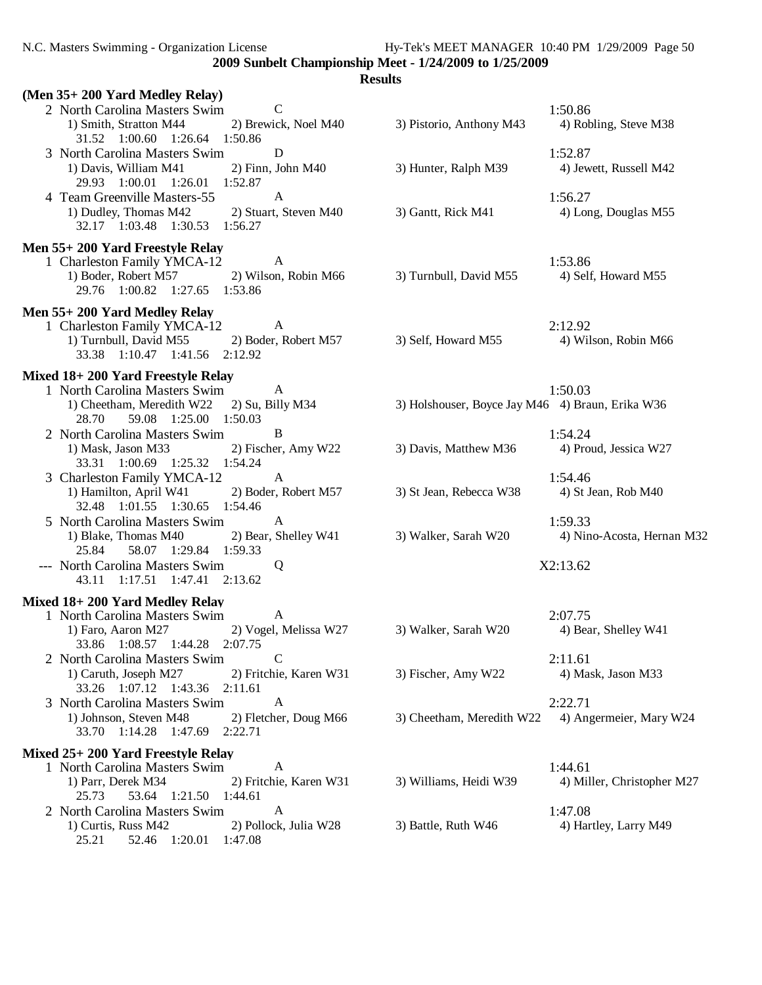N.C. Masters Swimming - Organization License Hy-Tek's MEET MANAGER 10:40 PM 1/29/2009 Page 50

**2009 Sunbelt Championship Meet - 1/24/2009 to 1/25/2009**

| (Men 35+200 Yard Medley Relay)                                                                                                                          |                                                  |                                       |
|---------------------------------------------------------------------------------------------------------------------------------------------------------|--------------------------------------------------|---------------------------------------|
| 2 North Carolina Masters Swim<br>$\mathcal{C}$<br>2) Brewick, Noel M40<br>1) Smith, Stratton M44<br>31.52 1:00.60 1:26.64 1:50.86                       | 3) Pistorio, Anthony M43                         | 1:50.86<br>4) Robling, Steve M38      |
| $\mathbf D$<br>3 North Carolina Masters Swim<br>$2)$ Finn, John M40<br>1) Davis, William M41<br>29.93 1:00.01 1:26.01 1:52.87                           | 3) Hunter, Ralph M39                             | 1:52.87<br>4) Jewett, Russell M42     |
| $\mathbf{A}$<br>4 Team Greenville Masters-55<br>1) Dudley, Thomas M42<br>2) Stuart, Steven M40<br>32.17 1:03.48 1:30.53 1:56.27                         | 3) Gantt, Rick M41                               | 1:56.27<br>4) Long, Douglas M55       |
| Men 55+200 Yard Freestyle Relay<br>1 Charleston Family YMCA-12<br>A<br>1) Boder, Robert M57<br>2) Wilson, Robin M66<br>29.76 1:00.82 1:27.65 1:53.86    | 3) Turnbull, David M55                           | 1:53.86<br>4) Self, Howard M55        |
| Men 55+200 Yard Medley Relay<br>1 Charleston Family YMCA-12<br>A<br>1) Turnbull, David M55 2) Boder, Robert M57<br>33.38 1:10.47 1:41.56 2:12.92        | 3) Self, Howard M55                              | 2:12.92<br>4) Wilson, Robin M66       |
| Mixed 18+200 Yard Freestyle Relay<br>1 North Carolina Masters Swim<br>A<br>1) Cheetham, Meredith W22 2) Su, Billy M34<br>28.70<br>59.08 1:25.00 1:50.03 | 3) Holshouser, Boyce Jay M46 4) Braun, Erika W36 | 1:50.03                               |
| $\bf{B}$<br>2 North Carolina Masters Swim<br>2) Fischer, Amy W22<br>1) Mask, Jason M33<br>33.31 1:00.69 1:25.32 1:54.24                                 | 3) Davis, Matthew M36                            | 1:54.24<br>4) Proud, Jessica W27      |
| 3 Charleston Family YMCA-12<br>A<br>1) Hamilton, April W41<br>2) Boder, Robert M57<br>32.48 1:01.55 1:30.65 1:54.46                                     | 3) St Jean, Rebecca W38                          | 1:54.46<br>4) St Jean, Rob M40        |
| 5 North Carolina Masters Swim<br>A<br>1) Blake, Thomas M40<br>2) Bear, Shelley W41<br>25.84<br>58.07 1:29.84 1:59.33                                    | 3) Walker, Sarah W20                             | 1:59.33<br>4) Nino-Acosta, Hernan M32 |
| --- North Carolina Masters Swim<br>Q<br>43.11 1:17.51 1:47.41 2:13.62                                                                                   |                                                  | X2:13.62                              |
| Mixed 18+200 Yard Medley Relay                                                                                                                          |                                                  |                                       |
| $\overline{A}$<br>1 North Carolina Masters Swim<br>2) Vogel, Melissa W27<br>1) Faro, Aaron M27<br>33.86 1:08.57 1:44.28 2:07.75                         | 3) Walker, Sarah W20                             | 2:07.75<br>4) Bear, Shelley W41       |
| $\mathcal{C}$<br>2 North Carolina Masters Swim<br>1) Caruth, Joseph M27<br>2) Fritchie, Karen W31<br>33.26 1:07.12 1:43.36 2:11.61                      | 3) Fischer, Amy W22                              | 2:11.61<br>4) Mask, Jason M33         |
| $\mathbf{A}$<br>3 North Carolina Masters Swim<br>1) Johnson, Steven M48<br>2) Fletcher, Doug M66<br>33.70 1:14.28 1:47.69<br>2:22.71                    | 3) Cheetham, Meredith W22                        | 2:22.71<br>4) Angermeier, Mary W24    |
| Mixed 25+200 Yard Freestyle Relay                                                                                                                       |                                                  |                                       |
| 1 North Carolina Masters Swim<br>A<br>1) Parr, Derek M34<br>2) Fritchie, Karen W31<br>25.73<br>53.64 1:21.50<br>1:44.61                                 | 3) Williams, Heidi W39                           | 1:44.61<br>4) Miller, Christopher M27 |
| 2 North Carolina Masters Swim<br>A<br>1) Curtis, Russ M42<br>2) Pollock, Julia W28<br>52.46 1:20.01<br>25.21<br>1:47.08                                 | 3) Battle, Ruth W46                              | 1:47.08<br>4) Hartley, Larry M49      |
|                                                                                                                                                         |                                                  |                                       |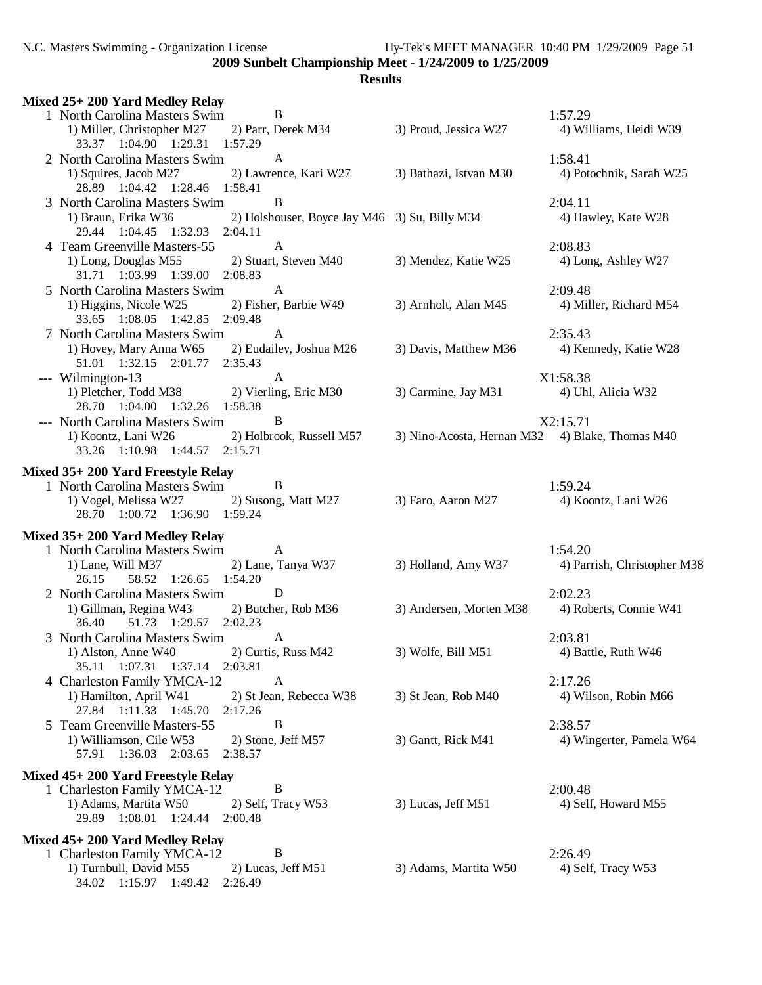| Mixed 25+ 200 Yard Medley Relay                                                                                                                          |                                                 |                                        |
|----------------------------------------------------------------------------------------------------------------------------------------------------------|-------------------------------------------------|----------------------------------------|
| 1 North Carolina Masters Swim<br>B<br>2) Parr, Derek M34<br>1) Miller, Christopher M27<br>33.37 1:04.90 1:29.31 1:57.29                                  | 3) Proud, Jessica W27                           | 1:57.29<br>4) Williams, Heidi W39      |
| 2 North Carolina Masters Swim<br>A<br>2) Lawrence, Kari W27<br>1) Squires, Jacob M27<br>28.89 1:04.42 1:28.46 1:58.41                                    | 3) Bathazi, Istvan M30                          | 1:58.41<br>4) Potochnik, Sarah W25     |
| B<br>3 North Carolina Masters Swim<br>1) Braun, Erika W36<br>2) Holshouser, Boyce Jay M46 3) Su, Billy M34<br>29.44 1:04.45 1:32.93 2:04.11              |                                                 | 2:04.11<br>4) Hawley, Kate W28         |
| $\mathbf{A}$<br>4 Team Greenville Masters-55<br>2) Stuart, Steven M40<br>1) Long, Douglas M55<br>31.71 1:03.99 1:39.00 2:08.83                           | 3) Mendez, Katie W25                            | 2:08.83<br>4) Long, Ashley W27         |
| $\mathbf{A}$<br>5 North Carolina Masters Swim<br>2) Fisher, Barbie W49<br>1) Higgins, Nicole W25<br>33.65 1:08.05 1:42.85<br>2:09.48                     | 3) Arnholt, Alan M45                            | 2:09.48<br>4) Miller, Richard M54      |
| 7 North Carolina Masters Swim<br>$\mathbf{A}$<br>1) Hovey, Mary Anna W65 2) Eudailey, Joshua M26<br>51.01 1:32.15 2:01.77 2:35.43                        | 3) Davis, Matthew M36                           | 2:35.43<br>4) Kennedy, Katie W28       |
| --- Wilmington-13<br>A<br>1) Pletcher, Todd M38 2) Vierling, Eric M30<br>28.70 1:04.00 1:32.26 1:58.38                                                   | 3) Carmine, Jay M31                             | X1:58.38<br>4) Uhl, Alicia W32         |
| B<br>--- North Carolina Masters Swim<br>2) Holbrook, Russell M57<br>1) Koontz, Lani W26<br>33.26 1:10.98 1:44.57 2:15.71                                 | 3) Nino-Acosta, Hernan M32 4) Blake, Thomas M40 | X2:15.71                               |
| Mixed 35+200 Yard Freestyle Relay                                                                                                                        |                                                 |                                        |
| 1 North Carolina Masters Swim<br>B<br>1) Vogel, Melissa W27<br>2) Susong, Matt M27<br>28.70 1:00.72 1:36.90 1:59.24                                      | 3) Faro, Aaron M27                              | 1:59.24<br>4) Koontz, Lani W26         |
| Mixed 35+200 Yard Medley Relay                                                                                                                           |                                                 |                                        |
| 1 North Carolina Masters Swim<br>A<br>1) Lane, Will M37<br>2) Lane, Tanya W37<br>58.52 1:26.65 1:54.20<br>26.15                                          | 3) Holland, Amy W37                             | 1:54.20<br>4) Parrish, Christopher M38 |
| D<br>2 North Carolina Masters Swim<br>1) Gillman, Regina W43<br>2) Butcher, Rob M36<br>51.73 1:29.57 2:02.23<br>36.40                                    | 3) Andersen, Morten M38                         | 2:02.23<br>4) Roberts, Connie W41      |
| 3 North Carolina Masters Swim<br>A<br>1) Alston, Anne W40<br>2) Curtis, Russ M42<br>35.11 1:07.31 1:37.14<br>2:03.81                                     | 3) Wolfe, Bill M51                              | 2:03.81<br>4) Battle, Ruth W46         |
| 4 Charleston Family YMCA-12<br>A<br>1) Hamilton, April W41<br>2) St Jean, Rebecca W38<br>27.84 1:11.33 1:45.70<br>2:17.26                                | 3) St Jean, Rob M40                             | 2:17.26<br>4) Wilson, Robin M66        |
| 5 Team Greenville Masters-55<br>B<br>1) Williamson, Cile W53<br>2) Stone, Jeff M57<br>57.91 1:36.03 2:03.65<br>2:38.57                                   | 3) Gantt, Rick M41                              | 2:38.57<br>4) Wingerter, Pamela W64    |
| Mixed 45+200 Yard Freestyle Relay<br>B<br>1 Charleston Family YMCA-12<br>1) Adams, Martita W50<br>2) Self, Tracy W53<br>2:00.48<br>29.89 1:08.01 1:24.44 | 3) Lucas, Jeff M51                              | 2:00.48<br>4) Self, Howard M55         |
| Mixed 45+200 Yard Medley Relay<br>B<br>1 Charleston Family YMCA-12<br>1) Turnbull, David M55<br>2) Lucas, Jeff M51<br>34.02 1:15.97 1:49.42<br>2:26.49   | 3) Adams, Martita W50                           | 2:26.49<br>4) Self, Tracy W53          |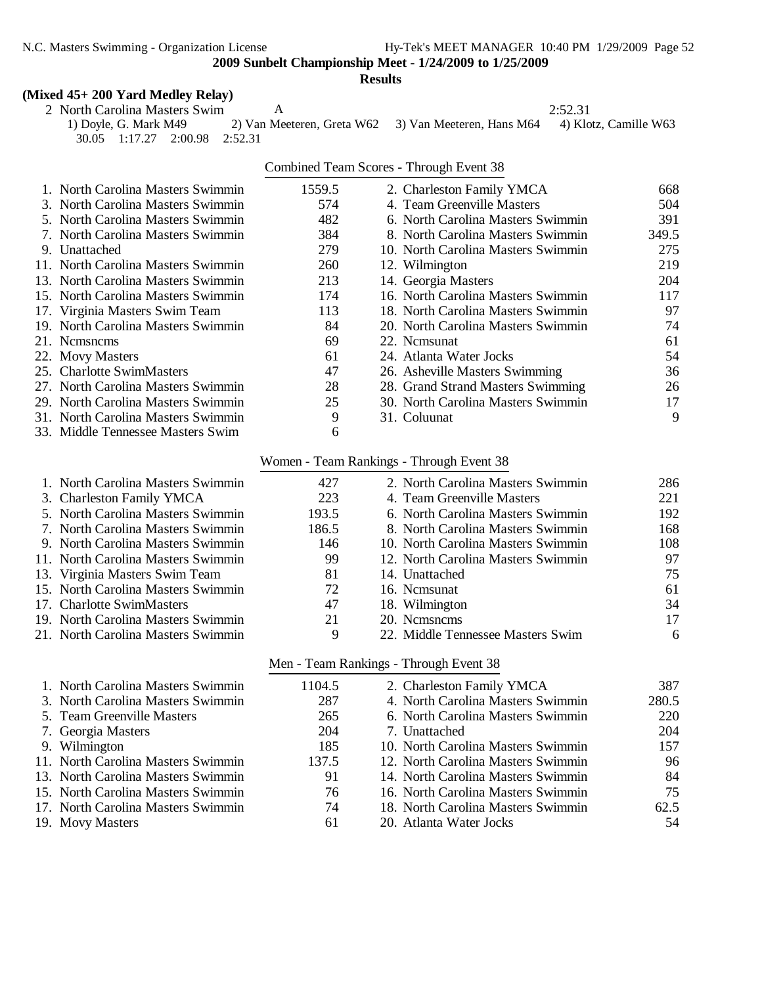N.C. Masters Swimming - Organization License Hy-Tek's MEET MANAGER 10:40 PM 1/29/2009 Page 52

**2009 Sunbelt Championship Meet - 1/24/2009 to 1/25/2009**

**Results**

#### **(Mixed 45+ 200 Yard Medley Relay)**

2 North Carolina Masters Swim<br>
2 1) Doyle, G. Mark M49 2) Van Meeteren, Greta W62 3) Van Meeteren, Hans M64 4) Klotz, Camille W63 2) Van Meeteren, Greta W62 3) Van Meeteren, Hans M64 30.05 1:17.27 2:00.98 2:52.31

|                                    |        | Combined Team Scores - Through Event 38 |       |
|------------------------------------|--------|-----------------------------------------|-------|
| 1. North Carolina Masters Swimmin  | 1559.5 | 2. Charleston Family YMCA               | 668   |
| 3. North Carolina Masters Swimmin  | 574    | 4. Team Greenville Masters              | 504   |
| 5. North Carolina Masters Swimmin  | 482    | 6. North Carolina Masters Swimmin       | 391   |
| 7. North Carolina Masters Swimmin  | 384    | 8. North Carolina Masters Swimmin       | 349.5 |
| 9. Unattached                      | 279    | 10. North Carolina Masters Swimmin      | 275   |
| 11. North Carolina Masters Swimmin | 260    | 12. Wilmington                          | 219   |
| 13. North Carolina Masters Swimmin | 213    | 14. Georgia Masters                     | 204   |
| 15. North Carolina Masters Swimmin | 174    | 16. North Carolina Masters Swimmin      | 117   |
| 17. Virginia Masters Swim Team     | 113    | 18. North Carolina Masters Swimmin      | 97    |
| 19. North Carolina Masters Swimmin | 84     | 20. North Carolina Masters Swimmin      | 74    |
| 21. Nemsnems                       | 69     | 22. Nemsunat                            | 61    |
| 22. Movy Masters                   | 61     | 24. Atlanta Water Jocks                 | 54    |
| 25. Charlotte SwimMasters          | 47     | 26. Asheville Masters Swimming          | 36    |
| 27. North Carolina Masters Swimmin | 28     | 28. Grand Strand Masters Swimming       | 26    |
| 29. North Carolina Masters Swimmin | 25     | 30. North Carolina Masters Swimmin      | 17    |
| 31. North Carolina Masters Swimmin | 9      | 31. Coluunat                            | 9     |
| 33. Middle Tennessee Masters Swim  | 6      |                                         |       |

# Women - Team Rankings - Through Event 38

| 1. North Carolina Masters Swimmin  | 427   | 2. North Carolina Masters Swimmin  | 286 |
|------------------------------------|-------|------------------------------------|-----|
| 3. Charleston Family YMCA          | 223   | 4. Team Greenville Masters         | 221 |
| 5. North Carolina Masters Swimmin  | 193.5 | 6. North Carolina Masters Swimmin  | 192 |
| 7. North Carolina Masters Swimmin  | 186.5 | 8. North Carolina Masters Swimmin  | 168 |
| 9. North Carolina Masters Swimmin  | 146   | 10. North Carolina Masters Swimmin | 108 |
| 11. North Carolina Masters Swimmin | 99    | 12. North Carolina Masters Swimmin | 97  |
| 13. Virginia Masters Swim Team     | 81    | 14. Unattached                     | 75  |
| 15. North Carolina Masters Swimmin | 72    | 16. Nemsunat                       | 61  |
| 17. Charlotte SwimMasters          | 47    | 18. Wilmington                     | 34  |
| 19. North Carolina Masters Swimmin | 21    | 20. Nemsnems                       | 17  |
| 21. North Carolina Masters Swimmin | 9     | 22. Middle Tennessee Masters Swim  | 6   |
|                                    |       |                                    |     |

#### Men - Team Rankings - Through Event 38

| 1. North Carolina Masters Swimmin  | 1104.5 | 2. Charleston Family YMCA          | 387   |
|------------------------------------|--------|------------------------------------|-------|
| 3. North Carolina Masters Swimmin  | 287    | 4. North Carolina Masters Swimmin  | 280.5 |
| 5. Team Greenville Masters         | 265    | 6. North Carolina Masters Swimmin  | 220   |
| 7. Georgia Masters                 | 204    | 7. Unattached                      | 204   |
| 9. Wilmington                      | 185    | 10. North Carolina Masters Swimmin | 157   |
| 11. North Carolina Masters Swimmin | 137.5  | 12. North Carolina Masters Swimmin | 96    |
| 13. North Carolina Masters Swimmin | 91     | 14. North Carolina Masters Swimmin | 84    |
| 15. North Carolina Masters Swimmin | 76     | 16. North Carolina Masters Swimmin | 75    |
| 17. North Carolina Masters Swimmin | 74     | 18. North Carolina Masters Swimmin | 62.5  |
| 19. Movy Masters                   | 61     | 20. Atlanta Water Jocks            | 54    |
|                                    |        |                                    |       |